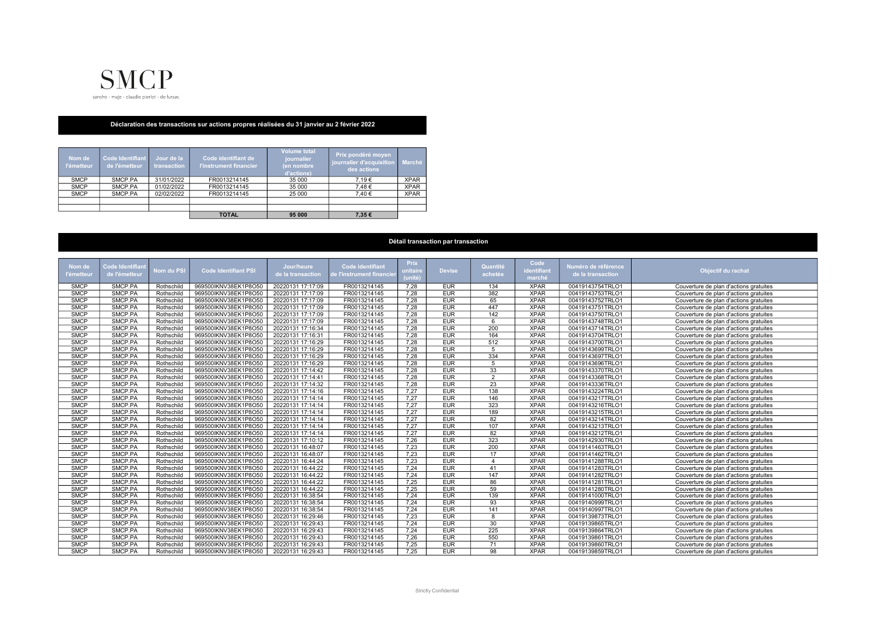

## Déclaration des transactions sur actions propres réalisées du 31 janvier au 2 février 2022

| Nom de<br><b>l'émetteur</b> | Code Identifiant<br>de l'émetteur | Jour de la<br>transaction | Code identifiant de<br>l'instrument financier | <b>Volume total</b><br>journalier<br>(en nombre<br>d'actions) | Prix pondéré moyen<br>journalier d'acquisition<br>des actions | Marché      |
|-----------------------------|-----------------------------------|---------------------------|-----------------------------------------------|---------------------------------------------------------------|---------------------------------------------------------------|-------------|
| <b>SMCP</b>                 | SMCP PA                           | 31/01/2022                | FR0013214145                                  | 35 000                                                        | 7.19€                                                         | <b>XPAR</b> |
| <b>SMCP</b>                 | SMCP PA                           | 01/02/2022                | FR0013214145                                  | 35 000                                                        | 7.48€                                                         | <b>XPAR</b> |
| <b>SMCP</b>                 | SMCP.PA                           | 02/02/2022                | FR0013214145                                  | 25 000                                                        | 7.40€                                                         | <b>XPAR</b> |
|                             |                                   |                           |                                               |                                                               |                                                               |             |
|                             |                                   |                           |                                               |                                                               |                                                               |             |
|                             |                                   |                           | <b>TOTAL</b>                                  | 95 000                                                        | 7.35€                                                         |             |

## Détail transaction par transaction

|               |                 |            |                             |                   |                         |                        |               |                  | Code        |                     |                                        |
|---------------|-----------------|------------|-----------------------------|-------------------|-------------------------|------------------------|---------------|------------------|-------------|---------------------|----------------------------------------|
| <b>Nom</b> de | Code Identifiar | Nom du PSI | <b>Code Identifiant PSI</b> | Jour/heure        | <b>Code identifiant</b> | <b>Prix</b><br>unitair | <b>Devise</b> | Quantité         |             | Numéro de référence |                                        |
| l'émetteur    | de l'émetteu    |            |                             | de la transaction | le l'instrument financi |                        |               | achetée          | identifiant | de la transaction   | Objectif du rachat                     |
|               |                 |            |                             |                   |                         | (unité                 |               |                  | marché      |                     |                                        |
| <b>SMCP</b>   | SMCP.PA         | Rothschild | 969500IKNV38EK1P8O50        | 20220131 17:17:09 | FR0013214145            | 7.28                   | <b>EUR</b>    | 134              | <b>XPAR</b> | 00419143754TRLO1    | Couverture de plan d'actions gratuites |
| <b>SMCP</b>   | SMCP.PA         | Rothschild | 969500IKNV38EK1P8O50        | 20220131 17:17:09 | FR0013214145            | 7,28                   | <b>EUR</b>    | 382              | <b>XPAR</b> | 00419143753TRLO1    | Couverture de plan d'actions gratuites |
| <b>SMCP</b>   | SMCP.PA         | Rothschild | 969500IKNV38EK1P8O50        | 20220131 17:17:09 | FR0013214145            | 7,28                   | <b>EUR</b>    | 65               | <b>XPAR</b> | 00419143752TRLO1    | Couverture de plan d'actions gratuites |
| <b>SMCP</b>   | SMCP.PA         | Rothschild | 969500IKNV38EK1P8O50        | 20220131 17:17:09 | FR0013214145            | 7,28                   | <b>EUR</b>    | 447              | <b>XPAR</b> | 00419143751TRLO1    | Couverture de plan d'actions gratuites |
| <b>SMCP</b>   | SMCP.PA         | Rothschild | 969500IKNV38EK1P8O50        | 20220131 17:17:09 | FR0013214145            | 7.28                   | <b>EUR</b>    | 142              | <b>XPAR</b> | 00419143750TRLO1    | Couverture de plan d'actions gratuites |
| <b>SMCP</b>   | SMCP.PA         | Rothschild | 969500IKNV38EK1P8O50        | 20220131 17:17:09 | FR0013214145            | 7,28                   | <b>EUR</b>    | 6                | <b>XPAR</b> | 00419143748TRLO1    | Couverture de plan d'actions gratuites |
| <b>SMCP</b>   | SMCP.PA         | Rothschild | 969500IKNV38EK1P8O50        | 20220131 17:16:34 | FR0013214145            | 7.28                   | <b>EUR</b>    | 200              | <b>XPAR</b> | 00419143714TRLO1    | Couverture de plan d'actions gratuites |
| <b>SMCP</b>   | SMCP.PA         | Rothschild | 969500IKNV38EK1P8O50        | 20220131 17:16:31 | FR0013214145            | 7.28                   | <b>EUR</b>    | 164              | <b>XPAR</b> | 00419143704TRLO1    | Couverture de plan d'actions gratuites |
| <b>SMCP</b>   | SMCP.PA         | Rothschild | 969500IKNV38EK1P8O50        | 20220131 17:16:29 | FR0013214145            | 7.28                   | <b>EUR</b>    | 512              | <b>XPAR</b> | 00419143700TRLO1    | Couverture de plan d'actions gratuites |
| <b>SMCP</b>   | SMCP.PA         | Rothschild | 969500IKNV38EK1P8O50        | 20220131 17:16:29 | FR0013214145            | 7.28                   | <b>EUR</b>    | $\sqrt{5}$       | <b>XPAR</b> | 00419143699TRLO1    | Couverture de plan d'actions gratuites |
| <b>SMCP</b>   | SMCP.PA         | Rothschild | 969500IKNV38EK1P8O50        | 20220131 17:16:29 | FR0013214145            | 7,28                   | <b>EUR</b>    | 334              | <b>XPAR</b> | 00419143697TRLO1    | Couverture de plan d'actions gratuites |
| <b>SMCP</b>   | SMCP.PA         | Rothschild | 969500IKNV38EK1P8O50        | 20220131 17:16:29 | FR0013214145            | 7,28                   | <b>EUR</b>    | $\overline{5}$   | <b>XPAR</b> | 00419143696TRLO1    | Couverture de plan d'actions gratuites |
| <b>SMCP</b>   | SMCP.PA         | Rothschild | 969500IKNV38EK1P8O50        | 20220131 17:14:42 | FR0013214145            | 7,28                   | <b>EUR</b>    | 33               | <b>XPAR</b> | 00419143370TRLO1    | Couverture de plan d'actions gratuites |
| <b>SMCP</b>   | SMCP.PA         | Rothschild | 969500IKNV38EK1P8O50        | 20220131 17:14:41 | FR0013214145            | 7.28                   | <b>EUR</b>    | 2                | <b>XPAR</b> | 00419143368TRLO1    | Couverture de plan d'actions gratuites |
| <b>SMCP</b>   | SMCP.PA         | Rothschild | 969500IKNV38EK1P8O50        | 20220131 17:14:32 | FR0013214145            | 7,28                   | <b>EUR</b>    | 23               | <b>XPAR</b> | 00419143336TRLO1    | Couverture de plan d'actions gratuites |
| <b>SMCP</b>   | SMCP.PA         | Rothschild | 969500IKNV38EK1P8O50        | 20220131 17:14:16 | FR0013214145            | 7,27                   | <b>EUR</b>    | $\overline{138}$ | <b>XPAR</b> | 00419143224TRLO1    | Couverture de plan d'actions gratuites |
| <b>SMCP</b>   | SMCP.PA         | Rothschild | 969500IKNV38EK1P8O50        | 20220131 17:14:14 | FR0013214145            | 7,27                   | <b>EUR</b>    | 146              | <b>XPAR</b> | 00419143217TRLO1    | Couverture de plan d'actions gratuites |
| <b>SMCP</b>   | SMCP.PA         | Rothschild | 969500IKNV38EK1P8O50        | 20220131 17:14:14 | FR0013214145            | 7,27                   | <b>EUR</b>    | 323              | <b>XPAR</b> | 00419143216TRLO1    | Couverture de plan d'actions gratuites |
| <b>SMCP</b>   | SMCP.PA         | Rothschild | 969500IKNV38EK1P8O50        | 20220131 17:14:14 | FR0013214145            | 7,27                   | <b>EUR</b>    | 189              | <b>XPAR</b> | 00419143215TRLO1    | Couverture de plan d'actions gratuites |
| <b>SMCP</b>   | SMCP.PA         | Rothschild | 969500IKNV38EK1P8O50        | 20220131 17:14:14 | FR0013214145            | 7.27                   | <b>EUR</b>    | 82               | <b>XPAR</b> | 00419143214TRLO1    | Couverture de plan d'actions gratuites |
| <b>SMCP</b>   | SMCP.PA         | Rothschild | 969500IKNV38EK1P8O50        | 20220131 17:14:14 | FR0013214145            | 7,27                   | <b>EUR</b>    | 107              | <b>XPAR</b> | 00419143213TRLO1    | Couverture de plan d'actions gratuites |
| <b>SMCP</b>   | SMCP.PA         | Rothschild | 969500IKNV38EK1P8O50        | 20220131 17:14:14 | FR0013214145            | 7,27                   | <b>EUR</b>    | 82               | <b>XPAR</b> | 00419143212TRLO1    | Couverture de plan d'actions gratuites |
| <b>SMCP</b>   | SMCP.PA         | Rothschild | 969500IKNV38EK1P8O50        | 20220131 17:10:12 | FR0013214145            | 7,26                   | <b>EUR</b>    | 323              | <b>XPAR</b> | 00419142930TRLO1    | Couverture de plan d'actions gratuites |
| <b>SMCP</b>   | SMCP.PA         | Rothschild | 969500IKNV38EK1P8O50        | 20220131 16:48:07 | FR0013214145            | 7.23                   | <b>EUR</b>    | 200              | <b>XPAR</b> | 00419141463TRLO1    | Couverture de plan d'actions gratuites |
| <b>SMCP</b>   | SMCP.PA         | Rothschild | 969500IKNV38EK1P8O50        | 20220131 16:48:07 | FR0013214145            | 7,23                   | <b>EUR</b>    | 17               | <b>XPAR</b> | 00419141462TRLO1    | Couverture de plan d'actions gratuites |
| <b>SMCP</b>   | SMCP.PA         | Rothschild | 969500IKNV38EK1P8O50        | 20220131 16:44:24 | FR0013214145            | 7,23                   | <b>EUR</b>    | $\overline{4}$   | <b>XPAR</b> | 00419141288TRLO1    | Couverture de plan d'actions gratuites |
| <b>SMCP</b>   | SMCP.PA         | Rothschild | 969500IKNV38EK1P8O50        | 20220131 16:44:22 | FR0013214145            | 7,24                   | <b>EUR</b>    | 41               | <b>XPAR</b> | 00419141283TRLO1    | Couverture de plan d'actions gratuites |
| <b>SMCP</b>   | SMCP.PA         | Rothschild | 969500IKNV38EK1P8O50        | 20220131 16:44:22 | FR0013214145            | 7,24                   | <b>EUR</b>    | $\overline{147}$ | <b>XPAR</b> | 00419141282TRLO1    | Couverture de plan d'actions gratuites |
| <b>SMCP</b>   | SMCP.PA         | Rothschild | 969500IKNV38EK1P8O50        | 20220131 16:44:22 | FR0013214145            | 7,25                   | <b>EUR</b>    | 86               | <b>XPAR</b> | 00419141281TRLO1    | Couverture de plan d'actions gratuites |
| <b>SMCP</b>   | SMCP.PA         | Rothschild | 969500IKNV38EK1P8O50        | 20220131 16:44:22 | FR0013214145            | 7.25                   | <b>EUR</b>    | $\overline{59}$  | <b>XPAR</b> | 00419141280TRLO1    | Couverture de plan d'actions gratuites |
| <b>SMCP</b>   | SMCP.PA         | Rothschild | 969500IKNV38EK1P8O50        | 20220131 16:38:54 | FR0013214145            | 7,24                   | <b>EUR</b>    | 139              | <b>XPAR</b> | 00419141000TRLO1    | Couverture de plan d'actions gratuites |
| <b>SMCP</b>   | SMCP.PA         | Rothschild | 969500IKNV38EK1P8O50        | 20220131 16:38:54 | FR0013214145            | 7,24                   | <b>EUR</b>    | 93               | <b>XPAR</b> | 00419140999TRLO1    | Couverture de plan d'actions gratuites |
| <b>SMCP</b>   | SMCP.PA         | Rothschild | 969500IKNV38EK1P8O50        | 20220131 16:38:54 | FR0013214145            | 7,24                   | <b>EUR</b>    | 141              | <b>XPAR</b> | 00419140997TRLO1    | Couverture de plan d'actions gratuites |
| <b>SMCP</b>   | SMCP.PA         | Rothschild | 969500IKNV38EK1P8O50        | 20220131 16:29:46 | FR0013214145            | 7,23                   | <b>EUR</b>    | 8                | <b>XPAR</b> | 00419139873TRLO1    | Couverture de plan d'actions gratuites |
| <b>SMCP</b>   | SMCP.PA         | Rothschild | 969500IKNV38EK1P8O50        | 20220131 16:29:43 | FR0013214145            | 7.24                   | <b>EUR</b>    | 30               | <b>XPAR</b> | 00419139865TRLO1    | Couverture de plan d'actions gratuites |
| <b>SMCP</b>   | SMCP.PA         | Rothschild | 969500IKNV38EK1P8O50        | 20220131 16:29:43 | FR0013214145            | 7,24                   | <b>EUR</b>    | 225              | <b>XPAR</b> | 00419139864TRLO1    | Couverture de plan d'actions gratuites |
| <b>SMCP</b>   | SMCP.PA         | Rothschild | 969500IKNV38EK1P8O50        | 20220131 16:29:43 | FR0013214145            | 7,26                   | <b>EUR</b>    | 550              | <b>XPAR</b> | 00419139861TRLO1    | Couverture de plan d'actions gratuites |
| <b>SMCP</b>   | SMCP.PA         | Rothschild | 969500IKNV38EK1P8O50        | 20220131 16:29:43 | FR0013214145            | 7,25                   | <b>EUR</b>    | 71               | <b>XPAR</b> | 00419139860TRLO1    | Couverture de plan d'actions gratuites |
| <b>SMCP</b>   | SMCP.PA         | Rothschild | 969500IKNV38EK1P8O50        | 20220131 16:29:43 | FR0013214145            | 7,25                   | <b>EUR</b>    | 98               | <b>XPAR</b> | 00419139859TRLO1    | Couverture de plan d'actions gratuites |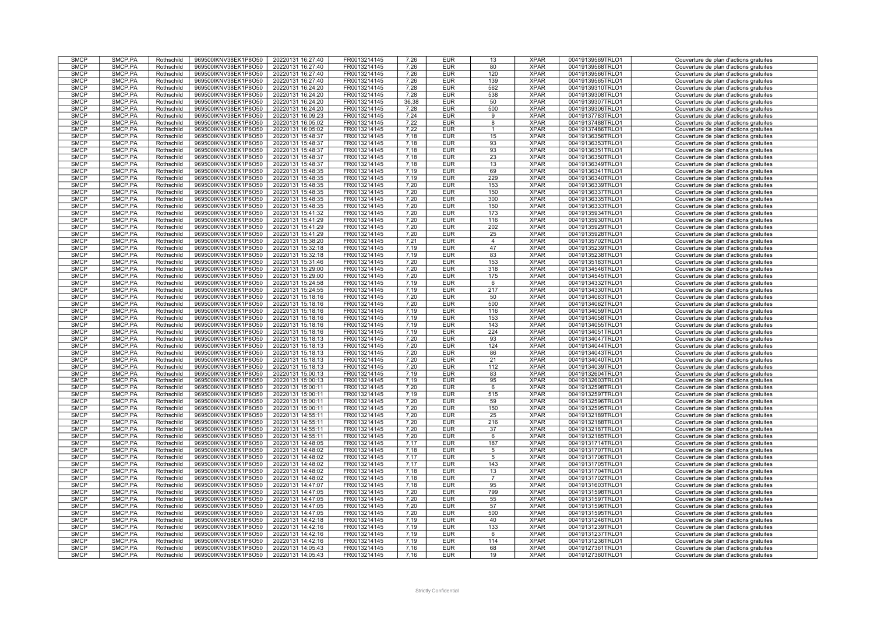| <b>SMCP</b>                | SMCP.PA            | Rothschild               | 969500IKNV38EK1P8O50                         | 20220131 16:27:40                      | FR0013214145                 | 7,26         | <b>EUR</b>               | 13             | <b>XPAR</b>                | 00419139569TRLO1                     | Couverture de plan d'actions gratuites                                           |
|----------------------------|--------------------|--------------------------|----------------------------------------------|----------------------------------------|------------------------------|--------------|--------------------------|----------------|----------------------------|--------------------------------------|----------------------------------------------------------------------------------|
| <b>SMCP</b>                | SMCP.PA            | Rothschild               | 969500IKNV38EK1P8O50                         | 20220131 16:27:40                      | FR0013214145                 | 7,26         | <b>EUR</b>               | 80             | <b>XPAR</b>                | 00419139568TRLO1                     | Couverture de plan d'actions gratuites                                           |
| <b>SMCP</b>                | SMCP.PA            | Rothschild               | 969500IKNV38EK1P8O50                         | 20220131 16:27:40                      | FR0013214145                 | 7,26         | <b>EUR</b>               | 120            | <b>XPAR</b>                | 00419139566TRLO1                     | Couverture de plan d'actions gratuites                                           |
|                            |                    |                          |                                              |                                        |                              |              |                          |                |                            |                                      |                                                                                  |
| <b>SMCP</b>                | SMCP.PA            | Rothschild               | 969500IKNV38EK1P8O50                         | 20220131 16:27:40                      | FR0013214145                 | 7,26         | <b>EUR</b>               | 139            | <b>XPAR</b>                | 00419139565TRLO1                     | Couverture de plan d'actions gratuites                                           |
| <b>SMCP</b>                | SMCP.PA            | Rothschild               | 969500IKNV38EK1P8O50                         | 20220131 16:24:20                      | FR0013214145                 | 7.28         | <b>EUR</b>               | 562            | <b>XPAR</b>                | 00419139310TRLO1                     | Couverture de plan d'actions gratuites                                           |
| <b>SMCP</b>                | SMCP.PA            | Rothschild               | 969500IKNV38EK1P8O50                         | 20220131 16:24:20                      | FR0013214145                 | 7,28         | <b>EUR</b>               | 538            | <b>XPAR</b>                | 00419139308TRLO1                     |                                                                                  |
|                            |                    |                          |                                              |                                        |                              |              |                          |                |                            |                                      | Couverture de plan d'actions gratuites                                           |
| <b>SMCP</b>                | SMCP.PA            | Rothschild               | 969500IKNV38EK1P8O50                         | 20220131 16:24:20                      | FR0013214145                 | 36,38        | <b>EUR</b>               | 50             | <b>XPAR</b>                | 00419139307TRLO1                     | Couverture de plan d'actions gratuites                                           |
| <b>SMCP</b>                | SMCP.PA            | Rothschild               | 969500IKNV38EK1P8O50                         | 20220131 16:24:20                      | FR0013214145                 | 7,28         | <b>EUR</b>               | 500            | <b>XPAR</b>                | 00419139306TRLO1                     | Couverture de plan d'actions gratuites                                           |
| <b>SMCP</b>                | SMCP.PA            |                          | 969500IKNV38EK1P8O50                         | 20220131 16:09:23                      | FR0013214145                 | 7,24         | <b>EUR</b>               | 9              | <b>XPAR</b>                | 00419137783TRLO1                     |                                                                                  |
|                            |                    | Rothschild               |                                              |                                        |                              |              |                          |                |                            |                                      | Couverture de plan d'actions gratuites                                           |
| <b>SMCP</b>                | SMCP.PA            | Rothschild               | 969500IKNV38EK1P8O50                         | 20220131 16:05:02                      | FR0013214145                 | 7,22         | <b>EUR</b>               | 8              | <b>XPAR</b>                | 00419137488TRLO1                     | Couverture de plan d'actions gratuites                                           |
| <b>SMCP</b>                | SMCP.PA            | Rothschild               | 969500IKNV38EK1P8O50                         | 20220131 16:05:02                      | FR0013214145                 | 7,22         | <b>EUR</b>               | $\mathbf{1}$   | <b>XPAR</b>                | 00419137486TRLO1                     | Couverture de plan d'actions gratuites                                           |
| <b>SMCP</b>                | SMCP.PA            | Rothschild               |                                              | 20220131 15:48:37                      | FR0013214145                 |              |                          | 15             | <b>XPAR</b>                | 00419136356TRLO1                     |                                                                                  |
|                            |                    |                          | 969500IKNV38EK1P8O50                         |                                        |                              | 7.18         | <b>EUR</b>               |                |                            |                                      | Couverture de plan d'actions gratuites                                           |
| <b>SMCP</b>                | SMCP PA            | Rothschild               | 969500IKNV38EK1P8O50                         | 20220131 15:48:37                      | FR0013214145                 | 7,18         | <b>EUR</b>               | 93             | <b>XPAR</b>                | 00419136353TRLO1                     | Couverture de plan d'actions gratuites                                           |
| <b>SMCP</b>                | SMCP.PA            | Rothschild               | 969500IKNV38EK1P8O50                         | 20220131 15:48:37                      | FR0013214145                 | 7,18         | <b>EUR</b>               | 93             | <b>XPAR</b>                | 00419136351TRLO1                     | Couverture de plan d'actions gratuites                                           |
|                            |                    |                          |                                              |                                        |                              |              |                          |                |                            |                                      |                                                                                  |
| <b>SMCP</b>                | SMCP.PA            | Rothschild               | 969500IKNV38EK1P8O50                         | 20220131 15:48:37                      | FR0013214145                 | 7,18         | <b>EUR</b>               | 23             | <b>XPAR</b>                | 00419136350TRLO1                     | Couverture de plan d'actions gratuites                                           |
| <b>SMCP</b>                | SMCP.PA            | Rothschild               | 969500IKNV38EK1P8O50                         | 20220131 15:48:37                      | FR0013214145                 | 7.18         | <b>EUR</b>               | 13             | <b>XPAR</b>                | 00419136349TRLO1                     | Couverture de plan d'actions gratuites                                           |
| <b>SMCP</b>                | SMCP.PA            | Rothschild               | 969500IKNV38EK1P8O50                         | 20220131 15:48:35                      | FR0013214145                 | 7,19         | <b>EUR</b>               | 69             | <b>XPAR</b>                | 00419136341TRLO1                     | Couverture de plan d'actions gratuites                                           |
| <b>SMCP</b>                | SMCP.PA            |                          |                                              |                                        | FR0013214145                 | 7.19         |                          |                | <b>XPAR</b>                |                                      |                                                                                  |
|                            |                    | Rothschild               | 969500IKNV38EK1P8O50                         | 20220131 15:48:35                      |                              |              | <b>EUR</b>               | 229            |                            | 00419136340TRLO1                     | Couverture de plan d'actions gratuites                                           |
| <b>SMCP</b>                | SMCP.PA            | Rothschild               | 969500IKNV38EK1P8O50                         | 20220131 15:48:35                      | FR0013214145                 | 7,20         | <b>EUR</b>               | 153            | <b>XPAR</b>                | 00419136339TRLO1                     | Couverture de plan d'actions gratuites                                           |
| <b>SMCP</b>                | SMCP.PA            | Rothschild               | 969500IKNV38EK1P8O50                         | 20220131 15:48:35                      | FR0013214145                 | 7,20         | <b>EUR</b>               | 150            | <b>XPAR</b>                | 00419136337TRLO1                     | Couverture de plan d'actions gratuites                                           |
|                            |                    |                          |                                              |                                        |                              |              |                          |                |                            |                                      |                                                                                  |
| <b>SMCP</b>                | SMCP.PA            | Rothschild               | 969500IKNV38EK1P8O50                         | 20220131 15:48:35                      | FR0013214145                 | 7,20         | <b>EUR</b>               | 300            | <b>XPAR</b>                | 00419136335TRLO1                     | Couverture de plan d'actions gratuites                                           |
| <b>SMCP</b>                | SMCP.PA            | Rothschild               | 969500IKNV38EK1P8O50                         | 20220131 15:48:35                      | FR0013214145                 | 7,20         | <b>EUR</b>               | 150            | <b>XPAR</b>                | 00419136333TRLO1                     | Couverture de plan d'actions gratuites                                           |
| <b>SMCP</b>                | SMCP.PA            | Rothschild               | 969500IKNV38EK1P8O50                         | 20220131 15:41:32                      | FR0013214145                 | 7,20         | <b>EUR</b>               | 173            | <b>XPAR</b>                | 00419135934TRLO1                     | Couverture de plan d'actions gratuites                                           |
|                            |                    |                          |                                              |                                        |                              |              |                          |                |                            |                                      |                                                                                  |
| <b>SMCP</b>                | SMCP.PA            | Rothschild               | 969500IKNV38EK1P8O50                         | 20220131 15:41:29                      | FR0013214145                 | 7,20         | <b>EUR</b>               | 116            | <b>XPAR</b>                | 00419135930TRLO1                     | Couverture de plan d'actions gratuites                                           |
| <b>SMCP</b>                | SMCP.PA            | Rothschild               | 969500IKNV38EK1P8O50                         | 20220131 15:41:29                      | FR0013214145                 | 7.20         | <b>EUR</b>               | 202            | <b>XPAR</b>                | 00419135929TRLO1                     | Couverture de plan d'actions gratuites                                           |
| <b>SMCP</b>                | SMCP.PA            | Rothschild               | 969500IKNV38EK1P8O50                         | 20220131 15:41:29                      | FR0013214145                 | 7,20         | <b>EUR</b>               | 25             | <b>XPAR</b>                | 00419135928TRLO1                     | Couverture de plan d'actions gratuites                                           |
|                            |                    |                          |                                              |                                        |                              |              |                          |                |                            |                                      |                                                                                  |
| <b>SMCP</b>                | SMCP.PA            | Rothschild               | 969500IKNV38EK1P8O50                         | 20220131 15:38:20                      | FR0013214145                 | 7,21         | <b>EUR</b>               | $\overline{4}$ | <b>XPAR</b>                | 00419135702TRLO1                     | Couverture de plan d'actions gratuites                                           |
| <b>SMCP</b>                | SMCP.PA            | Rothschild               | 969500IKNV38EK1P8O50                         | 20220131 15:32:18                      | FR0013214145                 | 7,19         | <b>EUR</b>               | 47             | <b>XPAR</b>                | 00419135239TRLO1                     | Couverture de plan d'actions gratuites                                           |
| <b>SMCP</b>                | SMCP.PA            | Rothschild               | 969500IKNV38EK1P8O50                         | 20220131 15:32:18                      | FR0013214145                 | 7,19         | <b>EUR</b>               | 83             | <b>XPAR</b>                | 00419135238TRLO1                     | Couverture de plan d'actions gratuites                                           |
|                            |                    |                          |                                              |                                        |                              |              |                          |                |                            |                                      |                                                                                  |
| <b>SMCP</b>                | SMCP.PA            | Rothschild               | 969500IKNV38EK1P8O50                         | 20220131 15:31:46                      | FR0013214145                 | 7,20         | <b>EUR</b>               | 153            | <b>XPAR</b>                | 00419135183TRLO1                     | Couverture de plan d'actions gratuites                                           |
| <b>SMCP</b>                | SMCP.PA            | Rothschild               | 969500IKNV38EK1P8O50                         | 20220131 15:29:00                      | FR0013214145                 | 7.20         | <b>EUR</b>               | 318            | <b>XPAR</b>                | 00419134546TRLO1                     | Couverture de plan d'actions gratuites                                           |
| <b>SMCP</b>                | SMCP.PA            | Rothschild               | 969500IKNV38EK1P8O50                         | 20220131 15:29:00                      | FR0013214145                 | 7,20         | <b>EUR</b>               | 175            | <b>XPAR</b>                | 00419134545TRLO1                     |                                                                                  |
|                            |                    |                          |                                              |                                        |                              |              |                          |                |                            |                                      | Couverture de plan d'actions gratuites                                           |
| <b>SMCP</b>                | SMCP.PA            | Rothschild               | 969500IKNV38EK1P8O50                         | 20220131 15:24:58                      | FR0013214145                 | 7,19         | <b>EUR</b>               | 6              | <b>XPAR</b>                | 00419134332TRLO1                     | Couverture de plan d'actions gratuites                                           |
| <b>SMCP</b>                | SMCP.PA            | Rothschild               | 969500IKNV38EK1P8O50                         | 20220131 15:24:55                      | FR0013214145                 | 7.19         | <b>EUR</b>               | 217            | <b>XPAR</b>                | 00419134330TRLO1                     | Couverture de plan d'actions gratuites                                           |
| <b>SMCP</b>                | SMCP.PA            | Rothschild               | 969500IKNV38EK1P8O50                         | 20220131 15:18:16                      | FR0013214145                 | 7.20         | <b>EUR</b>               | 50             | <b>XPAR</b>                | 00419134063TRLO1                     | Couverture de plan d'actions gratuites                                           |
|                            |                    |                          |                                              |                                        |                              |              |                          |                |                            |                                      |                                                                                  |
| <b>SMCP</b>                | SMCP.PA            | Rothschild               | 969500IKNV38EK1P8O50                         | 20220131 15:18:16                      | FR0013214145                 | 7,20         | <b>EUR</b>               | 500            | <b>XPAR</b>                | 00419134062TRLO1                     | Couverture de plan d'actions gratuites                                           |
| <b>SMCP</b>                | SMCP.PA            | Rothschild               | 969500IKNV38EK1P8O50                         | 20220131 15:18:16                      | FR0013214145                 | 7.19         | <b>EUR</b>               | 116            | <b>XPAR</b>                | 00419134059TRLO1                     | Couverture de plan d'actions gratuites                                           |
| <b>SMCP</b>                | SMCP.PA            | Rothschild               | 969500IKNV38EK1P8O50                         | 20220131 15:18:16                      | FR0013214145                 | 7.19         | <b>EUR</b>               | 153            | <b>XPAR</b>                | 00419134058TRLO1                     | Couverture de plan d'actions gratuites                                           |
|                            |                    |                          |                                              |                                        |                              |              |                          |                |                            |                                      |                                                                                  |
| <b>SMCP</b>                | SMCP.PA            | Rothschild               | 969500IKNV38EK1P8O50                         | 20220131 15:18:16                      | FR0013214145                 | 7.19         | <b>EUR</b>               | 143            | <b>XPAR</b>                | 00419134055TRLO1                     | Couverture de plan d'actions gratuites                                           |
| <b>SMCP</b>                | SMCP.PA            | Rothschild               | 969500IKNV38EK1P8O50                         | 20220131 15:18:16                      | FR0013214145                 | 7,19         | <b>EUR</b>               | 224            | <b>XPAR</b>                | 00419134051TRLO1                     | Couverture de plan d'actions gratuites                                           |
| <b>SMCP</b>                | SMCP.PA            | Rothschild               | 969500IKNV38EK1P8O50                         | 20220131 15:18:13                      | FR0013214145                 | 7.20         | <b>EUR</b>               | 93             | <b>XPAR</b>                | 00419134047TRLO1                     | Couverture de plan d'actions gratuites                                           |
|                            |                    |                          |                                              |                                        |                              |              |                          |                |                            |                                      |                                                                                  |
| <b>SMCP</b>                | SMCP.PA            | Rothschild               | 969500IKNV38EK1P8O50                         | 20220131 15:18:13                      | FR0013214145                 | 7,20         | <b>EUR</b>               | 124            | <b>XPAR</b>                | 00419134044TRLO1                     | Couverture de plan d'actions gratuites                                           |
| <b>SMCP</b>                | SMCP.PA            | Rothschild               | 969500IKNV38EK1P8O50                         | 20220131 15:18:13                      | FR0013214145                 | 7,20         | <b>EUR</b>               | 86             | <b>XPAR</b>                | 00419134043TRLO1                     | Couverture de plan d'actions gratuites                                           |
| <b>SMCP</b>                | SMCP.PA            | Rothschild               | 969500IKNV38EK1P8O50                         | 20220131 15:18:13                      | FR0013214145                 | 7.20         | <b>EUR</b>               | 21             | <b>XPAR</b>                | 00419134040TRLO1                     | Couverture de plan d'actions gratuites                                           |
|                            |                    |                          |                                              |                                        |                              |              |                          |                |                            |                                      |                                                                                  |
| <b>SMCP</b>                | SMCP.PA            | Rothschild               | 969500IKNV38EK1P8O50                         | 20220131 15:18:13                      | FR0013214145                 | 7,20         | <b>EUR</b>               | 112            | <b>XPAR</b>                | 00419134039TRLO1                     | Couverture de plan d'actions gratuites                                           |
| <b>SMCP</b>                | SMCP.PA            | Rothschild               | 969500IKNV38EK1P8O50                         | 20220131 15:00:13                      | FR0013214145                 | 7,19         | <b>EUR</b>               | 83             |                            | 00419132604TRLO1                     |                                                                                  |
| <b>SMCP</b>                | SMCP.PA            |                          |                                              |                                        |                              |              |                          |                |                            |                                      |                                                                                  |
|                            |                    |                          |                                              |                                        |                              |              |                          |                | <b>XPAR</b>                |                                      | Couverture de plan d'actions gratuites                                           |
| <b>SMCP</b>                |                    | Rothschild               | 969500IKNV38EK1P8O50                         | 20220131 15:00:13                      | FR0013214145                 | 7,19         | <b>EUR</b>               | 95             | <b>XPAR</b>                | 00419132603TRLO1                     | Couverture de plan d'actions gratuites                                           |
| <b>SMCP</b>                | SMCP.PA            | Rothschild               | 969500IKNV38EK1P8O50                         | 20220131 15:00:11                      | FR0013214145                 | 7,20         | <b>EUR</b>               | 6              | <b>XPAR</b>                | 00419132598TRLO1                     | Couverture de plan d'actions gratuites                                           |
|                            |                    |                          |                                              |                                        |                              |              |                          |                |                            |                                      |                                                                                  |
|                            | SMCP.PA            | Rothschild               | 969500IKNV38EK1P8O50                         | 20220131 15:00:11                      | FR0013214145                 | 7,19         | <b>EUR</b>               | 515            | <b>XPAR</b>                | 00419132597TRLO1                     | Couverture de plan d'actions gratuites                                           |
| <b>SMCP</b>                | SMCP.PA            | Rothschild               | 969500IKNV38EK1P8O50                         | 20220131 15:00:11                      | FR0013214145                 | 7,20         | <b>EUR</b>               | 59             | <b>XPAR</b>                | 00419132596TRLO1                     | Couverture de plan d'actions gratuites                                           |
| <b>SMCP</b>                | SMCP.PA            | Rothschild               | 969500IKNV38EK1P8O50                         | 20220131 15:00:11                      | FR0013214145                 | 7.20         | <b>EUR</b>               | 150            | <b>XPAR</b>                | 00419132595TRLO1                     | Couverture de plan d'actions gratuites                                           |
| <b>SMCP</b>                | SMCP.PA            | Rothschild               |                                              | 20220131 14:55:11                      | FR0013214145                 | 7,20         | <b>EUR</b>               |                | <b>XPAR</b>                | 00419132189TRLO1                     |                                                                                  |
|                            |                    |                          | 969500IKNV38EK1P8O50                         |                                        |                              |              |                          | 25             |                            |                                      | Couverture de plan d'actions gratuites                                           |
| <b>SMCP</b>                | SMCP.PA            | Rothschild               | 969500IKNV38EK1P8O50                         | 20220131 14:55:11                      | FR0013214145                 | 7,20         | <b>EUR</b>               | 216            | <b>XPAR</b>                | 00419132188TRLO1                     | Couverture de plan d'actions gratuites                                           |
| <b>SMCP</b>                | SMCP.PA            | Rothschild               | 969500IKNV38EK1P8O50                         | 20220131 14:55:11                      | FR0013214145                 | 7,20         | <b>EUR</b>               | 37             | <b>XPAR</b>                | 00419132187TRLO1                     | Couverture de plan d'actions gratuites                                           |
| <b>SMCP</b>                | SMCP.PA            | Rothschild               | 969500IKNV38EK1P8O50                         | 20220131 14:55:11                      | FR0013214145                 | 7,20         | <b>EUR</b>               | 6              | <b>XPAR</b>                | 00419132185TRLO1                     | Couverture de plan d'actions gratuites                                           |
|                            |                    |                          |                                              |                                        |                              |              |                          |                |                            |                                      |                                                                                  |
| <b>SMCP</b>                | SMCP.PA            | Rothschild               | 969500IKNV38EK1P8O50                         | 20220131 14:48:05                      | FR0013214145                 | 7,17         | <b>EUR</b>               | 187            | <b>XPAR</b>                | 00419131714TRLO1                     | Couverture de plan d'actions gratuites                                           |
| <b>SMCP</b>                | SMCP.PA            | Rothschild               | 969500IKNV38EK1P8O50                         | 20220131 14:48:02                      | FR0013214145                 | 7.18         | <b>EUR</b>               | 5              | <b>XPAR</b>                | 00419131707TRLO1                     | Couverture de plan d'actions gratuites                                           |
| <b>SMCP</b>                | SMCP.PA            | Rothschild               | 969500IKNV38EK1P8O50                         | 20220131 14:48:02                      | FR0013214145                 | 7.17         | <b>EUR</b>               | 5              | <b>XPAR</b>                | 00419131706TRLO1                     | Couverture de plan d'actions gratuites                                           |
|                            |                    |                          |                                              |                                        |                              |              |                          |                |                            |                                      |                                                                                  |
| <b>SMCP</b>                | SMCP.PA            | Rothschild               | 969500IKNV38EK1P8O50                         | 20220131 14:48:02                      | FR0013214145                 | 7.17         | <b>EUR</b>               | 143            | <b>XPAR</b>                | 00419131705TRLO1                     | Couverture de plan d'actions gratuites                                           |
| <b>SMCP</b>                | SMCP.PA            | Rothschild               | 969500IKNV38EK1P8O50                         | 20220131 14:48:02                      | FR0013214145                 | 7.18         | <b>EUR</b>               | 13             | <b>XPAR</b>                | 00419131704TRLO1                     | Couverture de plan d'actions gratuites                                           |
| <b>SMCP</b>                | SMCP.PA            | Rothschild               | 969500IKNV38EK1P8O50                         | 20220131 14:48:02                      | FR0013214145                 | 7,18         | <b>EUR</b>               | $\overline{7}$ | <b>XPAR</b>                | 00419131702TRLO1                     | Couverture de plan d'actions gratuites                                           |
|                            |                    |                          |                                              |                                        |                              |              |                          |                |                            |                                      |                                                                                  |
| <b>SMCP</b>                | SMCP.PA            | Rothschild               | 969500IKNV38EK1P8O50                         | 20220131 14:47:07                      | FR0013214145                 | 7.18         | <b>EUR</b>               | 95             | <b>XPAR</b>                | 00419131603TRLO1                     | Couverture de plan d'actions gratuites                                           |
| <b>SMCP</b>                | SMCP.PA            | Rothschild               | 969500IKNV38EK1P8O50                         | 20220131 14:47:05                      | FR0013214145                 | 7,20         | <b>EUR</b>               | 799            | <b>XPAR</b>                | 00419131598TRLO1                     | Couverture de plan d'actions gratuites                                           |
| <b>SMCP</b>                | SMCP.PA            | Rothschild               | 969500IKNV38EK1P8O50                         | 20220131 14:47:05                      | FR0013214145                 | 7,20         | <b>EUR</b>               | 55             | <b>XPAR</b>                | 00419131597TRLO1                     | Couverture de plan d'actions gratuites                                           |
|                            |                    |                          |                                              |                                        |                              |              |                          |                |                            |                                      |                                                                                  |
| <b>SMCP</b>                | SMCP.PA            | Rothschild               | 969500IKNV38EK1P8O50                         | 20220131 14:47:05                      | FR0013214145                 | 7.20         | <b>EUR</b>               | 57             | <b>XPAR</b>                | 00419131596TRLO1                     | Couverture de plan d'actions gratuites                                           |
| <b>SMCP</b>                | SMCP.PA            | Rothschild               | 969500IKNV38EK1P8O50                         | 20220131 14:47:05                      | FR0013214145                 | 7,20         | <b>EUR</b>               | 500            | <b>XPAR</b>                | 00419131595TRLO1                     | Couverture de plan d'actions gratuites                                           |
| <b>SMCP</b>                | SMCP.PA            | Rothschild               | 969500IKNV38EK1P8O50                         | 20220131 14:42:18                      | FR0013214145                 | 7,19         | <b>EUR</b>               | 40             | <b>XPAR</b>                | 00419131246TRLO1                     | Couverture de plan d'actions gratuites                                           |
|                            |                    |                          |                                              |                                        |                              |              |                          |                |                            |                                      |                                                                                  |
| <b>SMCP</b>                | SMCP.PA            | Rothschild               | 969500IKNV38EK1P8O50                         | 20220131 14:42:16                      | FR0013214145                 | 7,19         | <b>EUR</b>               | 133            | <b>XPAR</b>                | 00419131239TRLO1                     | Couverture de plan d'actions gratuites                                           |
| <b>SMCP</b>                | SMCP.PA            | Rothschild               | 969500IKNV38EK1P8O50                         | 20220131 14:42:16                      | FR0013214145                 | 7.19         | <b>EUR</b>               | 6              | <b>XPAR</b>                | 00419131237TRLO1                     | Couverture de plan d'actions gratuites                                           |
| <b>SMCP</b>                | SMCP.PA            | Rothschild               | 969500IKNV38EK1P8O50                         | 20220131 14:42:16                      | FR0013214145                 | 7.19         | <b>EUR</b>               | 114            | <b>XPAR</b>                | 00419131236TRLO1                     | Couverture de plan d'actions gratuites                                           |
|                            |                    |                          |                                              |                                        |                              |              |                          |                |                            |                                      |                                                                                  |
| <b>SMCP</b><br><b>SMCP</b> | SMCP.PA<br>SMCP.PA | Rothschild<br>Rothschild | 969500IKNV38EK1P8O50<br>969500IKNV38EK1P8O50 | 20220131 14:05:43<br>20220131 14:05:43 | FR0013214145<br>FR0013214145 | 7,16<br>7,16 | <b>EUR</b><br><b>EUR</b> | 68<br>19       | <b>XPAR</b><br><b>XPAR</b> | 00419127361TRLO1<br>00419127360TRLO1 | Couverture de plan d'actions gratuites<br>Couverture de plan d'actions gratuites |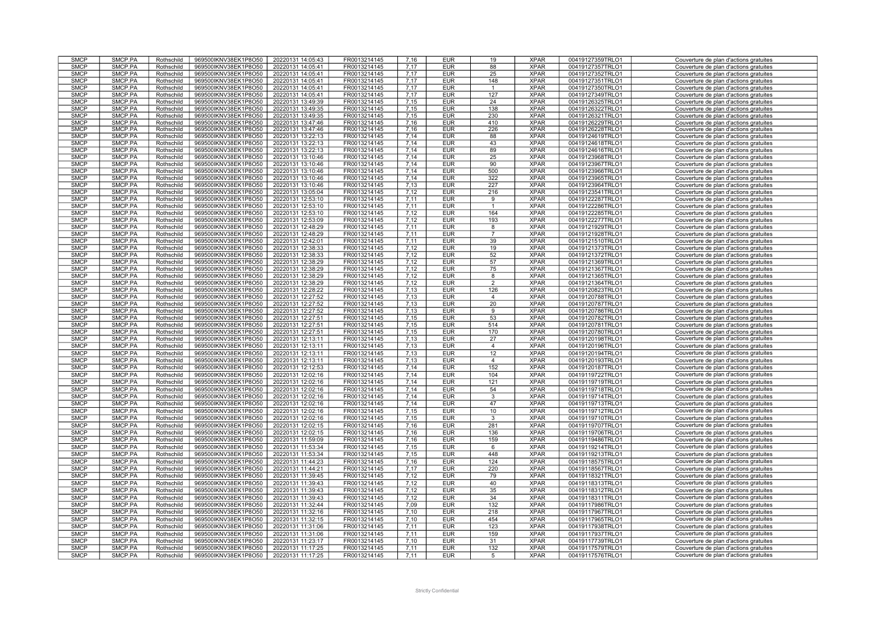| <b>SMCP</b> | SMCP.PA | Rothschild | 969500IKNV38EK1P8O50 | 20220131 14:05:43 | FR0013214145 | 7,16 | <b>EUR</b> | 19              | <b>XPAR</b> | 00419127359TRLO1 | Couverture de plan d'actions gratuites |
|-------------|---------|------------|----------------------|-------------------|--------------|------|------------|-----------------|-------------|------------------|----------------------------------------|
| <b>SMCP</b> | SMCP.PA | Rothschild | 969500IKNV38EK1P8O50 | 20220131 14:05:41 | FR0013214145 | 7,17 | <b>EUR</b> | 88              | <b>XPAR</b> | 00419127357TRLO1 | Couverture de plan d'actions gratuites |
| <b>SMCP</b> | SMCP.PA | Rothschild | 969500IKNV38EK1P8O50 | 20220131 14:05:41 | FR0013214145 | 7.17 | <b>EUR</b> | 25              | <b>XPAR</b> | 00419127352TRLO1 | Couverture de plan d'actions gratuites |
| <b>SMCP</b> | SMCP.PA | Rothschild | 969500IKNV38EK1P8O50 | 20220131 14:05:41 | FR0013214145 | 7,17 | <b>EUR</b> | 148             | <b>XPAR</b> | 00419127351TRLO1 | Couverture de plan d'actions gratuites |
|             |         |            |                      |                   |              |      |            |                 |             |                  |                                        |
| <b>SMCP</b> | SMCP.PA | Rothschild | 969500IKNV38EK1P8O50 | 20220131 14:05:41 | FR0013214145 | 7.17 | <b>EUR</b> | $\mathbf{1}$    | <b>XPAR</b> | 00419127350TRLO1 | Couverture de plan d'actions gratuites |
| <b>SMCP</b> | SMCP.PA | Rothschild | 969500IKNV38EK1P8O50 | 20220131 14:05:41 | FR0013214145 | 7.17 | <b>EUR</b> | 127             | <b>XPAR</b> | 00419127349TRLO1 | Couverture de plan d'actions gratuites |
| <b>SMCP</b> | SMCP.PA | Rothschild | 969500IKNV38EK1P8O50 | 20220131 13:49:39 | FR0013214145 | 7,15 | <b>EUR</b> | 24              | <b>XPAR</b> | 00419126325TRLO1 | Couverture de plan d'actions gratuites |
| <b>SMCP</b> | SMCP.PA | Rothschild | 969500IKNV38EK1P8O50 | 20220131 13:49:35 | FR0013214145 | 7,15 | <b>EUR</b> | 138             | <b>XPAR</b> | 00419126322TRLO1 | Couverture de plan d'actions gratuites |
| <b>SMCP</b> | SMCP.PA | Rothschild | 969500IKNV38EK1P8O50 | 20220131 13:49:35 | FR0013214145 | 7,15 | <b>EUR</b> | 230             | <b>XPAR</b> | 00419126321TRLO1 | Couverture de plan d'actions gratuites |
|             |         |            |                      |                   |              |      |            |                 |             |                  |                                        |
| <b>SMCP</b> | SMCP.PA | Rothschild | 969500IKNV38EK1P8O50 | 20220131 13:47:46 | FR0013214145 | 7,16 | <b>EUR</b> | 410             | <b>XPAR</b> | 00419126229TRLO1 | Couverture de plan d'actions gratuites |
| <b>SMCP</b> | SMCP.PA | Rothschild | 969500IKNV38EK1P8O50 | 20220131 13:47:46 | FR0013214145 | 7,16 | <b>EUR</b> | 226             | <b>XPAR</b> | 00419126228TRLO1 | Couverture de plan d'actions gratuites |
| <b>SMCP</b> | SMCP.PA | Rothschild | 969500IKNV38EK1P8O50 | 20220131 13:22:13 | FR0013214145 | 7.14 | <b>EUR</b> | 88              | <b>XPAR</b> | 00419124619TRLO1 | Couverture de plan d'actions gratuites |
| <b>SMCP</b> | SMCP.PA | Rothschild | 969500IKNV38EK1P8O50 | 20220131 13:22:13 | FR0013214145 | 7.14 | <b>EUR</b> | 43              | <b>XPAR</b> | 00419124618TRLO1 | Couverture de plan d'actions gratuites |
| <b>SMCP</b> | SMCP.PA | Rothschild | 969500IKNV38EK1P8O50 | 20220131 13:22:13 | FR0013214145 | 7,14 | <b>EUR</b> | 89              | <b>XPAR</b> | 00419124616TRLO1 | Couverture de plan d'actions gratuites |
|             |         |            |                      |                   |              |      |            |                 | <b>XPAR</b> |                  |                                        |
| <b>SMCP</b> | SMCP.PA | Rothschild | 969500IKNV38EK1P8O50 | 20220131 13:10:46 | FR0013214145 | 7.14 | <b>EUR</b> | 25              |             | 00419123968TRLO1 | Couverture de plan d'actions gratuites |
| <b>SMCP</b> | SMCP.PA | Rothschild | 969500IKNV38EK1P8O50 | 20220131 13:10:46 | FR0013214145 | 7,14 | <b>EUR</b> | 90              | <b>XPAR</b> | 00419123967TRLO1 | Couverture de plan d'actions gratuites |
| <b>SMCP</b> | SMCP.PA | Rothschild | 969500IKNV38EK1P8O50 | 20220131 13:10:46 | FR0013214145 | 7,14 | <b>EUR</b> | 500             | <b>XPAR</b> | 00419123966TRLO1 | Couverture de plan d'actions gratuites |
| <b>SMCP</b> | SMCP.PA | Rothschild | 969500IKNV38EK1P8O50 | 20220131 13:10:46 | FR0013214145 | 7.14 | <b>EUR</b> | 322             | <b>XPAR</b> | 00419123965TRLO1 | Couverture de plan d'actions gratuites |
| <b>SMCP</b> | SMCP.PA | Rothschild | 969500IKNV38EK1P8O50 | 20220131 13:10:46 | FR0013214145 | 7,13 | <b>EUR</b> | 227             | <b>XPAR</b> | 00419123964TRLO1 | Couverture de plan d'actions gratuites |
| <b>SMCP</b> | SMCP.PA |            |                      |                   |              |      |            | 216             | <b>XPAR</b> |                  |                                        |
|             |         | Rothschild | 969500IKNV38EK1P8O50 | 20220131 13:05:04 | FR0013214145 | 7,12 | <b>EUR</b> |                 |             | 00419123541TRLO1 | Couverture de plan d'actions gratuites |
| <b>SMCP</b> | SMCP.PA | Rothschild | 969500IKNV38EK1P8O50 | 20220131 12:53:10 | FR0013214145 | 7,11 | <b>EUR</b> | 9               | <b>XPAR</b> | 00419122287TRLO1 | Couverture de plan d'actions gratuites |
| <b>SMCP</b> | SMCP.PA | Rothschild | 969500IKNV38EK1P8O50 | 20220131 12:53:10 | FR0013214145 | 7,11 | <b>EUR</b> | $\mathbf{1}$    | <b>XPAR</b> | 00419122286TRLO1 | Couverture de plan d'actions gratuites |
| <b>SMCP</b> | SMCP.PA | Rothschild | 969500IKNV38EK1P8O50 | 20220131 12:53:10 | FR0013214145 | 7,12 | <b>EUR</b> | 164             | <b>XPAR</b> | 00419122285TRLO1 | Couverture de plan d'actions gratuites |
| <b>SMCP</b> | SMCP.PA | Rothschild | 969500IKNV38EK1P8O50 | 20220131 12:53:09 | FR0013214145 | 7,12 | <b>EUR</b> | 193             | <b>XPAR</b> | 00419122277TRLO1 | Couverture de plan d'actions gratuites |
| <b>SMCP</b> | SMCP.PA | Rothschild | 969500IKNV38EK1P8O50 | 20220131 12:48:29 | FR0013214145 | 7,11 | <b>EUR</b> | 8               | <b>XPAR</b> | 00419121929TRLO1 | Couverture de plan d'actions gratuites |
| <b>SMCP</b> | SMCP.PA |            |                      |                   |              |      |            |                 | <b>XPAR</b> |                  |                                        |
|             |         | Rothschild | 969500IKNV38EK1P8O50 | 20220131 12:48:29 | FR0013214145 | 7.11 | <b>EUR</b> | $\overline{7}$  |             | 00419121928TRLO1 | Couverture de plan d'actions gratuites |
| <b>SMCP</b> | SMCP.PA | Rothschild | 969500IKNV38EK1P8O50 | 20220131 12:42:01 | FR0013214145 | 7,11 | <b>EUR</b> | 39              | <b>XPAR</b> | 00419121510TRLO1 | Couverture de plan d'actions gratuites |
| <b>SMCP</b> | SMCP.PA | Rothschild | 969500IKNV38EK1P8O50 | 20220131 12:38:33 | FR0013214145 | 7,12 | <b>EUR</b> | 19              | <b>XPAR</b> | 00419121373TRLO1 | Couverture de plan d'actions gratuites |
| <b>SMCP</b> | SMCP.PA | Rothschild | 969500IKNV38EK1P8O50 | 20220131 12:38:33 | FR0013214145 | 7,12 | <b>EUR</b> | 52              | <b>XPAR</b> | 00419121372TRLO1 | Couverture de plan d'actions gratuites |
| <b>SMCP</b> | SMCP.PA | Rothschild | 969500IKNV38EK1P8O50 | 20220131 12:38:29 | FR0013214145 | 7,12 | <b>EUR</b> | 57              | <b>XPAR</b> | 00419121369TRLO1 | Couverture de plan d'actions gratuites |
| <b>SMCP</b> | SMCP.PA | Rothschild | 969500IKNV38EK1P8O50 | 20220131 12:38:29 | FR0013214145 | 7,12 | <b>EUR</b> | 75              | <b>XPAR</b> | 00419121367TRLO1 | Couverture de plan d'actions gratuites |
|             |         |            |                      |                   |              |      |            |                 |             |                  |                                        |
| <b>SMCP</b> | SMCP.PA | Rothschild | 969500IKNV38EK1P8O50 | 20220131 12:38:29 | FR0013214145 | 7.12 | <b>EUR</b> | 8               | <b>XPAR</b> | 00419121365TRLO1 | Couverture de plan d'actions gratuites |
| <b>SMCP</b> | SMCP.PA | Rothschild | 969500IKNV38EK1P8O50 | 20220131 12:38:29 | FR0013214145 | 7,12 | <b>EUR</b> | $\mathfrak{p}$  | <b>XPAR</b> | 00419121364TRLO1 | Couverture de plan d'actions gratuites |
| <b>SMCP</b> | SMCP.PA | Rothschild | 969500IKNV38EK1P8O50 | 20220131 12:28:22 | FR0013214145 | 7,13 | <b>EUR</b> | 126             | <b>XPAR</b> | 00419120823TRLO1 | Couverture de plan d'actions gratuites |
| <b>SMCP</b> | SMCP.PA | Rothschild | 969500IKNV38EK1P8O50 | 20220131 12:27:52 | FR0013214145 | 7,13 | <b>EUR</b> | $\overline{4}$  | <b>XPAR</b> | 00419120788TRLO1 | Couverture de plan d'actions gratuites |
| <b>SMCP</b> | SMCP.PA | Rothschild | 969500IKNV38EK1P8O50 | 20220131 12:27:52 | FR0013214145 | 7,13 | <b>EUR</b> | $\overline{20}$ | <b>XPAR</b> | 00419120787TRLO1 | Couverture de plan d'actions gratuites |
| <b>SMCP</b> | SMCP.PA | Rothschild | 969500IKNV38EK1P8O50 | 20220131 12:27:52 | FR0013214145 | 7,13 | <b>EUR</b> | 9               | <b>XPAR</b> | 00419120786TRLO1 | Couverture de plan d'actions gratuites |
|             |         |            |                      |                   |              |      |            | 53              |             |                  |                                        |
| <b>SMCP</b> | SMCP.PA | Rothschild | 969500IKNV38EK1P8O50 | 20220131 12:27:51 | FR0013214145 | 7,15 | <b>EUR</b> |                 | <b>XPAR</b> | 00419120782TRLO1 | Couverture de plan d'actions gratuites |
| <b>SMCP</b> | SMCP.PA | Rothschild | 969500IKNV38EK1P8O50 | 20220131 12:27:51 | FR0013214145 | 7.15 | <b>EUR</b> | 514             | <b>XPAR</b> | 00419120781TRLO1 | Couverture de plan d'actions gratuites |
| <b>SMCP</b> | SMCP.PA | Rothschild | 969500IKNV38EK1P8O50 | 20220131 12:27:51 | FR0013214145 | 7,15 | <b>EUR</b> | 170             | <b>XPAR</b> | 00419120780TRLO1 | Couverture de plan d'actions gratuites |
| <b>SMCP</b> | SMCP.PA | Rothschild | 969500IKNV38EK1P8O50 | 20220131 12:13:11 | FR0013214145 | 7,13 | <b>EUR</b> | 27              | <b>XPAR</b> | 00419120198TRLO1 | Couverture de plan d'actions gratuites |
| <b>SMCP</b> | SMCP.PA | Rothschild | 969500IKNV38EK1P8O50 | 20220131 12:13:11 | FR0013214145 | 7.13 | <b>EUR</b> | $\overline{4}$  | <b>XPAR</b> | 00419120196TRLO1 | Couverture de plan d'actions gratuites |
| <b>SMCP</b> | SMCP.PA | Rothschild | 969500IKNV38EK1P8O50 | 20220131 12:13:11 | FR0013214145 | 7,13 | <b>EUR</b> | 12              | <b>XPAR</b> | 00419120194TRLO1 | Couverture de plan d'actions gratuites |
|             |         |            |                      |                   |              |      |            |                 |             |                  |                                        |
| <b>SMCP</b> | SMCP.PA | Rothschild | 969500IKNV38EK1P8O50 | 20220131 12:13:11 | FR0013214145 | 7,13 | <b>EUR</b> | $\overline{4}$  | <b>XPAR</b> | 00419120193TRLO1 | Couverture de plan d'actions gratuites |
| <b>SMCP</b> | SMCP.PA | Rothschild | 969500IKNV38EK1P8O50 | 20220131 12:12:53 | FR0013214145 | 7,14 | <b>EUR</b> | 152             | <b>XPAR</b> | 00419120187TRLO1 | Couverture de plan d'actions gratuites |
| <b>SMCP</b> | SMCP.PA | Rothschild | 969500IKNV38EK1P8O50 | 20220131 12:02:16 | FR0013214145 | 7,14 | <b>EUR</b> | 104             | <b>XPAR</b> | 00419119722TRLO1 | Couverture de plan d'actions gratuites |
| <b>SMCP</b> | SMCP.PA | Rothschild | 969500IKNV38EK1P8O50 | 20220131 12:02:16 | FR0013214145 | 7,14 | <b>EUR</b> | 121             | <b>XPAR</b> | 00419119719TRLO1 | Couverture de plan d'actions gratuites |
|             |         |            |                      |                   |              |      |            |                 |             |                  |                                        |
| <b>SMCP</b> | SMCP.PA | Rothschild | 969500IKNV38EK1P8O50 | 20220131 12:02:16 | FR0013214145 | 7,14 | <b>EUR</b> | 54              | <b>XPAR</b> | 00419119718TRLO1 | Couverture de plan d'actions gratuites |
| <b>SMCP</b> | SMCP.PA | Rothschild | 969500IKNV38EK1P8O50 | 20220131 12:02:16 | FR0013214145 | 7,14 | <b>EUR</b> | 3               | <b>XPAR</b> | 00419119714TRLO1 | Couverture de plan d'actions gratuites |
| <b>SMCP</b> | SMCP.PA | Rothschild | 969500IKNV38EK1P8O50 | 20220131 12:02:16 | FR0013214145 | 7.14 | <b>EUR</b> | 47              | <b>XPAR</b> | 00419119713TRLO1 | Couverture de plan d'actions gratuites |
| <b>SMCP</b> | SMCP.PA | Rothschild | 969500IKNV38EK1P8O50 | 20220131 12:02:16 | FR0013214145 | 7,15 | <b>EUR</b> | 10              | <b>XPAR</b> | 00419119712TRLO1 | Couverture de plan d'actions gratuites |
| <b>SMCP</b> | SMCP.PA | Rothschild | 969500IKNV38EK1P8O50 | 20220131 12:02:16 | FR0013214145 | 7.15 | <b>EUR</b> | 3               | <b>XPAR</b> | 00419119710TRLO1 | Couverture de plan d'actions gratuites |
| <b>SMCP</b> | SMCP.PA |            |                      | 20220131 12:02:15 | FR0013214145 | 7.16 | <b>EUR</b> | 281             | <b>XPAR</b> | 00419119707TRLO1 |                                        |
|             |         | Rothschild | 969500IKNV38EK1P8O50 |                   |              |      |            |                 |             |                  | Couverture de plan d'actions gratuites |
| <b>SMCP</b> | SMCP.PA | Rothschild | 969500IKNV38EK1P8O50 | 20220131 12:02:15 | FR0013214145 | 7,16 | <b>EUR</b> | 136             | <b>XPAR</b> | 00419119706TRLO1 | Couverture de plan d'actions gratuites |
| <b>SMCP</b> | SMCP.PA | Rothschild | 969500IKNV38EK1P8O50 | 20220131 11:59:09 | FR0013214145 | 7,16 | <b>EUR</b> | 159             | <b>XPAR</b> | 00419119486TRLO1 | Couverture de plan d'actions gratuites |
| <b>SMCP</b> | SMCP.PA | Rothschild | 969500IKNV38EK1P8O50 | 20220131 11:53:34 | FR0013214145 | 7,15 | <b>EUR</b> | 6               | <b>XPAR</b> | 00419119214TRLO1 | Couverture de plan d'actions gratuites |
| <b>SMCP</b> | SMCP.PA | Rothschild | 969500IKNV38EK1P8O50 | 20220131 11:53:34 | FR0013214145 | 7,15 | <b>EUR</b> | 448             | <b>XPAR</b> | 00419119213TRLO1 | Couverture de plan d'actions gratuites |
| <b>SMCP</b> | SMCP.PA |            |                      |                   | FR0013214145 | 7,16 |            | 124             | <b>XPAR</b> |                  |                                        |
|             |         | Rothschild | 969500IKNV38EK1P8O50 | 20220131 11:44:23 |              |      | <b>EUR</b> |                 |             | 00419118575TRLO1 | Couverture de plan d'actions gratuites |
| <b>SMCP</b> | SMCP.PA | Rothschild | 969500IKNV38EK1P8O50 | 20220131 11:44:21 | FR0013214145 | 7,17 | <b>EUR</b> | 220             | <b>XPAR</b> | 00419118567TRLO1 | Couverture de plan d'actions gratuites |
| <b>SMCP</b> | SMCP.PA | Rothschild | 969500IKNV38EK1P8O50 | 20220131 11:39:45 | FR0013214145 | 7.12 | <b>EUR</b> | 79              | <b>XPAR</b> | 00419118321TRLO1 | Couverture de plan d'actions gratuites |
| <b>SMCP</b> | SMCP.PA | Rothschild | 969500IKNV38EK1P8O50 | 20220131 11:39:43 | FR0013214145 | 7,12 | <b>EUR</b> | 40              | <b>XPAR</b> | 00419118313TRLO1 | Couverture de plan d'actions gratuites |
| <b>SMCP</b> | SMCP.PA | Rothschild | 969500IKNV38EK1P8O50 | 20220131 11:39:43 | FR0013214145 | 7,12 | <b>EUR</b> | 35              | <b>XPAR</b> | 00419118312TRLO1 | Couverture de plan d'actions gratuites |
| <b>SMCP</b> | SMCP.PA | Rothschild | 969500IKNV38EK1P8O50 | 20220131 11:39:43 | FR0013214145 | 7.12 | <b>EUR</b> | 34              | <b>XPAR</b> | 00419118311TRLO1 | Couverture de plan d'actions gratuites |
|             |         |            |                      |                   |              |      |            |                 |             |                  |                                        |
| <b>SMCP</b> | SMCP.PA | Rothschild | 969500IKNV38EK1P8O50 | 20220131 11:32:44 | FR0013214145 | 7,09 | <b>EUR</b> | 132             | <b>XPAR</b> | 00419117986TRLO1 | Couverture de plan d'actions gratuites |
| <b>SMCP</b> | SMCP.PA | Rothschild | 969500IKNV38EK1P8O50 | 20220131 11:32:16 | FR0013214145 | 7,10 | <b>EUR</b> | 218             | <b>XPAR</b> | 00419117967TRLO1 | Couverture de plan d'actions gratuites |
| <b>SMCP</b> | SMCP.PA | Rothschild | 969500IKNV38EK1P8O50 | 20220131 11:32:15 | FR0013214145 | 7.10 | <b>EUR</b> | 454             | <b>XPAR</b> | 00419117965TRLO1 | Couverture de plan d'actions gratuites |
| <b>SMCP</b> | SMCP.PA | Rothschild | 969500IKNV38EK1P8O50 | 20220131 11:31:06 | FR0013214145 | 7,11 | <b>EUR</b> | 123             | <b>XPAR</b> | 00419117938TRLO1 | Couverture de plan d'actions gratuites |
| <b>SMCP</b> | SMCP.PA |            | 969500IKNV38EK1P8O50 | 20220131 11:31:06 | FR0013214145 | 7.11 | <b>EUR</b> | 159             | <b>XPAR</b> | 00419117937TRLO1 |                                        |
|             |         | Rothschild |                      |                   |              |      |            |                 |             |                  | Couverture de plan d'actions gratuites |
| <b>SMCP</b> | SMCP.PA | Rothschild | 969500IKNV38EK1P8O50 | 20220131 11:23:17 | FR0013214145 | 7.10 | <b>EUR</b> | 31              | <b>XPAR</b> | 00419117739TRLO1 | Couverture de plan d'actions gratuites |
| <b>SMCP</b> | SMCP.PA | Rothschild | 969500IKNV38EK1P8O50 | 20220131 11:17:25 | FR0013214145 | 7,11 | <b>EUR</b> | 132             | <b>XPAR</b> | 00419117579TRLO1 | Couverture de plan d'actions gratuites |
| <b>SMCP</b> | SMCP.PA | Rothschild | 969500IKNV38EK1P8O50 | 20220131 11:17:25 | FR0013214145 | 7,11 | <b>EUR</b> | $\overline{5}$  | <b>XPAR</b> | 00419117576TRLO1 | Couverture de plan d'actions gratuites |
|             |         |            |                      |                   |              |      |            |                 |             |                  |                                        |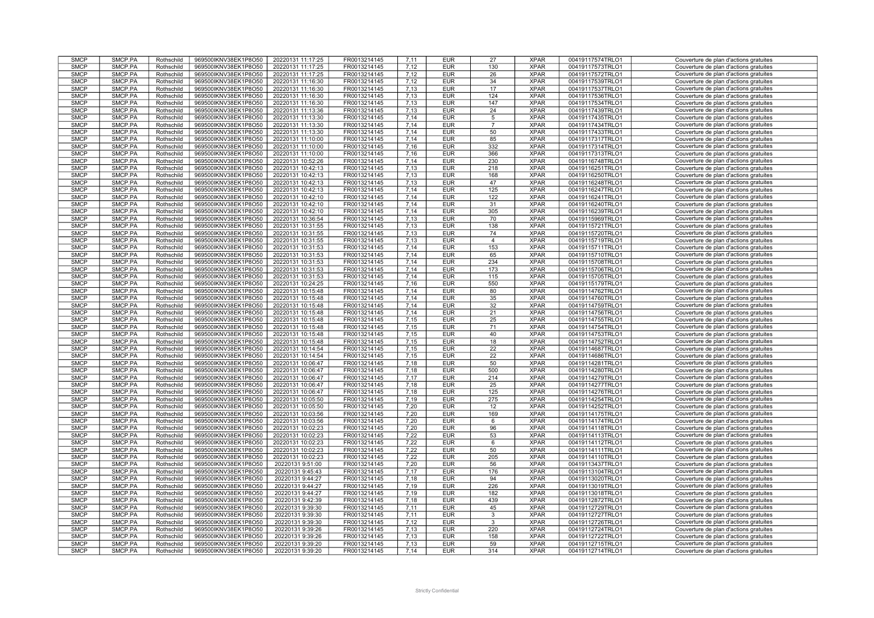| <b>SMCP</b>                | SMCP.PA            | Rothschild               | 969500IKNV38EK1P8O50                         | 20220131 11:17:25                    | FR0013214145                 | 7,11         | <b>EUR</b>               | 27              | <b>XPAR</b>                | 00419117574TRLO1                     | Couverture de plan d'actions gratuites                                           |
|----------------------------|--------------------|--------------------------|----------------------------------------------|--------------------------------------|------------------------------|--------------|--------------------------|-----------------|----------------------------|--------------------------------------|----------------------------------------------------------------------------------|
| <b>SMCP</b>                | SMCP.PA            | Rothschild               | 969500IKNV38EK1P8O50                         | 20220131 11:17:25                    | FR0013214145                 | 7,12         | <b>EUR</b>               | 130             | <b>XPAR</b>                | 00419117573TRLO1                     | Couverture de plan d'actions gratuites                                           |
| <b>SMCP</b>                | SMCP.PA            | Rothschild               | 969500IKNV38EK1P8O50                         | 20220131 11:17:25                    | FR0013214145                 | 7.12         | <b>EUR</b>               | 26              | <b>XPAR</b>                | 00419117572TRLO1                     | Couverture de plan d'actions gratuites                                           |
|                            |                    |                          |                                              |                                      |                              |              |                          |                 |                            |                                      |                                                                                  |
| <b>SMCP</b>                | SMCP.PA            | Rothschild               | 969500IKNV38EK1P8O50                         | 20220131 11:16:30                    | FR0013214145                 | 7,12         | <b>EUR</b>               | 34              | <b>XPAR</b>                | 00419117539TRLO1                     | Couverture de plan d'actions gratuites                                           |
| <b>SMCP</b>                | SMCP.PA            | Rothschild               | 969500IKNV38EK1P8O50                         | 20220131 11:16:30                    | FR0013214145                 | 7,13         | <b>EUR</b>               | 17              | <b>XPAR</b>                | 00419117537TRLO1                     | Couverture de plan d'actions gratuites                                           |
| <b>SMCP</b>                | SMCP.PA            | Rothschild               | 969500IKNV38EK1P8O50                         | 20220131 11:16:30                    | FR0013214145                 | 7.13         | <b>EUR</b>               | 124             | <b>XPAR</b>                | 00419117536TRLO1                     | Couverture de plan d'actions gratuites                                           |
| <b>SMCP</b>                | SMCP.PA            | Rothschild               | 969500IKNV38EK1P8O50                         | 20220131 11:16:30                    | FR0013214145                 | 7.13         | <b>EUR</b>               | 147             | <b>XPAR</b>                | 00419117534TRLO1                     | Couverture de plan d'actions gratuites                                           |
|                            |                    |                          |                                              |                                      |                              |              |                          |                 |                            |                                      |                                                                                  |
| <b>SMCP</b>                | SMCP.PA            | Rothschild               | 969500IKNV38EK1P8O50                         | 20220131 11:13:36                    | FR0013214145                 | 7,13         | <b>EUR</b>               | 24              | <b>XPAR</b>                | 00419117439TRLO1                     | Couverture de plan d'actions gratuites                                           |
| <b>SMCP</b>                | SMCP.PA            | Rothschild               | 969500IKNV38EK1P8O50                         | 20220131 11:13:30                    | FR0013214145                 | 7.14         | <b>EUR</b>               | 5               | <b>XPAR</b>                | 00419117435TRLO1                     | Couverture de plan d'actions gratuites                                           |
| <b>SMCP</b>                | SMCP.PA            | Rothschild               | 969500IKNV38EK1P8O50                         | 20220131 11:13:30                    | FR0013214145                 | 7,14         | <b>EUR</b>               | $\overline{7}$  | <b>XPAR</b>                | 00419117434TRLO1                     | Couverture de plan d'actions gratuites                                           |
| <b>SMCP</b>                | SMCP.PA            |                          |                                              |                                      | FR0013214145                 | 7,14         | <b>EUR</b>               | 50              | <b>XPAR</b>                |                                      |                                                                                  |
|                            |                    | Rothschild               | 969500IKNV38EK1P8O50                         | 20220131 11:13:30                    |                              |              |                          |                 |                            | 00419117433TRLO1                     | Couverture de plan d'actions gratuites                                           |
| <b>SMCP</b>                | SMCP.PA            | Rothschild               | 969500IKNV38EK1P8O50                         | 20220131 11:10:00                    | FR0013214145                 | 7.14         | <b>EUR</b>               | 85              | <b>XPAR</b>                | 00419117317TRLO1                     | Couverture de plan d'actions gratuites                                           |
| <b>SMCP</b>                | SMCP.PA            | Rothschild               | 969500IKNV38EK1P8O50                         | 20220131 11:10:00                    | FR0013214145                 | 7,16         | <b>EUR</b>               | 332             | <b>XPAR</b>                | 00419117314TRLO1                     | Couverture de plan d'actions gratuites                                           |
| <b>SMCP</b>                | SMCP.PA            | Rothschild               | 969500IKNV38EK1P8O50                         | 20220131 11:10:00                    | FR0013214145                 | 7,16         | <b>EUR</b>               | 366             | <b>XPAR</b>                | 00419117313TRLO1                     | Couverture de plan d'actions gratuites                                           |
| <b>SMCP</b>                | SMCP.PA            |                          |                                              |                                      | FR0013214145                 | 7,14         | <b>EUR</b>               | 230             | <b>XPAR</b>                | 00419116748TRLO1                     |                                                                                  |
|                            |                    | Rothschild               | 969500IKNV38EK1P8O50                         | 20220131 10:52:26                    |                              |              |                          |                 |                            |                                      | Couverture de plan d'actions gratuites                                           |
| <b>SMCP</b>                | SMCP.PA            | Rothschild               | 969500IKNV38EK1P8O50                         | 20220131 10:42:13                    | FR0013214145                 | 7,13         | <b>EUR</b>               | 218             | <b>XPAR</b>                | 00419116251TRLO1                     | Couverture de plan d'actions gratuites                                           |
| <b>SMCP</b>                | SMCP.PA            | Rothschild               | 969500IKNV38EK1P8O50                         | 20220131 10:42:13                    | FR0013214145                 | 7,13         | <b>EUR</b>               | 168             | <b>XPAR</b>                | 00419116250TRLO1                     | Couverture de plan d'actions gratuites                                           |
| <b>SMCP</b>                | SMCP.PA            | Rothschild               | 969500IKNV38EK1P8O50                         | 20220131 10:42:13                    | FR0013214145                 | 7.13         | <b>EUR</b>               | 47              | <b>XPAR</b>                | 00419116248TRLO1                     | Couverture de plan d'actions gratuites                                           |
|                            |                    |                          |                                              |                                      |                              |              |                          |                 |                            |                                      |                                                                                  |
| <b>SMCP</b>                | SMCP.PA            | Rothschild               | 969500IKNV38EK1P8O50                         | 20220131 10:42:13                    | FR0013214145                 | 7,14         | <b>EUR</b>               | 125             | <b>XPAR</b>                | 00419116247TRLO1                     | Couverture de plan d'actions gratuites                                           |
| <b>SMCP</b>                | SMCP.PA            | Rothschild               | 969500IKNV38EK1P8O50                         | 20220131 10:42:10                    | FR0013214145                 | 7,14         | <b>EUR</b>               | 122             | <b>XPAR</b>                | 00419116241TRLO1                     | Couverture de plan d'actions gratuites                                           |
| <b>SMCP</b>                | SMCP.PA            | Rothschild               | 969500IKNV38EK1P8O50                         | 20220131 10:42:10                    | FR0013214145                 | 7.14         | <b>EUR</b>               | 31              | <b>XPAR</b>                | 00419116240TRLO1                     | Couverture de plan d'actions gratuites                                           |
| <b>SMCP</b>                | SMCP.PA            | Rothschild               | 969500IKNV38EK1P8O50                         | 20220131 10:42:10                    | FR0013214145                 | 7,14         | <b>EUR</b>               | 305             | <b>XPAR</b>                | 00419116239TRLO1                     | Couverture de plan d'actions gratuites                                           |
|                            |                    |                          |                                              |                                      |                              |              |                          |                 |                            |                                      |                                                                                  |
| <b>SMCP</b>                | SMCP.PA            | Rothschild               | 969500IKNV38EK1P8O50                         | 20220131 10:36:54                    | FR0013214145                 | 7,13         | <b>EUR</b>               | 70              | <b>XPAR</b>                | 00419115969TRLO1                     | Couverture de plan d'actions gratuites                                           |
| <b>SMCP</b>                | SMCP.PA            | Rothschild               | 969500IKNV38EK1P8O50                         | 20220131 10:31:55                    | FR0013214145                 | 7,13         | <b>EUR</b>               | 138             | <b>XPAR</b>                | 00419115721TRLO1                     | Couverture de plan d'actions gratuites                                           |
| <b>SMCP</b>                | SMCP.PA            | Rothschild               | 969500IKNV38EK1P8O50                         | 20220131 10:31:55                    | FR0013214145                 | 7.13         | <b>EUR</b>               | 74              | <b>XPAR</b>                | 00419115720TRLO1                     | Couverture de plan d'actions gratuites                                           |
| <b>SMCP</b>                | SMCP.PA            | Rothschild               | 969500IKNV38EK1P8O50                         | 20220131 10:31:55                    | FR0013214145                 | 7,13         | <b>EUR</b>               | $\overline{4}$  | <b>XPAR</b>                | 00419115719TRLO1                     | Couverture de plan d'actions gratuites                                           |
|                            |                    |                          |                                              |                                      |                              |              |                          |                 |                            |                                      |                                                                                  |
| <b>SMCP</b>                | SMCP.PA            | Rothschild               | 969500IKNV38EK1P8O50                         | 20220131 10:31:53                    | FR0013214145                 | 7,14         | <b>EUR</b>               | 153             | <b>XPAR</b>                | 00419115711TRLO1                     | Couverture de plan d'actions gratuites                                           |
| <b>SMCP</b>                | SMCP.PA            | Rothschild               | 969500IKNV38EK1P8O50                         | 20220131 10:31:53                    | FR0013214145                 | 7.14         | <b>EUR</b>               | 65              | <b>XPAR</b>                | 00419115710TRLO1                     | Couverture de plan d'actions gratuites                                           |
| <b>SMCP</b>                | SMCP.PA            | Rothschild               | 969500IKNV38EK1P8O50                         | 20220131 10:31:53                    | FR0013214145                 | 7,14         | <b>EUR</b>               | 234             | <b>XPAR</b>                | 00419115708TRLO1                     | Couverture de plan d'actions gratuites                                           |
| <b>SMCP</b>                | SMCP.PA            |                          |                                              |                                      |                              |              |                          | 173             | <b>XPAR</b>                |                                      |                                                                                  |
|                            |                    | Rothschild               | 969500IKNV38EK1P8O50                         | 20220131 10:31:53                    | FR0013214145                 | 7,14         | <b>EUR</b>               |                 |                            | 00419115706TRLO1                     | Couverture de plan d'actions gratuites                                           |
| <b>SMCP</b>                | SMCP.PA            | Rothschild               | 969500IKNV38EK1P8O50                         | 20220131 10:31:53                    | FR0013214145                 | 7.14         | <b>EUR</b>               | 115             | <b>XPAR</b>                | 00419115705TRLO1                     | Couverture de plan d'actions gratuites                                           |
| <b>SMCP</b>                | SMCP.PA            | Rothschild               | 969500IKNV38EK1P8O50                         | 20220131 10:24:25                    | FR0013214145                 | 7.16         | <b>EUR</b>               | 550             | <b>XPAR</b>                | 00419115179TRLO1                     | Couverture de plan d'actions gratuites                                           |
| <b>SMCP</b>                | SMCP.PA            | Rothschild               | 969500IKNV38EK1P8O50                         | 20220131 10:15:48                    | FR0013214145                 | 7,14         | <b>EUR</b>               | 80              | <b>XPAR</b>                | 00419114762TRLO1                     | Couverture de plan d'actions gratuites                                           |
| <b>SMCP</b>                | SMCP.PA            |                          |                                              |                                      | FR0013214145                 | 7.14         |                          |                 | <b>XPAR</b>                | 00419114760TRLO1                     |                                                                                  |
|                            |                    | Rothschild               | 969500IKNV38EK1P8O50                         | 20220131 10:15:48                    |                              |              | <b>EUR</b>               | 35              |                            |                                      | Couverture de plan d'actions gratuites                                           |
| <b>SMCP</b>                | SMCP.PA            | Rothschild               | 969500IKNV38EK1P8O50                         | 20220131 10:15:48                    | FR0013214145                 | 7,14         | <b>EUR</b>               | 32              | <b>XPAR</b>                | 00419114759TRLO1                     | Couverture de plan d'actions gratuites                                           |
| <b>SMCP</b>                | SMCP.PA            | Rothschild               | 969500IKNV38EK1P8O50                         | 20220131 10:15:48                    | FR0013214145                 | 7,14         | <b>EUR</b>               | 21              | <b>XPAR</b>                | 00419114756TRLO1                     | Couverture de plan d'actions gratuites                                           |
| <b>SMCP</b>                | SMCP.PA            | Rothschild               | 969500IKNV38EK1P8O50                         | 20220131 10:15:48                    | FR0013214145                 | 7.15         | <b>EUR</b>               | 25              | <b>XPAR</b>                | 00419114755TRLO1                     | Couverture de plan d'actions gratuites                                           |
|                            |                    |                          |                                              |                                      |                              |              |                          |                 | <b>XPAR</b>                |                                      |                                                                                  |
| <b>SMCP</b>                | SMCP.PA            | Rothschild               | 969500IKNV38EK1P8O50                         | 20220131 10:15:48                    | FR0013214145                 | 7,15         | <b>EUR</b>               | 71              |                            | 00419114754TRLO1                     | Couverture de plan d'actions gratuites                                           |
| <b>SMCP</b>                | SMCP.PA            | Rothschild               | 969500IKNV38EK1P8O50                         | 20220131 10:15:48                    | FR0013214145                 | 7,15         | <b>EUR</b>               | 40              | <b>XPAR</b>                | 00419114753TRLO1                     | Couverture de plan d'actions gratuites                                           |
| <b>SMCP</b>                | SMCP.PA            | Rothschild               | 969500IKNV38EK1P8O50                         | 20220131 10:15:48                    | FR0013214145                 | 7,15         | <b>EUR</b>               | 18              | <b>XPAR</b>                | 00419114752TRLO1                     | Couverture de plan d'actions gratuites                                           |
| <b>SMCP</b>                | SMCP.PA            | Rothschild               | 969500IKNV38EK1P8O50                         | 20220131 10:14:54                    | FR0013214145                 | 7,15         | <b>EUR</b>               | 22              | <b>XPAR</b>                | 00419114687TRLO1                     | Couverture de plan d'actions gratuites                                           |
|                            |                    |                          |                                              |                                      |                              |              |                          |                 |                            |                                      |                                                                                  |
| <b>SMCP</b>                | SMCP.PA            | Rothschild               | 969500IKNV38EK1P8O50                         | 20220131 10:14:54                    | FR0013214145                 | 7.15         | <b>EUR</b>               | $\overline{22}$ | <b>XPAR</b>                | 00419114686TRLO1                     | Couverture de plan d'actions gratuites                                           |
| <b>SMCP</b>                | SMCP.PA            | Rothschild               | 969500IKNV38EK1P8O50                         | 20220131 10:06:47                    | FR0013214145                 | 7,18         | <b>EUR</b>               | 50              | <b>XPAR</b>                | 00419114281TRLO1                     | Couverture de plan d'actions gratuites                                           |
| <b>SMCP</b>                | SMCP.PA            | Rothschild               | 969500IKNV38EK1P8O50                         | 20220131 10:06:47                    | FR0013214145                 | 7,18         | <b>EUR</b>               | 500             | <b>XPAR</b>                | 00419114280TRLO1                     | Couverture de plan d'actions gratuites                                           |
| <b>SMCP</b>                | SMCP.PA            | Rothschild               | 969500IKNV38EK1P8O50                         | 20220131 10:06:47                    | FR0013214145                 | 7,17         | <b>EUR</b>               | 214             |                            |                                      |                                                                                  |
|                            |                    |                          |                                              |                                      |                              |              |                          |                 |                            |                                      |                                                                                  |
| <b>SMCP</b>                | SMCP.PA            | Rothschild               | 969500IKNV38EK1P8O50                         | 20220131 10:06:47                    |                              |              |                          |                 | <b>XPAR</b>                | 00419114279TRLO1                     | Couverture de plan d'actions gratuites                                           |
| <b>SMCP</b>                | SMCP.PA            |                          |                                              |                                      | FR0013214145                 | 7.18         | <b>EUR</b>               | 25              | <b>XPAR</b>                | 00419114277TRLO1                     | Couverture de plan d'actions gratuites                                           |
| <b>SMCP</b>                |                    | Rothschild               | 969500IKNV38EK1P8O50                         | 20220131 10:06:47                    | FR0013214145                 | 7,18         | <b>EUR</b>               | 125             | <b>XPAR</b>                | 00419114276TRLO1                     | Couverture de plan d'actions gratuites                                           |
|                            |                    |                          |                                              |                                      |                              |              |                          |                 |                            |                                      |                                                                                  |
|                            | SMCP.PA            | Rothschild               | 969500IKNV38EK1P8O50                         | 20220131 10:05:50                    | FR0013214145                 | 7,19         | <b>EUR</b>               | 275             | <b>XPAR</b>                | 00419114254TRLO1                     | Couverture de plan d'actions gratuites                                           |
| <b>SMCP</b>                | SMCP.PA            | Rothschild               | 969500IKNV38EK1P8O50                         | 20220131 10:05:50                    | FR0013214145                 | 7.20         | <b>EUR</b>               | 12              | <b>XPAR</b>                | 00419114252TRLO1                     | Couverture de plan d'actions gratuites                                           |
| <b>SMCP</b>                | SMCP.PA            | Rothschild               | 969500IKNV38EK1P8O50                         | 20220131 10:03:56                    | FR0013214145                 | 7,20         | <b>EUR</b>               | 169             | <b>XPAR</b>                | 00419114175TRLO1                     | Couverture de plan d'actions gratuites                                           |
| <b>SMCP</b>                | SMCP.PA            | Rothschild               | 969500IKNV38EK1P8O50                         | 20220131 10:03:56                    | FR0013214145                 | 7,20         | <b>EUR</b>               | 6               | <b>XPAR</b>                | 00419114174TRLO1                     | Couverture de plan d'actions gratuites                                           |
|                            |                    |                          |                                              |                                      |                              |              |                          |                 |                            |                                      |                                                                                  |
| <b>SMCP</b>                | SMCP.PA            | Rothschild               | 969500IKNV38EK1P8O50                         | 20220131 10:02:23                    | FR0013214145                 | 7,20         | <b>EUR</b>               | 96              | <b>XPAR</b>                | 00419114118TRLO1                     | Couverture de plan d'actions gratuites                                           |
| <b>SMCP</b>                | SMCP.PA            | Rothschild               | 969500IKNV38EK1P8O50                         | 20220131 10:02:23                    | FR0013214145                 | 7,22         | <b>EUR</b>               | 53              | <b>XPAR</b>                | 00419114113TRLO1                     | Couverture de plan d'actions gratuites                                           |
| <b>SMCP</b>                | SMCP.PA            | Rothschild               | 969500IKNV38EK1P8O50                         | 20220131 10:02:23                    | FR0013214145                 | 7,22         | <b>EUR</b>               | $6\overline{6}$ | <b>XPAR</b>                | 00419114112TRLO1                     | Couverture de plan d'actions gratuites                                           |
| <b>SMCP</b>                | SMCP.PA            | Rothschild               | 969500IKNV38EK1P8O50                         | 20220131 10:02:23                    | FR0013214145                 | 7,22         | <b>EUR</b>               | 50              | <b>XPAR</b>                | 00419114111TRLO1                     | Couverture de plan d'actions gratuites                                           |
|                            | SMCP.PA            |                          |                                              |                                      |                              |              |                          |                 | <b>XPAR</b>                | 00419114110TRLO1                     | Couverture de plan d'actions gratuites                                           |
| <b>SMCP</b>                |                    | Rothschild               | 969500IKNV38EK1P8O50                         | 20220131 10:02:23                    | FR0013214145                 | 7,22         | <b>EUR</b>               | 205             |                            |                                      |                                                                                  |
| <b>SMCP</b>                | SMCP.PA            | Rothschild               | 969500IKNV38EK1P8O50                         | 20220131 9:51:00                     | FR0013214145                 | 7.20         | <b>EUR</b>               | 56              | <b>XPAR</b>                | 00419113437TRLO1                     | Couverture de plan d'actions gratuites                                           |
| <b>SMCP</b>                | SMCP.PA            | Rothschild               | 969500IKNV38EK1P8O50                         | 20220131 9:45:43                     | FR0013214145                 | 7,17         | <b>EUR</b>               | 176             | <b>XPAR</b>                | 00419113104TRLO1                     | Couverture de plan d'actions gratuites                                           |
| <b>SMCP</b>                | SMCP.PA            | Rothschild               | 969500IKNV38EK1P8O50                         | 20220131 9:44:27                     | FR0013214145                 | 7.18         | <b>EUR</b>               | 94              | <b>XPAR</b>                | 00419113020TRLO1                     | Couverture de plan d'actions gratuites                                           |
|                            |                    |                          |                                              |                                      |                              |              |                          |                 |                            |                                      |                                                                                  |
| <b>SMCP</b>                | SMCP.PA            | Rothschild               | 969500IKNV38EK1P8O50                         | 20220131 9:44:27                     | FR0013214145                 | 7,19         | <b>EUR</b>               | 226             | <b>XPAR</b>                | 00419113019TRLO1                     | Couverture de plan d'actions gratuites                                           |
| <b>SMCP</b>                | SMCP.PA            | Rothschild               | 969500IKNV38EK1P8O50                         | 20220131 9:44:27                     | FR0013214145                 | 7,19         | <b>EUR</b>               | 182             | <b>XPAR</b>                | 00419113018TRLO1                     | Couverture de plan d'actions gratuites                                           |
| <b>SMCP</b>                | SMCP.PA            | Rothschild               | 969500IKNV38EK1P8O50                         | 20220131 9:42:39                     | FR0013214145                 | 7.18         | <b>EUR</b>               | 439             | <b>XPAR</b>                | 00419112872TRLO1                     | Couverture de plan d'actions gratuites                                           |
| <b>SMCP</b>                | SMCP.PA            | Rothschild               | 969500IKNV38EK1P8O50                         | 20220131 9:39:30                     | FR0013214145                 | 7,11         | <b>EUR</b>               | 45              | <b>XPAR</b>                | 00419112729TRLO1                     | Couverture de plan d'actions gratuites                                           |
| <b>SMCP</b>                | SMCP.PA            |                          |                                              |                                      | FR0013214145                 | 7.11         | <b>EUR</b>               |                 | <b>XPAR</b>                | 00419112727TRLO1                     | Couverture de plan d'actions gratuites                                           |
|                            |                    | Rothschild               | 969500IKNV38EK1P8O50                         | 20220131 9:39:30                     |                              |              |                          | 3               |                            |                                      |                                                                                  |
| <b>SMCP</b>                | SMCP.PA            | Rothschild               | 969500IKNV38EK1P8O50                         | 20220131 9:39:30                     | FR0013214145                 | 7.12         | <b>EUR</b>               | 3               | <b>XPAR</b>                | 00419112726TRLO1                     | Couverture de plan d'actions gratuites                                           |
| <b>SMCP</b>                | SMCP.PA            | Rothschild               | 969500IKNV38EK1P8O50                         | 20220131 9:39:26                     | FR0013214145                 | 7,13         | <b>EUR</b>               | 220             | <b>XPAR</b>                | 00419112724TRLO1                     | Couverture de plan d'actions gratuites                                           |
| <b>SMCP</b>                | SMCP.PA            | Rothschild               | 969500IKNV38EK1P8O50                         | 20220131 9:39:26                     | FR0013214145                 | 7.13         | <b>EUR</b>               | 158             | <b>XPAR</b>                | 00419112722TRLO1                     | Couverture de plan d'actions gratuites                                           |
|                            |                    |                          |                                              |                                      |                              |              |                          |                 |                            |                                      |                                                                                  |
| <b>SMCP</b><br><b>SMCP</b> | SMCP.PA<br>SMCP.PA | Rothschild<br>Rothschild | 969500IKNV38EK1P8O50<br>969500IKNV38EK1P8O50 | 20220131 9:39:20<br>20220131 9:39:20 | FR0013214145<br>FR0013214145 | 7,13<br>7,14 | <b>EUR</b><br><b>EUR</b> | 59<br>314       | <b>XPAR</b><br><b>XPAR</b> | 00419112715TRLO1<br>00419112714TRLO1 | Couverture de plan d'actions gratuites<br>Couverture de plan d'actions gratuites |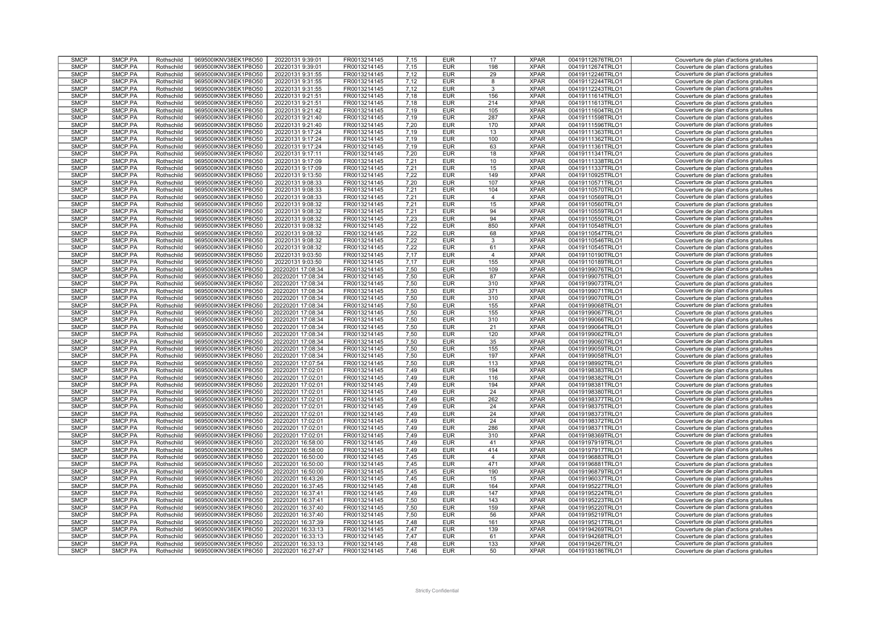| <b>SMCP</b> | SMCP.PA | Rothschild | 969500IKNV38EK1P8O50 | 20220131 9:39:01  | FR0013214145 | 7,15 | <b>EUR</b> | 17             | <b>XPAR</b> | 00419112676TRLO1 | Couverture de plan d'actions gratuites |
|-------------|---------|------------|----------------------|-------------------|--------------|------|------------|----------------|-------------|------------------|----------------------------------------|
| <b>SMCP</b> | SMCP.PA | Rothschild | 969500IKNV38EK1P8O50 | 20220131 9:39:01  | FR0013214145 | 7.15 | <b>EUR</b> | 198            | <b>XPAR</b> | 00419112674TRLO1 | Couverture de plan d'actions gratuites |
|             |         |            |                      |                   |              |      |            |                |             |                  |                                        |
| <b>SMCP</b> | SMCP.PA | Rothschild | 969500IKNV38EK1P8O50 | 20220131 9:31:55  | FR0013214145 | 7.12 | <b>EUR</b> | 29             | <b>XPAR</b> | 00419112246TRLO1 | Couverture de plan d'actions gratuites |
| <b>SMCP</b> | SMCP.PA | Rothschild | 969500IKNV38EK1P8O50 | 20220131 9:31:55  | FR0013214145 | 7,12 | <b>EUR</b> | 8              | <b>XPAR</b> | 00419112244TRLO1 | Couverture de plan d'actions gratuites |
| <b>SMCP</b> | SMCP.PA | Rothschild | 969500IKNV38EK1P8O50 | 20220131 9:31:55  | FR0013214145 | 7.12 | <b>EUR</b> | 3              | <b>XPAR</b> | 00419112243TRLO1 | Couverture de plan d'actions gratuites |
| <b>SMCP</b> | SMCP.PA | Rothschild | 969500IKNV38EK1P8O50 | 20220131 9:21:51  | FR0013214145 | 7,18 | <b>EUR</b> | 156            | <b>XPAR</b> | 00419111614TRLO1 | Couverture de plan d'actions gratuites |
| <b>SMCP</b> | SMCP.PA | Rothschild | 969500IKNV38EK1P8O50 | 20220131 9:21:51  | FR0013214145 | 7,18 | <b>EUR</b> | 214            | <b>XPAR</b> | 00419111613TRLO1 | Couverture de plan d'actions gratuites |
| <b>SMCP</b> | SMCP.PA | Rothschild | 969500IKNV38EK1P8O50 | 20220131 9:21:42  | FR0013214145 | 7,19 | <b>EUR</b> | 105            | <b>XPAR</b> | 00419111604TRLO1 | Couverture de plan d'actions gratuites |
|             |         |            |                      |                   |              |      |            |                |             |                  |                                        |
| <b>SMCP</b> | SMCP.PA | Rothschild | 969500IKNV38EK1P8O50 | 20220131 9:21:40  | FR0013214145 | 7,19 | <b>EUR</b> | 287            | <b>XPAR</b> | 00419111598TRLO1 | Couverture de plan d'actions gratuites |
| <b>SMCP</b> | SMCP.PA | Rothschild | 969500IKNV38EK1P8O50 | 20220131 9:21:40  | FR0013214145 | 7,20 | <b>EUR</b> | 170            | <b>XPAR</b> | 00419111596TRLO1 | Couverture de plan d'actions gratuites |
| <b>SMCP</b> | SMCP.PA | Rothschild | 969500IKNV38EK1P8O50 | 20220131 9:17:24  | FR0013214145 | 7,19 | <b>EUR</b> | 13             | <b>XPAR</b> | 00419111363TRLO1 | Couverture de plan d'actions gratuites |
| <b>SMCP</b> | SMCP.PA | Rothschild | 969500IKNV38EK1P8O50 | 20220131 9:17:24  | FR0013214145 | 7,19 | <b>EUR</b> | 100            | <b>XPAR</b> | 00419111362TRLO1 | Couverture de plan d'actions gratuites |
| <b>SMCP</b> | SMCP.PA | Rothschild | 969500IKNV38EK1P8O50 | 20220131 9:17:24  | FR0013214145 | 7,19 | <b>EUR</b> | 63             | <b>XPAR</b> | 00419111361TRLO1 | Couverture de plan d'actions gratuites |
| <b>SMCP</b> | SMCP.PA | Rothschild | 969500IKNV38EK1P8O50 | 20220131 9:17:11  | FR0013214145 | 7,20 | <b>EUR</b> | 18             | <b>XPAR</b> | 00419111341TRLO1 | Couverture de plan d'actions gratuites |
| <b>SMCP</b> | SMCP.PA |            |                      |                   |              |      |            |                | <b>XPAR</b> |                  |                                        |
|             |         | Rothschild | 969500IKNV38EK1P8O50 | 20220131 9:17:09  | FR0013214145 | 7,21 | <b>EUR</b> | 10             |             | 00419111338TRLO1 | Couverture de plan d'actions gratuites |
| <b>SMCP</b> | SMCP.PA | Rothschild | 969500IKNV38EK1P8O50 | 20220131 9:17:09  | FR0013214145 | 7.21 | <b>EUR</b> | 15             | <b>XPAR</b> | 00419111337TRLO1 | Couverture de plan d'actions gratuites |
| <b>SMCP</b> | SMCP.PA | Rothschild | 969500IKNV38EK1P8O50 | 20220131 9:13:50  | FR0013214145 | 7,22 | <b>EUR</b> | 149            | <b>XPAR</b> | 00419110925TRLO1 | Couverture de plan d'actions gratuites |
| <b>SMCP</b> | SMCP.PA | Rothschild | 969500IKNV38EK1P8O50 | 20220131 9:08:33  | FR0013214145 | 7.20 | <b>EUR</b> | 107            | <b>XPAR</b> | 00419110571TRLO1 | Couverture de plan d'actions gratuites |
| <b>SMCP</b> | SMCP.PA | Rothschild | 969500IKNV38EK1P8O50 | 20220131 9:08:33  | FR0013214145 | 7.21 | <b>EUR</b> | 104            | <b>XPAR</b> | 00419110570TRLO1 | Couverture de plan d'actions gratuites |
| <b>SMCP</b> | SMCP.PA | Rothschild | 969500IKNV38EK1P8O50 | 20220131 9:08:33  | FR0013214145 | 7,21 | <b>EUR</b> | 4              | <b>XPAR</b> | 00419110569TRLO1 | Couverture de plan d'actions gratuites |
| <b>SMCP</b> | SMCP.PA | Rothschild | 969500IKNV38EK1P8O50 | 20220131 9:08:32  | FR0013214145 | 7.21 | <b>EUR</b> | 15             | <b>XPAR</b> | 00419110560TRLO1 | Couverture de plan d'actions gratuites |
|             |         |            |                      |                   |              |      |            |                |             |                  |                                        |
| <b>SMCP</b> | SMCP.PA | Rothschild | 969500IKNV38EK1P8O50 | 20220131 9:08:32  | FR0013214145 | 7,21 | <b>EUR</b> | 94             | <b>XPAR</b> | 00419110559TRLO1 | Couverture de plan d'actions gratuites |
| <b>SMCP</b> | SMCP.PA | Rothschild | 969500IKNV38EK1P8O50 | 20220131 9:08:32  | FR0013214145 | 7,23 | <b>EUR</b> | 94             | <b>XPAR</b> | 00419110550TRLO1 | Couverture de plan d'actions gratuites |
| <b>SMCP</b> | SMCP.PA | Rothschild | 969500IKNV38EK1P8O50 | 20220131 9:08:32  | FR0013214145 | 7,22 | <b>EUR</b> | 850            | <b>XPAR</b> | 00419110548TRLO1 | Couverture de plan d'actions gratuites |
| <b>SMCP</b> | SMCP.PA | Rothschild | 969500IKNV38EK1P8O50 | 20220131 9:08:32  | FR0013214145 | 7,22 | <b>EUR</b> | 68             | <b>XPAR</b> | 00419110547TRLO1 | Couverture de plan d'actions gratuites |
| <b>SMCP</b> | SMCP.PA | Rothschild | 969500IKNV38EK1P8O50 | 20220131 9:08:32  | FR0013214145 | 7,22 | <b>EUR</b> | 3              | <b>XPAR</b> | 00419110546TRLO1 | Couverture de plan d'actions gratuites |
| <b>SMCP</b> | SMCP.PA | Rothschild | 969500IKNV38EK1P8O50 | 20220131 9:08:32  | FR0013214145 | 7,22 | <b>EUR</b> | 61             | <b>XPAR</b> | 00419110545TRLO1 | Couverture de plan d'actions gratuites |
|             |         |            |                      |                   |              |      |            |                |             |                  |                                        |
| <b>SMCP</b> | SMCP.PA | Rothschild | 969500IKNV38EK1P8O50 | 20220131 9:03:50  | FR0013214145 | 7,17 | <b>EUR</b> | $\overline{4}$ | <b>XPAR</b> | 00419110190TRLO1 | Couverture de plan d'actions gratuites |
| <b>SMCP</b> | SMCP.PA | Rothschild | 969500IKNV38EK1P8O50 | 20220131 9:03:50  | FR0013214145 | 7,17 | <b>EUR</b> | 155            | <b>XPAR</b> | 00419110189TRLO1 | Couverture de plan d'actions gratuites |
| <b>SMCP</b> | SMCP.PA | Rothschild | 969500IKNV38EK1P8O50 | 20220201 17:08:34 | FR0013214145 | 7,50 | <b>EUR</b> | 109            | <b>XPAR</b> | 00419199076TRLO1 | Couverture de plan d'actions gratuites |
| <b>SMCP</b> | SMCP.PA | Rothschild | 969500IKNV38EK1P8O50 | 20220201 17:08:34 | FR0013214145 | 7.50 | <b>EUR</b> | 87             | <b>XPAR</b> | 00419199075TRLO1 | Couverture de plan d'actions gratuites |
| <b>SMCP</b> | SMCP.PA | Rothschild | 969500IKNV38EK1P8O50 | 20220201 17:08:34 | FR0013214145 | 7.50 | <b>EUR</b> | 310            | <b>XPAR</b> | 00419199073TRLO1 | Couverture de plan d'actions gratuites |
| <b>SMCP</b> | SMCP.PA | Rothschild | 969500IKNV38EK1P8O50 | 20220201 17:08:34 | FR0013214145 | 7,50 | <b>EUR</b> | 371            | <b>XPAR</b> | 00419199071TRLO1 | Couverture de plan d'actions gratuites |
| <b>SMCP</b> | SMCP.PA | Rothschild |                      |                   | FR0013214145 | 7,50 |            | 310            | <b>XPAR</b> | 00419199070TRLO1 |                                        |
|             |         |            | 969500IKNV38EK1P8O50 | 20220201 17:08:34 |              |      | <b>EUR</b> |                |             |                  | Couverture de plan d'actions gratuites |
| <b>SMCP</b> | SMCP.PA | Rothschild | 969500IKNV38EK1P8O50 | 20220201 17:08:34 | FR0013214145 | 7,50 | <b>EUR</b> | 155            | <b>XPAR</b> | 00419199068TRLO1 | Couverture de plan d'actions gratuites |
| <b>SMCP</b> | SMCP.PA | Rothschild | 969500IKNV38EK1P8O50 | 20220201 17:08:34 | FR0013214145 | 7,50 | <b>EUR</b> | 155            | <b>XPAR</b> | 00419199067TRLO1 | Couverture de plan d'actions gratuites |
| <b>SMCP</b> | SMCP.PA | Rothschild | 969500IKNV38EK1P8O50 | 20220201 17:08:34 | FR0013214145 | 7.50 | <b>EUR</b> | 310            | <b>XPAR</b> | 00419199066TRLO1 | Couverture de plan d'actions gratuites |
| <b>SMCP</b> | SMCP.PA | Rothschild | 969500IKNV38EK1P8O50 | 20220201 17:08:34 | FR0013214145 | 7,50 | <b>EUR</b> | 21             | <b>XPAR</b> | 00419199064TRLO1 | Couverture de plan d'actions gratuites |
| <b>SMCP</b> | SMCP.PA | Rothschild | 969500IKNV38EK1P8O50 | 20220201 17:08:34 | FR0013214145 | 7,50 | <b>EUR</b> | 120            | <b>XPAR</b> | 00419199062TRLO1 | Couverture de plan d'actions gratuites |
| <b>SMCP</b> | SMCP.PA | Rothschild | 969500IKNV38EK1P8O50 | 20220201 17:08:34 | FR0013214145 | 7,50 | <b>EUR</b> | 35             | <b>XPAR</b> | 00419199060TRLO1 | Couverture de plan d'actions gratuites |
| <b>SMCP</b> | SMCP.PA | Rothschild | 969500IKNV38EK1P8O50 | 20220201 17:08:34 | FR0013214145 | 7,50 | <b>EUR</b> | 155            | <b>XPAR</b> | 00419199059TRLO1 | Couverture de plan d'actions gratuites |
|             |         |            |                      |                   |              |      |            |                |             |                  |                                        |
| <b>SMCP</b> | SMCP.PA | Rothschild | 969500IKNV38EK1P8O50 | 20220201 17:08:34 | FR0013214145 | 7.50 | <b>EUR</b> | 197            | <b>XPAR</b> | 00419199058TRLO1 | Couverture de plan d'actions gratuites |
| <b>SMCF</b> | SMCP.PA | Rothschild | 969500IKNV38EK1P8O50 | 20220201 17:07:54 | FR0013214145 | 7,50 | <b>EUR</b> | 113            | <b>XPAR</b> | 00419198992TRLO1 | Couverture de plan d'actions gratuites |
| <b>SMCP</b> | SMCP.PA | Rothschild | 969500IKNV38EK1P8O50 | 20220201 17:02:01 | FR0013214145 | 7,49 | <b>EUR</b> | 194            | <b>XPAR</b> | 00419198383TRLO1 | Couverture de plan d'actions gratuites |
| <b>SMCP</b> | SMCP.PA | Rothschild | 969500IKNV38EK1P8O50 | 20220201 17:02:01 | FR0013214145 | 7.49 | <b>EUR</b> | 116            | <b>XPAR</b> | 00419198382TRLO1 | Couverture de plan d'actions gratuites |
| <b>SMCP</b> | SMCP.PA | Rothschild | 969500IKNV38EK1P8O50 | 20220201 17:02:01 | FR0013214145 | 7,49 | <b>EUR</b> | 194            | <b>XPAR</b> | 00419198381TRLO1 | Couverture de plan d'actions gratuites |
| <b>SMCP</b> | SMCP.PA | Rothschild | 969500IKNV38EK1P8O50 | 20220201 17:02:01 | FR0013214145 | 7.49 | <b>EUR</b> | 24             | <b>XPAR</b> | 00419198380TRLO1 | Couverture de plan d'actions gratuites |
| <b>SMCP</b> | SMCP.PA | Rothschild | 969500IKNV38EK1P8O50 | 20220201 17:02:01 | FR0013214145 | 7,49 | <b>EUR</b> | 262            | <b>XPAR</b> | 00419198377TRLO1 | Couverture de plan d'actions gratuites |
|             |         |            |                      |                   |              |      |            |                |             |                  |                                        |
| <b>SMCP</b> | SMCP.PA | Rothschild | 969500IKNV38EK1P8O50 | 20220201 17:02:01 | FR0013214145 | 7,49 | <b>EUR</b> | 24             | <b>XPAR</b> | 00419198375TRLO1 | Couverture de plan d'actions gratuites |
| <b>SMCP</b> | SMCP.PA | Rothschild | 969500IKNV38EK1P8O50 | 20220201 17:02:01 | FR0013214145 | 7.49 | <b>EUR</b> | 24             | <b>XPAR</b> | 00419198373TRLO1 | Couverture de plan d'actions gratuites |
| <b>SMCP</b> | SMCP.PA | Rothschild | 969500IKNV38EK1P8O50 | 20220201 17:02:01 | FR0013214145 | 7,49 | <b>EUR</b> | 24             | <b>XPAR</b> | 00419198372TRLO1 | Couverture de plan d'actions gratuites |
| <b>SMCP</b> | SMCP.PA | Rothschild | 969500IKNV38EK1P8O50 | 20220201 17:02:01 | FR0013214145 | 7,49 | <b>EUR</b> | 286            | <b>XPAR</b> | 00419198371TRLO1 | Couverture de plan d'actions gratuites |
| <b>SMCP</b> | SMCP.PA | Rothschild | 969500IKNV38EK1P8O50 | 20220201 17:02:01 | FR0013214145 | 7.49 | <b>EUR</b> | 310            | <b>XPAR</b> | 00419198369TRLO1 | Couverture de plan d'actions gratuites |
| <b>SMCP</b> | SMCP.PA | Rothschild | 969500IKNV38EK1P8O50 | 20220201 16:58:00 | FR0013214145 | 7,49 | <b>EUR</b> | 41             | <b>XPAR</b> | 00419197919TRLO1 | Couverture de plan d'actions gratuites |
| <b>SMCP</b> | SMCP.PA | Rothschild | 969500IKNV38EK1P8O50 | 20220201 16:58:00 | FR0013214145 | 7.49 | <b>EUR</b> | 414            | <b>XPAR</b> | 00419197917TRLO1 | Couverture de plan d'actions gratuites |
| <b>SMCP</b> | SMCP.PA | Rothschild | 969500IKNV38EK1P8O50 | 20220201 16:50:00 | FR0013214145 | 7.45 | <b>EUR</b> | 4              | <b>XPAR</b> |                  | Couverture de plan d'actions gratuites |
|             |         |            |                      |                   |              |      |            |                |             | 00419196883TRLO1 |                                        |
| <b>SMCP</b> | SMCP.PA | Rothschild | 969500IKNV38EK1P8O50 | 20220201 16:50:00 | FR0013214145 | 7,45 | <b>EUR</b> | 471            | <b>XPAR</b> | 00419196881TRLO1 | Couverture de plan d'actions gratuites |
| <b>SMCP</b> | SMCP.PA | Rothschild | 969500IKNV38EK1P8O50 | 20220201 16:50:00 | FR0013214145 | 7.45 | <b>EUR</b> | 190            | <b>XPAR</b> | 00419196879TRLO1 | Couverture de plan d'actions gratuites |
| <b>SMCP</b> | SMCP.PA | Rothschild | 969500IKNV38EK1P8O50 | 20220201 16:43:26 | FR0013214145 | 7,45 | <b>EUR</b> | 15             | <b>XPAR</b> | 00419196037TRLO1 | Couverture de plan d'actions gratuites |
| <b>SMCP</b> | SMCP.PA | Rothschild | 969500IKNV38EK1P8O50 | 20220201 16:37:45 | FR0013214145 | 7,48 | <b>EUR</b> | 164            | <b>XPAR</b> | 00419195227TRLO1 | Couverture de plan d'actions gratuites |
| <b>SMCP</b> | SMCP.PA | Rothschild | 969500IKNV38EK1P8O50 | 20220201 16:37:41 | FR0013214145 | 7,49 | <b>EUR</b> | 147            | <b>XPAR</b> | 00419195224TRLO1 | Couverture de plan d'actions gratuites |
| <b>SMCP</b> | SMCP.PA | Rothschild | 969500IKNV38EK1P8O50 | 20220201 16:37:41 | FR0013214145 | 7,50 | <b>EUR</b> | 143            | <b>XPAR</b> | 00419195223TRLO1 | Couverture de plan d'actions gratuites |
| <b>SMCP</b> | SMCP.PA | Rothschild |                      |                   | FR0013214145 | 7,50 | <b>EUR</b> | 159            | <b>XPAR</b> |                  |                                        |
|             |         |            | 969500IKNV38EK1P8O50 | 20220201 16:37:40 |              |      |            |                |             | 00419195220TRLO1 | Couverture de plan d'actions gratuites |
| <b>SMCP</b> | SMCP.PA | Rothschild | 969500IKNV38EK1P8O50 | 20220201 16:37:40 | FR0013214145 | 7,50 | <b>EUR</b> | 56             | <b>XPAR</b> | 00419195219TRLO1 | Couverture de plan d'actions gratuites |
| <b>SMCP</b> | SMCP.PA | Rothschild | 969500IKNV38EK1P8O50 | 20220201 16:37:39 | FR0013214145 | 7,48 | <b>EUR</b> | 161            | <b>XPAR</b> | 00419195217TRLO1 | Couverture de plan d'actions gratuites |
| <b>SMCP</b> | SMCP.PA | Rothschild | 969500IKNV38EK1P8O50 | 20220201 16:33:13 | FR0013214145 | 7,47 | <b>EUR</b> | 139            | <b>XPAR</b> | 00419194269TRLO1 | Couverture de plan d'actions gratuites |
| <b>SMCP</b> | SMCP.PA | Rothschild | 969500IKNV38EK1P8O50 | 20220201 16:33:13 | FR0013214145 | 7,47 | <b>EUR</b> | 61             | <b>XPAR</b> | 00419194268TRLO1 | Couverture de plan d'actions gratuites |
| <b>SMCP</b> | SMCP.PA | Rothschild | 969500IKNV38EK1P8O50 | 20220201 16:33:13 | FR0013214145 | 7.48 | <b>EUR</b> | 133            | <b>XPAR</b> | 00419194267TRLO1 | Couverture de plan d'actions gratuites |
|             |         |            |                      |                   |              |      | <b>EUR</b> | 50             | <b>XPAR</b> | 00419193186TRLO1 | Couverture de plan d'actions gratuites |
| <b>SMCP</b> | SMCP.PA | Rothschild | 969500IKNV38EK1P8O50 | 20220201 16:27:47 | FR0013214145 | 7,46 |            |                |             |                  |                                        |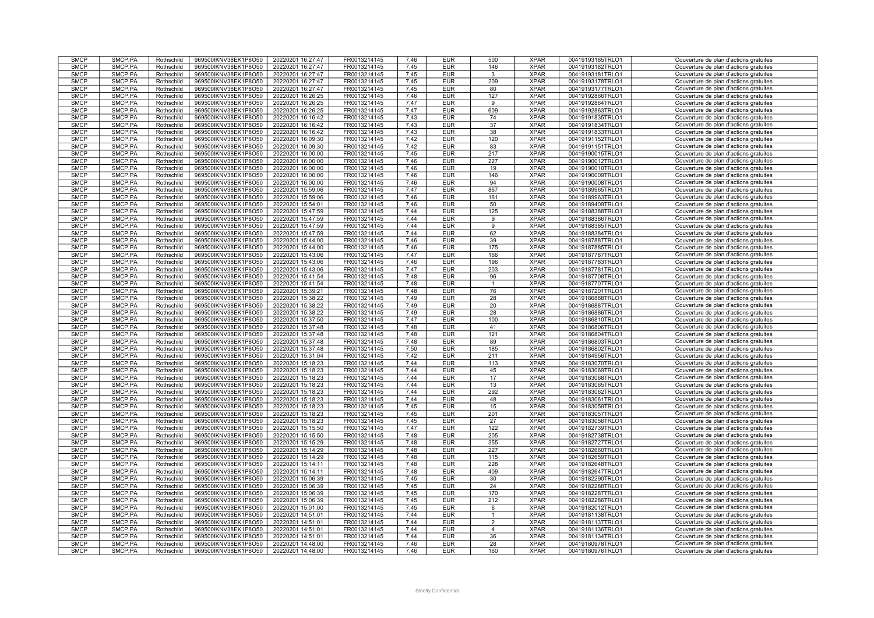| <b>SMCP</b> | SMCP.PA | Rothschild | 969500IKNV38EK1P8O50 | 20220201 16:27:47 | FR0013214145 | 7,46 | <b>EUR</b> | 500          | <b>XPAR</b> | 00419193185TRLO1 | Couverture de plan d'actions gratuites |
|-------------|---------|------------|----------------------|-------------------|--------------|------|------------|--------------|-------------|------------------|----------------------------------------|
|             |         |            |                      |                   |              |      |            |              |             |                  |                                        |
| <b>SMCP</b> | SMCP.PA | Rothschild | 969500IKNV38EK1P8O50 | 20220201 16:27:47 | FR0013214145 | 7.45 | <b>EUR</b> | 146          | <b>XPAR</b> | 00419193182TRLO1 | Couverture de plan d'actions gratuites |
| <b>SMCP</b> | SMCP.PA | Rothschild | 969500IKNV38EK1P8O50 | 20220201 16:27:47 | FR0013214145 | 7,45 | <b>EUR</b> | 3            | <b>XPAR</b> | 00419193181TRLO1 | Couverture de plan d'actions gratuites |
| <b>SMCP</b> | SMCP.PA | Rothschild | 969500IKNV38EK1P8O50 | 20220201 16:27:47 | FR0013214145 | 7,45 | <b>EUR</b> | 209          | <b>XPAR</b> | 00419193178TRLO1 | Couverture de plan d'actions gratuites |
| <b>SMCP</b> | SMCP.PA |            |                      |                   |              | 7.45 | <b>EUR</b> |              | <b>XPAR</b> | 00419193177TRLO1 | Couverture de plan d'actions gratuites |
|             |         | Rothschild | 969500IKNV38EK1P8O50 | 20220201 16:27:47 | FR0013214145 |      |            | 80           |             |                  |                                        |
| <b>SMCP</b> | SMCP.PA | Rothschild | 969500IKNV38EK1P8O50 | 20220201 16:26:25 | FR0013214145 | 7.46 | <b>EUR</b> | 127          | <b>XPAR</b> | 00419192866TRLO1 | Couverture de plan d'actions gratuites |
| <b>SMCP</b> | SMCP.PA | Rothschild | 969500IKNV38EK1P8O50 | 20220201 16:26:25 | FR0013214145 | 7,47 | <b>EUR</b> | 9            | <b>XPAR</b> | 00419192864TRLO1 | Couverture de plan d'actions gratuites |
| <b>SMCP</b> | SMCP.PA | Rothschild | 969500IKNV38EK1P8O50 | 20220201 16:26:25 | FR0013214145 | 7,47 | <b>EUR</b> | 609          | <b>XPAR</b> | 00419192863TRLO1 | Couverture de plan d'actions gratuites |
|             |         |            |                      |                   |              |      |            |              |             |                  |                                        |
| <b>SMCP</b> | SMCP.PA | Rothschild | 969500IKNV38EK1P8O50 | 20220201 16:16:42 | FR0013214145 | 7,43 | <b>EUR</b> | 74           | <b>XPAR</b> | 00419191835TRLO1 | Couverture de plan d'actions gratuites |
| <b>SMCP</b> | SMCP.PA | Rothschild | 969500IKNV38EK1P8O50 | 20220201 16:16:42 | FR0013214145 | 7,43 | <b>EUR</b> | 37           | <b>XPAR</b> | 00419191834TRLO1 | Couverture de plan d'actions gratuites |
| <b>SMCP</b> | SMCP.PA | Rothschild | 969500IKNV38EK1P8O50 | 20220201 16:16:42 | FR0013214145 | 7,43 | <b>EUR</b> | 38           | <b>XPAR</b> | 00419191833TRLO1 | Couverture de plan d'actions gratuites |
|             |         |            |                      |                   |              |      |            |              |             |                  |                                        |
| <b>SMCP</b> | SMCP.PA | Rothschild | 969500IKNV38EK1P8O50 | 20220201 16:09:30 | FR0013214145 | 7,42 | <b>EUR</b> | 120          | <b>XPAR</b> | 00419191152TRLO1 | Couverture de plan d'actions gratuites |
| <b>SMCP</b> | SMCP.PA | Rothschild | 969500IKNV38EK1P8O50 | 20220201 16:09:30 | FR0013214145 | 7,42 | <b>EUR</b> | 83           | <b>XPAR</b> | 00419191151TRLO1 | Couverture de plan d'actions gratuites |
| <b>SMCP</b> | SMCP.PA | Rothschild | 969500IKNV38EK1P8O50 | 20220201 16:00:00 | FR0013214145 | 7,45 | <b>EUR</b> | 217          | <b>XPAR</b> | 00419190015TRLO1 | Couverture de plan d'actions gratuites |
| <b>SMCP</b> | SMCP.PA |            |                      |                   |              | 7.46 |            |              | <b>XPAR</b> |                  |                                        |
|             |         | Rothschild | 969500IKNV38EK1P8O50 | 20220201 16:00:00 | FR0013214145 |      | <b>EUR</b> | 227          |             | 00419190012TRLO1 | Couverture de plan d'actions gratuites |
| <b>SMCP</b> | SMCP.PA | Rothschild | 969500IKNV38EK1P8O50 | 20220201 16:00:00 | FR0013214145 | 7,46 | <b>EUR</b> | 19           | <b>XPAR</b> | 00419190010TRLO1 | Couverture de plan d'actions gratuites |
| <b>SMCP</b> | SMCP.PA | Rothschild | 969500IKNV38EK1P8O50 | 20220201 16:00:00 | FR0013214145 | 7,46 | <b>EUR</b> | 146          | <b>XPAR</b> | 00419190009TRLO1 | Couverture de plan d'actions gratuites |
| <b>SMCP</b> | SMCP.PA | Rothschild | 969500IKNV38EK1P8O50 | 20220201 16:00:00 | FR0013214145 | 7.46 | <b>EUR</b> | 94           | <b>XPAR</b> | 00419190008TRLO1 | Couverture de plan d'actions gratuites |
|             |         |            |                      |                   |              |      |            |              |             |                  |                                        |
| <b>SMCP</b> | SMCP.PA | Rothschild | 969500IKNV38EK1P8O50 | 20220201 15:59:06 | FR0013214145 | 7.47 | <b>EUR</b> | 867          | <b>XPAR</b> | 00419189965TRLO1 | Couverture de plan d'actions gratuites |
| <b>SMCP</b> | SMCP.PA | Rothschild | 969500IKNV38EK1P8O50 | 20220201 15:59:06 | FR0013214145 | 7,46 | <b>EUR</b> | 161          | <b>XPAR</b> | 00419189963TRLO1 | Couverture de plan d'actions gratuites |
| <b>SMCP</b> | SMCP.PA | Rothschild | 969500IKNV38EK1P8O50 | 20220201 15:54:01 | FR0013214145 | 7.46 | <b>EUR</b> | 50           | <b>XPAR</b> | 00419189409TRLO1 | Couverture de plan d'actions gratuites |
| <b>SMCP</b> |         |            |                      |                   |              |      |            |              |             |                  |                                        |
|             | SMCP.PA | Rothschild | 969500IKNV38EK1P8O50 | 20220201 15:47:59 | FR0013214145 | 7,44 | <b>EUR</b> | 125          | <b>XPAR</b> | 00419188388TRLO1 | Couverture de plan d'actions gratuites |
| <b>SMCP</b> | SMCP.PA | Rothschild | 969500IKNV38EK1P8O50 | 20220201 15:47:59 | FR0013214145 | 7,44 | <b>EUR</b> | 9            | <b>XPAR</b> | 00419188386TRLO1 | Couverture de plan d'actions gratuites |
| <b>SMCP</b> | SMCP.PA | Rothschild | 969500IKNV38EK1P8O50 | 20220201 15:47:59 | FR0013214145 | 7,44 | <b>EUR</b> | 9            | <b>XPAR</b> | 00419188385TRLO1 | Couverture de plan d'actions gratuites |
| <b>SMCP</b> | SMCP.PA | Rothschild | 969500IKNV38EK1P8O50 | 20220201 15:47:59 | FR0013214145 | 7.44 | <b>EUR</b> | 62           | <b>XPAR</b> | 00419188384TRLO1 | Couverture de plan d'actions gratuites |
|             |         |            |                      |                   |              |      |            |              |             |                  |                                        |
| <b>SMCP</b> | SMCP.PA | Rothschild | 969500IKNV38EK1P8O50 | 20220201 15:44:00 | FR0013214145 | 7,46 | <b>EUR</b> | 39           | <b>XPAR</b> | 00419187887TRLO1 | Couverture de plan d'actions gratuites |
| <b>SMCP</b> | SMCP.PA | Rothschild | 969500IKNV38EK1P8O50 | 20220201 15:44:00 | FR0013214145 | 7,46 | <b>EUR</b> | 175          | <b>XPAR</b> | 00419187885TRLO1 | Couverture de plan d'actions gratuites |
| <b>SMCP</b> | SMCP.PA | Rothschild | 969500IKNV38EK1P8O50 | 20220201 15:43:06 | FR0013214145 | 7,47 | <b>EUR</b> | 166          | <b>XPAR</b> | 00419187787TRLO1 | Couverture de plan d'actions gratuites |
|             |         |            |                      |                   |              |      |            |              |             |                  |                                        |
| <b>SMCP</b> | SMCP.PA | Rothschild | 969500IKNV38EK1P8O50 | 20220201 15:43:06 | FR0013214145 | 7,46 | <b>EUR</b> | 196          | <b>XPAR</b> | 00419187783TRLO1 | Couverture de plan d'actions gratuites |
| <b>SMCP</b> | SMCP.PA | Rothschild | 969500IKNV38EK1P8O50 | 20220201 15:43:06 | FR0013214145 | 7,47 | <b>EUR</b> | 203          | <b>XPAR</b> | 00419187781TRLO1 | Couverture de plan d'actions gratuites |
| <b>SMCP</b> | SMCP.PA | Rothschild | 969500IKNV38EK1P8O50 | 20220201 15:41:54 | FR0013214145 | 7.48 | <b>EUR</b> | 96           | <b>XPAR</b> | 00419187708TRLO1 | Couverture de plan d'actions gratuites |
|             | SMCP.PA |            |                      |                   | FR0013214145 | 7.48 | <b>EUR</b> |              | <b>XPAR</b> |                  |                                        |
| <b>SMCP</b> |         | Rothschild | 969500IKNV38EK1P8O50 | 20220201 15:41:54 |              |      |            | -1           |             | 00419187707TRLO1 | Couverture de plan d'actions gratuites |
| <b>SMCP</b> | SMCP.PA | Rothschild | 969500IKNV38EK1P8O50 | 20220201 15:39:21 | FR0013214145 | 7,48 | <b>EUR</b> | 76           | <b>XPAR</b> | 00419187201TRLO1 | Couverture de plan d'actions gratuites |
| <b>SMCP</b> | SMCP.PA | Rothschild | 969500IKNV38EK1P8O50 | 20220201 15:38:22 | FR0013214145 | 7,49 | <b>EUR</b> | 28           | <b>XPAR</b> | 00419186888TRLO1 | Couverture de plan d'actions gratuites |
| <b>SMCP</b> | SMCP.PA | Rothschild | 969500IKNV38EK1P8O50 | 20220201 15:38:22 | FR0013214145 | 7,49 | <b>EUR</b> | 20           | <b>XPAR</b> | 00419186887TRLO1 | Couverture de plan d'actions gratuites |
|             |         |            |                      |                   |              |      |            |              |             |                  |                                        |
| <b>SMCP</b> | SMCP.PA | Rothschild | 969500IKNV38EK1P8O50 | 20220201 15:38:22 | FR0013214145 | 7,49 | <b>EUR</b> | 28           | <b>XPAR</b> | 00419186886TRLO1 | Couverture de plan d'actions gratuites |
| <b>SMCP</b> | SMCP.PA | Rothschild | 969500IKNV38EK1P8O50 | 20220201 15:37:50 | FR0013214145 | 7.47 | <b>EUR</b> | 100          | <b>XPAR</b> | 00419186810TRLO1 | Couverture de plan d'actions gratuites |
| <b>SMCP</b> | SMCP.PA | Rothschild | 969500IKNV38EK1P8O50 | 20220201 15:37:48 | FR0013214145 | 7,48 | <b>EUR</b> | 41           | <b>XPAR</b> | 00419186806TRLO1 | Couverture de plan d'actions gratuites |
|             |         |            |                      |                   |              |      |            |              |             |                  |                                        |
| <b>SMCP</b> | SMCP.PA | Rothschild | 969500IKNV38EK1P8O50 | 20220201 15:37:48 | FR0013214145 | 7,48 | <b>EUR</b> | 121          | <b>XPAR</b> | 00419186804TRLO1 | Couverture de plan d'actions gratuites |
| <b>SMCP</b> | SMCP.PA | Rothschild | 969500IKNV38EK1P8O50 | 20220201 15:37:48 | FR0013214145 | 7,48 | <b>EUR</b> | 89           | <b>XPAR</b> | 00419186803TRLO1 | Couverture de plan d'actions gratuites |
| <b>SMCP</b> | SMCP.PA | Rothschild | 969500IKNV38EK1P8O50 | 20220201 15:37:48 | FR0013214145 | 7,50 | <b>EUR</b> | 185          | <b>XPAR</b> | 00419186802TRLO1 | Couverture de plan d'actions gratuites |
| <b>SMCP</b> | SMCP.PA |            |                      | 20220201 15:31:04 | FR0013214145 | 7.42 | <b>EUR</b> | 211          | <b>XPAR</b> |                  | Couverture de plan d'actions gratuites |
|             |         | Rothschild | 969500IKNV38EK1P8O50 |                   |              |      |            |              |             | 00419184956TRLO1 |                                        |
| <b>SMCP</b> | SMCP.PA | Rothschild | 969500IKNV38EK1P8O50 | 20220201 15:18:23 | FR0013214145 | 7,44 | <b>EUR</b> | 113          | <b>XPAR</b> | 00419183070TRLO1 | Couverture de plan d'actions gratuites |
| <b>SMCP</b> | SMCP.PA | Rothschild | 969500IKNV38EK1P8O50 | 20220201 15:18:23 | FR0013214145 | 7.44 | <b>EUR</b> | 45           | <b>XPAR</b> | 00419183069TRLO1 | Couverture de plan d'actions gratuites |
| <b>SMCP</b> | SMCP.PA | Rothschild | 969500IKNV38EK1P8O50 | 20220201 15:18:23 | FR0013214145 | 7.44 | <b>EUR</b> | 17           | <b>XPAR</b> | 00419183068TRLO1 | Couverture de plan d'actions gratuites |
|             |         |            |                      |                   |              |      |            |              |             |                  |                                        |
| <b>SMCP</b> | SMCP.PA | Rothschild | 969500IKNV38EK1P8O50 | 20220201 15:18:23 | FR0013214145 | 7,44 | <b>EUR</b> | 13           | <b>XPAR</b> | 00419183065TRLO1 | Couverture de plan d'actions gratuites |
| <b>SMCP</b> | SMCP.PA | Rothschild | 969500IKNV38EK1P8O50 | 20220201 15:18:23 | FR0013214145 | 7.44 | <b>EUR</b> | 292          | <b>XPAR</b> | 00419183062TRLO1 | Couverture de plan d'actions gratuites |
| <b>SMCP</b> | SMCP.PA | Rothschild | 969500IKNV38EK1P8O50 | 20220201 15:18:23 | FR0013214145 | 7,44 | <b>EUR</b> | 48           | <b>XPAR</b> | 00419183061TRLO1 | Couverture de plan d'actions gratuites |
|             |         |            |                      |                   |              |      |            |              |             |                  |                                        |
| <b>SMCP</b> | SMCP.PA | Rothschild | 969500IKNV38EK1P8O50 | 20220201 15:18:23 | FR0013214145 | 7,45 | <b>EUR</b> | 15           | <b>XPAR</b> | 00419183059TRLO1 | Couverture de plan d'actions gratuites |
| <b>SMCP</b> | SMCP.PA | Rothschild | 969500IKNV38EK1P8O50 | 20220201 15:18:23 | FR0013214145 | 7,45 | <b>EUR</b> | 201          | <b>XPAR</b> | 00419183057TRLO1 | Couverture de plan d'actions gratuites |
| <b>SMCP</b> |         |            |                      |                   |              |      |            |              |             |                  |                                        |
|             |         |            |                      |                   |              |      |            |              |             |                  |                                        |
|             | SMCP.PA | Rothschild | 969500IKNV38EK1P8O50 | 20220201 15:18:23 | FR0013214145 | 7,45 | <b>EUR</b> | 27           | <b>XPAR</b> | 00419183056TRLO1 | Couverture de plan d'actions gratuites |
| <b>SMCP</b> | SMCP.PA | Rothschild | 969500IKNV38EK1P8O50 | 20220201 15:15:50 | FR0013214145 | 7,47 | <b>EUR</b> | 122          | <b>XPAR</b> | 00419182739TRLO1 | Couverture de plan d'actions gratuites |
| <b>SMCP</b> | SMCP.PA | Rothschild | 969500IKNV38EK1P8O50 | 20220201 15:15:50 | FR0013214145 | 7.48 | <b>EUR</b> | 205          | <b>XPAR</b> | 00419182738TRLO1 | Couverture de plan d'actions gratuites |
| <b>SMCP</b> | SMCP.PA | Rothschild | 969500IKNV38EK1P8O50 | 20220201 15:15:29 | FR0013214145 | 7,48 | <b>EUR</b> | 355          | <b>XPAR</b> | 00419182727TRLO1 | Couverture de plan d'actions gratuites |
|             |         |            |                      |                   |              |      |            |              |             |                  |                                        |
| <b>SMCP</b> | SMCP.PA | Rothschild | 969500IKNV38EK1P8O50 | 20220201 15:14:29 | FR0013214145 | 7.48 | <b>EUR</b> | 227          | <b>XPAR</b> | 00419182660TRLO1 | Couverture de plan d'actions gratuites |
| <b>SMCP</b> | SMCP.PA | Rothschild | 969500IKNV38EK1P8O50 | 20220201 15:14:29 | FR0013214145 | 7.48 | <b>EUR</b> | 115          | <b>XPAR</b> | 00419182659TRLO1 | Couverture de plan d'actions gratuites |
| <b>SMCP</b> | SMCP.PA | Rothschild | 969500IKNV38EK1P8O50 | 20220201 15:14:11 | FR0013214145 | 7,48 | <b>EUR</b> | 228          | <b>XPAR</b> | 00419182648TRLO1 | Couverture de plan d'actions gratuites |
| <b>SMCP</b> | SMCP.PA | Rothschild | 969500IKNV38EK1P8O50 | 20220201 15:14:11 | FR0013214145 | 7.48 | <b>EUR</b> | 409          | <b>XPAR</b> | 00419182647TRLO1 | Couverture de plan d'actions gratuites |
|             |         |            |                      |                   |              |      |            |              |             |                  |                                        |
| <b>SMCP</b> | SMCP.PA | Rothschild | 969500IKNV38EK1P8O50 | 20220201 15:06:39 | FR0013214145 | 7,45 | <b>EUR</b> | 30           | <b>XPAR</b> | 00419182290TRLO1 | Couverture de plan d'actions gratuites |
| <b>SMCP</b> | SMCP.PA | Rothschild | 969500IKNV38EK1P8O50 | 20220201 15:06:39 | FR0013214145 | 7,45 | <b>EUR</b> | 24           | <b>XPAR</b> | 00419182288TRLO1 | Couverture de plan d'actions gratuites |
| <b>SMCP</b> | SMCP.PA | Rothschild | 969500IKNV38EK1P8O50 | 20220201 15:06:39 | FR0013214145 | 7,45 | <b>EUR</b> | 170          | <b>XPAR</b> | 00419182287TRLO1 | Couverture de plan d'actions gratuites |
|             |         |            |                      |                   |              |      |            |              |             |                  |                                        |
| <b>SMCP</b> | SMCP.PA | Rothschild | 969500IKNV38EK1P8O50 | 20220201 15:06:39 | FR0013214145 | 7,45 | <b>EUR</b> | 212          | <b>XPAR</b> | 00419182286TRLO1 | Couverture de plan d'actions gratuites |
| <b>SMCP</b> | SMCP.PA | Rothschild | 969500IKNV38EK1P8O50 | 20220201 15:01:00 | FR0013214145 | 7,45 | <b>EUR</b> | 6            | <b>XPAR</b> | 00419182012TRLO1 | Couverture de plan d'actions gratuites |
| <b>SMCP</b> | SMCP.PA | Rothschild | 969500IKNV38EK1P8O50 | 20220201 14:51:01 | FR0013214145 | 7,44 | <b>EUR</b> | $\mathbf{1}$ | <b>XPAR</b> | 00419181138TRLO1 | Couverture de plan d'actions gratuites |
|             |         |            |                      |                   |              |      |            |              |             |                  |                                        |
| <b>SMCP</b> | SMCP.PA | Rothschild | 969500IKNV38EK1P8O50 | 20220201 14:51:01 | FR0013214145 | 7,44 | <b>EUR</b> | 2            | <b>XPAR</b> | 00419181137TRLO1 | Couverture de plan d'actions gratuites |
| <b>SMCP</b> | SMCP.PA | Rothschild | 969500IKNV38EK1P8O50 | 20220201 14:51:01 | FR0013214145 | 7.44 | <b>EUR</b> | 4            | <b>XPAR</b> | 00419181136TRLO1 | Couverture de plan d'actions gratuites |
| <b>SMCP</b> | SMCP.PA | Rothschild | 969500IKNV38EK1P8O50 | 20220201 14:51:01 | FR0013214145 | 7,44 | <b>EUR</b> | 36           | <b>XPAR</b> | 00419181134TRLO1 | Couverture de plan d'actions gratuites |
| <b>SMCP</b> | SMCP.PA | Rothschild | 969500IKNV38EK1P8O50 | 20220201 14:48:00 | FR0013214145 | 7.46 | <b>EUR</b> | 28           | <b>XPAR</b> | 00419180978TRLO1 | Couverture de plan d'actions gratuites |
| <b>SMCP</b> | SMCP.PA | Rothschild | 969500IKNV38EK1P8O50 | 20220201 14:48:00 | FR0013214145 | 7,46 | <b>EUR</b> | 160          | <b>XPAR</b> | 00419180976TRLO1 | Couverture de plan d'actions gratuites |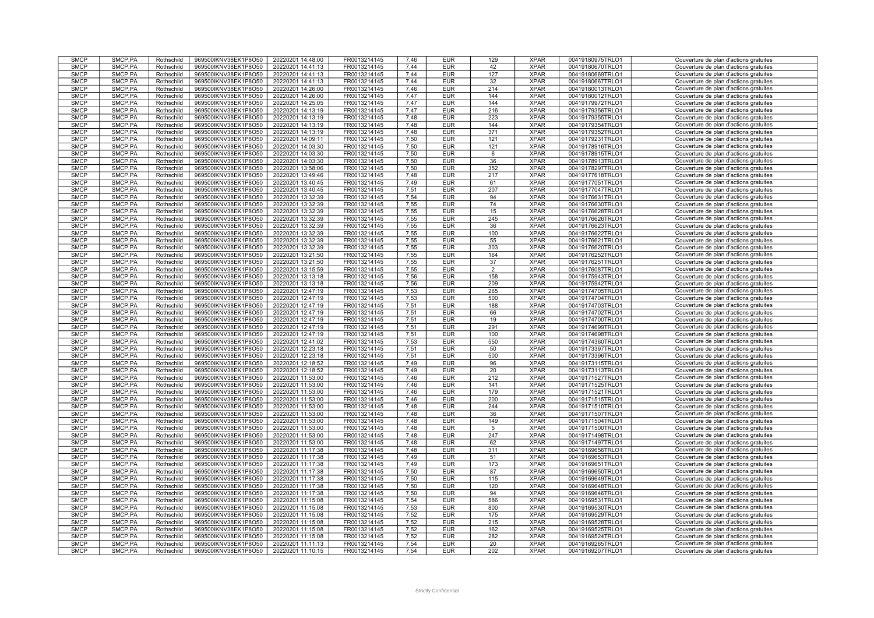| <b>SMCP</b> | SMCP.PA | Rothschild | 969500IKNV38EK1P8O50 | 20220201 14:48:00 | FR0013214145 | 7,46 | <b>EUR</b> | 129            | <b>XPAR</b> | 00419180975TRLO1 | Couverture de plan d'actions gratuites |
|-------------|---------|------------|----------------------|-------------------|--------------|------|------------|----------------|-------------|------------------|----------------------------------------|
| <b>SMCP</b> | SMCP.PA | Rothschild | 969500IKNV38EK1P8O50 | 20220201 14:41:13 | FR0013214145 | 7.44 | <b>EUR</b> | 42             | <b>XPAR</b> | 00419180670TRLO1 | Couverture de plan d'actions gratuites |
| <b>SMCP</b> | SMCP.PA | Rothschild | 969500IKNV38EK1P8O50 | 20220201 14:41:13 | FR0013214145 | 7,44 | <b>EUR</b> | 127            | <b>XPAR</b> | 00419180669TRLO1 | Couverture de plan d'actions gratuites |
| <b>SMCP</b> | SMCP.PA | Rothschild | 969500IKNV38EK1P8O50 | 20220201 14:41:13 | FR0013214145 | 7,44 | <b>EUR</b> | 32             | <b>XPAR</b> | 00419180667TRLO1 | Couverture de plan d'actions gratuites |
|             |         |            |                      |                   |              |      |            |                |             |                  |                                        |
| <b>SMCP</b> | SMCP.PA | Rothschild | 969500IKNV38EK1P8O50 | 20220201 14:26:00 | FR0013214145 | 7.46 | <b>EUR</b> | 214            | <b>XPAR</b> | 00419180013TRLO1 | Couverture de plan d'actions gratuites |
| <b>SMCP</b> | SMCP.PA | Rothschild | 969500IKNV38EK1P8O50 | 20220201 14:26:00 | FR0013214145 | 7.47 | <b>EUR</b> | 144            | <b>XPAR</b> | 00419180012TRLO1 | Couverture de plan d'actions gratuites |
| <b>SMCP</b> | SMCP.PA | Rothschild | 969500IKNV38EK1P8O50 | 20220201 14:25:05 | FR0013214145 | 7,47 | <b>EUR</b> | 144            | <b>XPAR</b> | 00419179972TRLO1 | Couverture de plan d'actions gratuites |
| <b>SMCP</b> | SMCP.PA | Rothschild | 969500IKNV38EK1P8O50 | 20220201 14:13:19 | FR0013214145 | 7,47 | <b>EUR</b> | 216            | <b>XPAR</b> | 00419179356TRLO1 | Couverture de plan d'actions gratuites |
|             |         |            |                      |                   |              |      |            |                |             |                  |                                        |
| <b>SMCP</b> | SMCP.PA | Rothschild | 969500IKNV38EK1P8O50 | 20220201 14:13:19 | FR0013214145 | 7,48 | <b>EUR</b> | 223            | <b>XPAR</b> | 00419179355TRLO1 | Couverture de plan d'actions gratuites |
| <b>SMCP</b> | SMCP.PA | Rothschild | 969500IKNV38EK1P8O50 | 20220201 14:13:19 | FR0013214145 | 7,48 | <b>EUR</b> | 144            | <b>XPAR</b> | 00419179354TRLO1 | Couverture de plan d'actions gratuites |
| <b>SMCP</b> | SMCP.PA | Rothschild | 969500IKNV38EK1P8O50 | 20220201 14:13:19 | FR0013214145 | 7,48 | <b>EUR</b> | 371            | <b>XPAR</b> | 00419179352TRLO1 | Couverture de plan d'actions gratuites |
|             |         |            |                      |                   |              |      |            |                |             |                  |                                        |
| <b>SMCP</b> | SMCP.PA | Rothschild | 969500IKNV38EK1P8O50 | 20220201 14:09:11 | FR0013214145 | 7,50 | <b>EUR</b> | 121            | <b>XPAR</b> | 00419179231TRLO1 | Couverture de plan d'actions gratuites |
| <b>SMCP</b> | SMCP.PA | Rothschild | 969500IKNV38EK1P8O50 | 20220201 14:03:30 | FR0013214145 | 7,50 | <b>EUR</b> | 121            | <b>XPAR</b> | 00419178916TRLO1 | Couverture de plan d'actions gratuites |
| <b>SMCP</b> | SMCP.PA | Rothschild | 969500IKNV38EK1P8O50 | 20220201 14:03:30 | FR0013214145 | 7,50 | <b>EUR</b> | 6              | <b>XPAR</b> | 00419178915TRLO1 | Couverture de plan d'actions gratuites |
| <b>SMCP</b> | SMCP.PA | Rothschild | 969500IKNV38EK1P8O50 | 20220201 14:03:30 | FR0013214145 | 7,50 | <b>EUR</b> | 36             | <b>XPAR</b> | 00419178913TRLO1 | Couverture de plan d'actions gratuites |
|             |         |            |                      |                   |              |      |            |                |             |                  |                                        |
| <b>SMCP</b> | SMCP.PA | Rothschild | 969500IKNV38EK1P8O50 | 20220201 13:58:06 | FR0013214145 | 7,50 | <b>EUR</b> | 352            | <b>XPAR</b> | 00419178297TRLO1 | Couverture de plan d'actions gratuites |
| <b>SMCP</b> | SMCP.PA | Rothschild | 969500IKNV38EK1P8O50 | 20220201 13:49:46 | FR0013214145 | 7.48 | <b>EUR</b> | 217            | <b>XPAR</b> | 00419177618TRLO1 | Couverture de plan d'actions gratuites |
| <b>SMCP</b> | SMCP.PA | Rothschild | 969500IKNV38EK1P8O50 | 20220201 13:40:45 | FR0013214145 | 7.49 | <b>EUR</b> | 61             | <b>XPAR</b> | 00419177051TRLO1 | Couverture de plan d'actions gratuites |
| <b>SMCP</b> | SMCP.PA | Rothschild | 969500IKNV38EK1P8O50 | 20220201 13:40:45 | FR0013214145 | 7,51 | <b>EUR</b> | 207            | <b>XPAR</b> | 00419177047TRLO1 | Couverture de plan d'actions gratuites |
|             |         |            |                      |                   |              |      |            |                |             |                  |                                        |
| <b>SMCP</b> | SMCP.PA | Rothschild | 969500IKNV38EK1P8O50 | 20220201 13:32:39 | FR0013214145 | 7.54 | <b>EUR</b> | 94             | <b>XPAR</b> | 00419176631TRLO1 | Couverture de plan d'actions gratuites |
| <b>SMCP</b> | SMCP.PA | Rothschild | 969500IKNV38EK1P8O50 | 20220201 13:32:39 | FR0013214145 | 7,55 | <b>EUR</b> | 74             | <b>XPAR</b> | 00419176630TRLO1 | Couverture de plan d'actions gratuites |
| <b>SMCP</b> | SMCP.PA | Rothschild | 969500IKNV38EK1P8O50 | 20220201 13:32:39 | FR0013214145 | 7,55 | <b>EUR</b> | 15             | <b>XPAR</b> | 00419176628TRLO1 | Couverture de plan d'actions gratuites |
| <b>SMCP</b> |         |            |                      |                   |              | 7,55 |            | 245            | <b>XPAR</b> |                  |                                        |
|             | SMCP.PA | Rothschild | 969500IKNV38EK1P8O50 | 20220201 13:32:39 | FR0013214145 |      | <b>EUR</b> |                |             | 00419176626TRLO1 | Couverture de plan d'actions gratuites |
| <b>SMCP</b> | SMCP.PA | Rothschild | 969500IKNV38EK1P8O50 | 20220201 13:32:39 | FR0013214145 | 7,55 | <b>EUR</b> | 36             | <b>XPAR</b> | 00419176623TRLO1 | Couverture de plan d'actions gratuites |
| <b>SMCP</b> | SMCP.PA | Rothschild | 969500IKNV38EK1P8O50 | 20220201 13:32:39 | FR0013214145 | 7,55 | <b>EUR</b> | 100            | <b>XPAR</b> | 00419176622TRLO1 | Couverture de plan d'actions gratuites |
| <b>SMCP</b> | SMCP.PA | Rothschild | 969500IKNV38EK1P8O50 | 20220201 13:32:39 | FR0013214145 | 7,55 | <b>EUR</b> | 55             | <b>XPAR</b> | 00419176621TRLO1 | Couverture de plan d'actions gratuites |
|             |         |            |                      |                   |              |      |            |                |             |                  |                                        |
| <b>SMCP</b> | SMCP.PA | Rothschild | 969500IKNV38EK1P8O50 | 20220201 13:32:39 | FR0013214145 | 7.55 | <b>EUR</b> | 303            | <b>XPAR</b> | 00419176620TRLO1 | Couverture de plan d'actions gratuites |
| <b>SMCP</b> | SMCP.PA | Rothschild | 969500IKNV38EK1P8O50 | 20220201 13:21:50 | FR0013214145 | 7,55 | <b>EUR</b> | 164            | <b>XPAR</b> | 00419176252TRLO1 | Couverture de plan d'actions gratuites |
| <b>SMCP</b> | SMCP.PA | Rothschild | 969500IKNV38EK1P8O50 | 20220201 13:21:50 | FR0013214145 | 7,55 | <b>EUR</b> | 37             | <b>XPAR</b> | 00419176251TRLO1 | Couverture de plan d'actions gratuites |
| <b>SMCP</b> | SMCP.PA | Rothschild | 969500IKNV38EK1P8O50 | 20220201 13:15:59 | FR0013214145 | 7.55 | <b>EUR</b> | $\overline{2}$ | <b>XPAR</b> | 00419176087TRLO1 | Couverture de plan d'actions gratuites |
|             |         |            |                      |                   |              |      |            |                |             |                  |                                        |
| <b>SMCP</b> | SMCP.PA | Rothschild | 969500IKNV38EK1P8O50 | 20220201 13:13:18 | FR0013214145 | 7,56 | <b>EUR</b> | 158            | <b>XPAR</b> | 00419175943TRLO1 | Couverture de plan d'actions gratuites |
| <b>SMCP</b> | SMCP.PA | Rothschild | 969500IKNV38EK1P8O50 | 20220201 13:13:18 | FR0013214145 | 7,56 | <b>EUR</b> | 209            | <b>XPAR</b> | 00419175942TRLO1 | Couverture de plan d'actions gratuites |
| <b>SMCP</b> | SMCP.PA | Rothschild | 969500IKNV38EK1P8O50 | 20220201 12:47:19 | FR0013214145 | 7.53 | <b>EUR</b> | 265            | <b>XPAR</b> | 00419174705TRLO1 | Couverture de plan d'actions gratuites |
| <b>SMCP</b> | SMCP.PA | Rothschild | 969500IKNV38EK1P8O50 | 20220201 12:47:19 | FR0013214145 | 7,53 | <b>EUR</b> | 500            | <b>XPAR</b> | 00419174704TRLO1 | Couverture de plan d'actions gratuites |
|             |         |            |                      |                   |              |      |            |                |             |                  |                                        |
| <b>SMCP</b> | SMCP.PA | Rothschild | 969500IKNV38EK1P8O50 | 20220201 12:47:19 | FR0013214145 | 7,51 | <b>EUR</b> | 188            | <b>XPAR</b> | 00419174703TRLO1 | Couverture de plan d'actions gratuites |
| <b>SMCP</b> | SMCP.PA | Rothschild | 969500IKNV38EK1P8O50 | 20220201 12:47:19 | FR0013214145 | 7,51 | <b>EUR</b> | 66             | <b>XPAR</b> | 00419174702TRLO1 | Couverture de plan d'actions gratuites |
| <b>SMCP</b> | SMCP.PA | Rothschild | 969500IKNV38EK1P8O50 | 20220201 12:47:19 | FR0013214145 | 7,51 | <b>EUR</b> | 19             | <b>XPAR</b> | 00419174700TRLO1 | Couverture de plan d'actions gratuites |
| <b>SMCP</b> | SMCP.PA | Rothschild | 969500IKNV38EK1P8O50 | 20220201 12:47:19 | FR0013214145 | 7,51 | <b>EUR</b> | 291            | <b>XPAR</b> | 00419174699TRLO1 | Couverture de plan d'actions gratuites |
|             |         |            |                      |                   |              |      |            |                |             |                  |                                        |
| <b>SMCP</b> | SMCP.PA | Rothschild | 969500IKNV38EK1P8O50 | 20220201 12:47:19 | FR0013214145 | 7,51 | <b>EUR</b> | 100            | <b>XPAR</b> | 00419174698TRLO1 | Couverture de plan d'actions gratuites |
| <b>SMCP</b> | SMCP.PA | Rothschild | 969500IKNV38EK1P8O50 | 20220201 12:41:02 | FR0013214145 | 7.53 | <b>EUR</b> | 550            | <b>XPAR</b> | 00419174360TRLO1 | Couverture de plan d'actions gratuites |
| <b>SMCP</b> | SMCP.PA | Rothschild | 969500IKNV38EK1P8O50 | 20220201 12:23:18 | FR0013214145 | 7,51 | <b>EUR</b> | 50             | <b>XPAR</b> | 00419173397TRLO1 | Couverture de plan d'actions gratuites |
| <b>SMCP</b> | SMCP.PA |            | 969500IKNV38EK1P8O50 | 20220201 12:23:18 | FR0013214145 | 7,51 | <b>EUR</b> | 500            | <b>XPAR</b> |                  |                                        |
|             |         | Rothschild |                      |                   |              |      |            |                |             | 00419173396TRLO1 | Couverture de plan d'actions gratuites |
| <b>SMCP</b> | SMCP.PA | Rothschild | 969500IKNV38EK1P8O50 | 20220201 12:18:52 | FR0013214145 | 7.49 | <b>EUR</b> | 96             | <b>XPAR</b> | 00419173115TRLO1 | Couverture de plan d'actions gratuites |
| <b>SMCP</b> | SMCP.PA | Rothschild | 969500IKNV38EK1P8O50 | 20220201 12:18:52 | FR0013214145 | 7,49 | <b>EUR</b> | 20             | <b>XPAR</b> | 00419173113TRLO1 | Couverture de plan d'actions gratuites |
| <b>SMCP</b> | SMCP.PA | Rothschild | 969500IKNV38EK1P8O50 | 20220201 11:53:00 | FR0013214145 | 7,46 | <b>EUR</b> | 212            | <b>XPAR</b> | 00419171527TRLO1 | Couverture de plan d'actions gratuites |
| <b>SMCP</b> | SMCP.PA | Rothschild | 969500IKNV38EK1P8O50 | 20220201 11:53:00 | FR0013214145 | 7.46 | <b>EUR</b> | 141            | <b>XPAR</b> | 00419171525TRLO1 | Couverture de plan d'actions gratuites |
|             |         |            |                      |                   |              |      |            |                |             |                  |                                        |
| <b>SMCP</b> | SMCP.PA | Rothschild | 969500IKNV38EK1P8O50 | 20220201 11:53:00 | FR0013214145 | 7,46 | <b>EUR</b> | 179            | <b>XPAR</b> | 00419171521TRLO1 | Couverture de plan d'actions gratuites |
| <b>SMCP</b> | SMCP.PA | Rothschild | 969500IKNV38EK1P8O50 | 20220201 11:53:00 | FR0013214145 | 7,46 | <b>EUR</b> | 200            | <b>XPAR</b> | 00419171515TRLO1 | Couverture de plan d'actions gratuites |
| <b>SMCP</b> | SMCP.PA | Rothschild | 969500IKNV38EK1P8O50 | 20220201 11:53:00 | FR0013214145 | 7.48 | <b>EUR</b> | 244            | <b>XPAR</b> | 00419171510TRLO1 | Couverture de plan d'actions gratuites |
| <b>SMCP</b> | SMCP.PA |            | 969500IKNV38EK1P8O50 | 20220201 11:53:00 | FR0013214145 | 7,48 | <b>EUR</b> | 36             | <b>XPAR</b> | 00419171507TRLO1 | Couverture de plan d'actions gratuites |
|             |         | Rothschild |                      |                   |              |      |            |                |             |                  |                                        |
| <b>SMCP</b> | SMCP.PA | Rothschild | 969500IKNV38EK1P8O50 | 20220201 11:53:00 | FR0013214145 | 7,48 | <b>EUR</b> | 149            | <b>XPAR</b> | 00419171504TRLO1 | Couverture de plan d'actions gratuites |
| <b>SMCP</b> | SMCP.PA | Rothschild | 969500IKNV38EK1P8O50 | 20220201 11:53:00 | FR0013214145 | 7,48 | <b>EUR</b> | 5              | <b>XPAR</b> | 00419171500TRLO1 | Couverture de plan d'actions gratuites |
| <b>SMCP</b> | SMCP.PA | Rothschild | 969500IKNV38EK1P8O50 | 20220201 11:53:00 | FR0013214145 | 7,48 | <b>EUR</b> | 247            | <b>XPAR</b> | 00419171498TRLO1 | Couverture de plan d'actions gratuites |
| <b>SMCP</b> | SMCP.PA | Rothschild | 969500IKNV38EK1P8O50 | 20220201 11:53:00 | FR0013214145 | 7,48 | <b>EUR</b> | 62             | <b>XPAR</b> | 00419171497TRLO1 | Couverture de plan d'actions gratuites |
|             |         |            |                      |                   |              |      |            |                |             |                  |                                        |
| <b>SMCP</b> | SMCP.PA | Rothschild | 969500IKNV38EK1P8O50 | 20220201 11:17:38 | FR0013214145 | 7,48 | <b>EUR</b> | 311            | <b>XPAR</b> | 00419169656TRLO1 | Couverture de plan d'actions gratuites |
| <b>SMCP</b> | SMCP.PA | Rothschild | 969500IKNV38EK1P8O50 | 20220201 11:17:38 | FR0013214145 | 7,49 | <b>EUR</b> | 51             | <b>XPAR</b> | 00419169653TRLO1 | Couverture de plan d'actions gratuites |
| <b>SMCP</b> |         |            | 969500IKNV38EK1P8O50 | 20220201 11:17:38 |              | 7.49 | <b>EUR</b> | 173            |             | 00419169651TRLO1 | Couverture de plan d'actions gratuites |
| <b>SMCP</b> |         | Rothschild |                      |                   | FR0013214145 |      |            |                | <b>XPAR</b> |                  |                                        |
|             | SMCP.PA |            |                      |                   |              |      |            |                |             |                  |                                        |
|             | SMCP.PA | Rothschild | 969500IKNV38EK1P8O50 | 20220201 11:17:38 | FR0013214145 | 7,50 | <b>EUR</b> | 87             | <b>XPAR</b> | 00419169650TRLO1 | Couverture de plan d'actions gratuites |
| <b>SMCP</b> | SMCP.PA | Rothschild | 969500IKNV38EK1P8O50 | 20220201 11:17:38 | FR0013214145 | 7,50 | <b>EUR</b> | 115            | <b>XPAR</b> | 00419169649TRLO1 | Couverture de plan d'actions gratuites |
| <b>SMCP</b> | SMCP.PA | Rothschild | 969500IKNV38EK1P8O50 | 20220201 11:17:38 | FR0013214145 | 7,50 | <b>EUR</b> | 120            | <b>XPAR</b> | 00419169648TRLO1 | Couverture de plan d'actions gratuites |
|             | SMCP.PA |            |                      |                   |              |      |            |                | <b>XPAR</b> |                  |                                        |
| <b>SMCP</b> |         | Rothschild | 969500IKNV38EK1P8O50 | 20220201 11:17:38 | FR0013214145 | 7,50 | <b>EUR</b> | 94             |             | 00419169646TRLO1 | Couverture de plan d'actions gratuites |
| <b>SMCP</b> | SMCP.PA | Rothschild | 969500IKNV38EK1P8O50 | 20220201 11:15:08 | FR0013214145 | 7,54 | <b>EUR</b> | 586            | <b>XPAR</b> | 00419169531TRLO1 | Couverture de plan d'actions gratuites |
| <b>SMCP</b> | SMCP.PA | Rothschild | 969500IKNV38EK1P8O50 | 20220201 11:15:08 | FR0013214145 | 7,53 | <b>EUR</b> | 800            | <b>XPAR</b> | 00419169530TRLO1 | Couverture de plan d'actions gratuites |
| <b>SMCP</b> | SMCP.PA | Rothschild | 969500IKNV38EK1P8O50 | 20220201 11:15:08 | FR0013214145 | 7,52 | <b>EUR</b> | 175            | <b>XPAR</b> | 00419169529TRLO1 | Couverture de plan d'actions gratuites |
|             |         |            |                      |                   |              |      |            |                |             |                  |                                        |
| <b>SMCP</b> | SMCP.PA | Rothschild | 969500IKNV38EK1P8O50 | 20220201 11:15:08 | FR0013214145 | 7,52 | <b>EUR</b> | 215            | <b>XPAR</b> | 00419169528TRLO1 | Couverture de plan d'actions gratuites |
| <b>SMCP</b> | SMCP.PA | Rothschild | 969500IKNV38EK1P8O50 | 20220201 11:15:08 | FR0013214145 | 7,52 | <b>EUR</b> | 162            | <b>XPAR</b> | 00419169525TRLO1 | Couverture de plan d'actions gratuites |
| <b>SMCP</b> | SMCP.PA | Rothschild | 969500IKNV38EK1P8O50 | 20220201 11:15:08 | FR0013214145 | 7,52 | <b>EUR</b> | 282            | <b>XPAR</b> | 00419169524TRLO1 | Couverture de plan d'actions gratuites |
| <b>SMCP</b> | SMCP.PA | Rothschild | 969500IKNV38EK1P8O50 | 20220201 11:11:13 | FR0013214145 | 7,54 | <b>EUR</b> | 20             | <b>XPAR</b> | 00419169265TRLO1 | Couverture de plan d'actions gratuites |
| <b>SMCP</b> | SMCP.PA | Rothschild | 969500IKNV38EK1P8O50 | 20220201 11:10:15 | FR0013214145 | 7,54 | <b>EUR</b> | 202            | <b>XPAR</b> | 00419169207TRLO1 | Couverture de plan d'actions gratuites |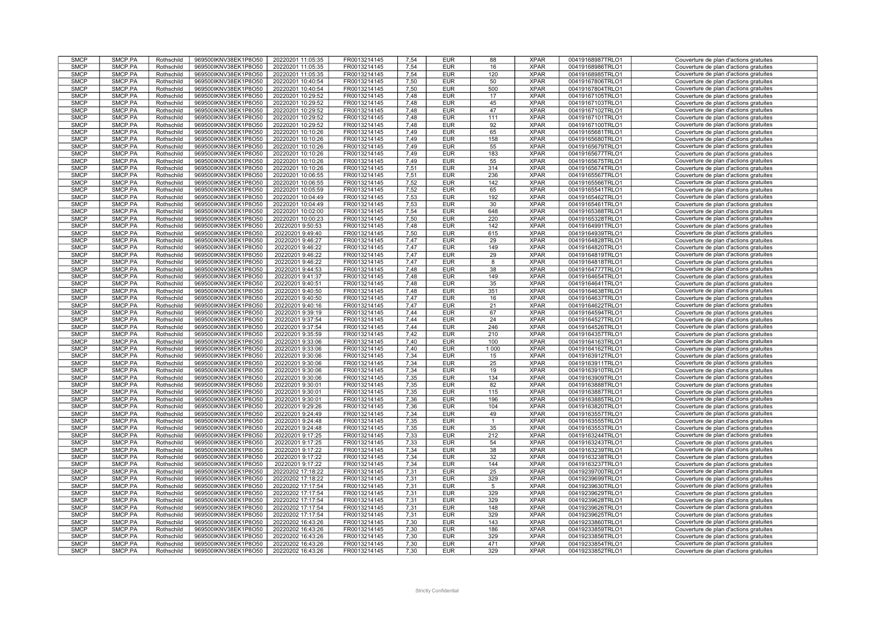| <b>SMCP</b>                | SMCP.PA            | Rothschild               | 969500IKNV38EK1P8O50                         | 20220201 11:05:35                      | FR0013214145                 | 7,54         | <b>EUR</b>               | 88             | <b>XPAR</b>                | 00419168987TRLO1                     | Couverture de plan d'actions gratuites                                           |
|----------------------------|--------------------|--------------------------|----------------------------------------------|----------------------------------------|------------------------------|--------------|--------------------------|----------------|----------------------------|--------------------------------------|----------------------------------------------------------------------------------|
| <b>SMCP</b>                | SMCP.PA            | Rothschild               | 969500IKNV38EK1P8O50                         | 20220201 11:05:35                      | FR0013214145                 | 7.54         | <b>EUR</b>               | 16             | <b>XPAR</b>                | 00419168986TRLO1                     | Couverture de plan d'actions gratuites                                           |
| <b>SMCP</b>                | SMCP.PA            | Rothschild               | 969500IKNV38EK1P8O50                         | 20220201 11:05:35                      | FR0013214145                 | 7,54         | <b>EUR</b>               | 120            | <b>XPAR</b>                | 00419168985TRLO1                     | Couverture de plan d'actions gratuites                                           |
| <b>SMCP</b>                | SMCP.PA            | Rothschild               | 969500IKNV38EK1P8O50                         | 20220201 10:40:54                      | FR0013214145                 | 7,50         | <b>EUR</b>               | 50             | <b>XPAR</b>                | 00419167806TRLO1                     | Couverture de plan d'actions gratuites                                           |
|                            |                    |                          |                                              |                                        |                              |              |                          |                |                            |                                      |                                                                                  |
| <b>SMCP</b>                | SMCP.PA            | Rothschild               | 969500IKNV38EK1P8O50                         | 20220201 10:40:54                      | FR0013214145                 | 7.50         | <b>EUR</b>               | 500            | <b>XPAR</b>                | 00419167804TRLO1                     | Couverture de plan d'actions gratuites                                           |
| <b>SMCP</b>                | SMCP.PA            | Rothschild               | 969500IKNV38EK1P8O50                         | 20220201 10:29:52                      | FR0013214145                 | 7,48         | <b>EUR</b>               | 17             | <b>XPAR</b>                | 00419167105TRLO1                     | Couverture de plan d'actions gratuites                                           |
| <b>SMCP</b>                | SMCP.PA            | Rothschild               | 969500IKNV38EK1P8O50                         | 20220201 10:29:52                      | FR0013214145                 | 7,48         | <b>EUR</b>               | 45             | <b>XPAR</b>                | 00419167103TRLO1                     | Couverture de plan d'actions gratuites                                           |
|                            |                    |                          |                                              |                                        |                              |              |                          |                |                            |                                      |                                                                                  |
| <b>SMCP</b>                | SMCP.PA            | Rothschild               | 969500IKNV38EK1P8O50                         | 20220201 10:29:52                      | FR0013214145                 | 7,48         | <b>EUR</b>               | 47             | <b>XPAR</b>                | 00419167102TRLO1                     | Couverture de plan d'actions gratuites                                           |
| <b>SMCP</b>                | SMCP.PA            | Rothschild               | 969500IKNV38EK1P8O50                         | 20220201 10:29:52                      | FR0013214145                 | 7,48         | <b>EUR</b>               | 111            | <b>XPAR</b>                | 00419167101TRLO1                     | Couverture de plan d'actions gratuites                                           |
| <b>SMCP</b>                | SMCP.PA            | Rothschild               | 969500IKNV38EK1P8O50                         | 20220201 10:29:52                      | FR0013214145                 | 7,48         | <b>EUR</b>               | 92             | <b>XPAR</b>                | 00419167100TRLO1                     | Couverture de plan d'actions gratuites                                           |
| <b>SMCP</b>                | SMCP.PA            | Rothschild               | 969500IKNV38EK1P8O50                         | 20220201 10:10:26                      | FR0013214145                 | 7,49         | <b>EUR</b>               | 65             | <b>XPAR</b>                | 00419165681TRLO1                     | Couverture de plan d'actions gratuites                                           |
|                            |                    |                          |                                              |                                        |                              |              |                          |                |                            |                                      |                                                                                  |
| <b>SMCP</b>                | SMCP.PA            | Rothschild               | 969500IKNV38EK1P8O50                         | 20220201 10:10:26                      | FR0013214145                 | 7,49         | <b>EUR</b>               | 158            | <b>XPAR</b>                | 00419165680TRLO1                     | Couverture de plan d'actions gratuites                                           |
| <b>SMCP</b>                | SMCP.PA            | Rothschild               | 969500IKNV38EK1P8O50                         | 20220201 10:10:26                      | FR0013214145                 | 7,49         | <b>EUR</b>               | 55             | <b>XPAR</b>                | 00419165679TRLO1                     | Couverture de plan d'actions gratuites                                           |
| <b>SMCP</b>                | SMCP.PA            | Rothschild               | 969500IKNV38EK1P8O50                         | 20220201 10:10:26                      | FR0013214145                 | 7,49         | <b>EUR</b>               | 183            | <b>XPAR</b>                | 00419165677TRLO1                     | Couverture de plan d'actions gratuites                                           |
| <b>SMCP</b>                | SMCP.PA            | Rothschild               | 969500IKNV38EK1P8O50                         | 20220201 10:10:26                      | FR0013214145                 | 7,49         | <b>EUR</b>               | 55             | <b>XPAR</b>                | 00419165675TRLO1                     | Couverture de plan d'actions gratuites                                           |
|                            |                    |                          |                                              |                                        |                              |              |                          |                |                            |                                      |                                                                                  |
| <b>SMCP</b>                | SMCP.PA            | Rothschild               | 969500IKNV38EK1P8O50                         | 20220201 10:10:26                      | FR0013214145                 | 7,51         | <b>EUR</b>               | 314            | <b>XPAR</b>                | 00419165674TRLO1                     | Couverture de plan d'actions gratuites                                           |
| <b>SMCP</b>                | SMCP.PA            | Rothschild               | 969500IKNV38EK1P8O50                         | 20220201 10:06:55                      | FR0013214145                 | 7,51         | <b>EUR</b>               | 236            | <b>XPAR</b>                | 00419165567TRLO1                     | Couverture de plan d'actions gratuites                                           |
| <b>SMCP</b>                | SMCP.PA            | Rothschild               | 969500IKNV38EK1P8O50                         | 20220201 10:06:55                      | FR0013214145                 | 7,52         | <b>EUR</b>               | 142            | <b>XPAR</b>                | 00419165566TRLO1                     | Couverture de plan d'actions gratuites                                           |
| <b>SMCP</b>                | SMCP.PA            | Rothschild               | 969500IKNV38EK1P8O50                         | 20220201 10:05:59                      | FR0013214145                 | 7,52         | <b>EUR</b>               | 65             | <b>XPAR</b>                | 00419165541TRLO1                     | Couverture de plan d'actions gratuites                                           |
|                            |                    |                          |                                              |                                        |                              |              |                          |                |                            |                                      |                                                                                  |
| <b>SMCP</b>                | SMCP.PA            | Rothschild               | 969500IKNV38EK1P8O50                         | 20220201 10:04:49                      | FR0013214145                 | 7,53         | <b>EUR</b>               | 192            | <b>XPAR</b>                | 00419165462TRLO1                     | Couverture de plan d'actions gratuites                                           |
| <b>SMCP</b>                | SMCP.PA            | Rothschild               | 969500IKNV38EK1P8O50                         | 20220201 10:04:49                      | FR0013214145                 | 7,53         | <b>EUR</b>               | 30             | <b>XPAR</b>                | 00419165461TRLO1                     | Couverture de plan d'actions gratuites                                           |
| <b>SMCP</b>                | SMCP.PA            | Rothschild               | 969500IKNV38EK1P8O50                         | 20220201 10:02:00                      | FR0013214145                 | 7,54         | <b>EUR</b>               | 648            | <b>XPAR</b>                | 00419165388TRLO1                     | Couverture de plan d'actions gratuites                                           |
| <b>SMCP</b>                |                    |                          |                                              |                                        |                              | 7,50         |                          | 220            | <b>XPAR</b>                |                                      |                                                                                  |
|                            | SMCP.PA            | Rothschild               | 969500IKNV38EK1P8O50                         | 20220201 10:00:23                      | FR0013214145                 |              | <b>EUR</b>               |                |                            | 00419165328TRLO1                     | Couverture de plan d'actions gratuites                                           |
| <b>SMCP</b>                | SMCP.PA            | Rothschild               | 969500IKNV38EK1P8O50                         | 20220201 9:50:53                       | FR0013214145                 | 7,48         | <b>EUR</b>               | 142            | <b>XPAR</b>                | 00419164991TRLO1                     | Couverture de plan d'actions gratuites                                           |
| <b>SMCP</b>                | SMCP.PA            | Rothschild               | 969500IKNV38EK1P8O50                         | 20220201 9:49:40                       | FR0013214145                 | 7,50         | <b>EUR</b>               | 615            | <b>XPAR</b>                | 00419164939TRLO1                     | Couverture de plan d'actions gratuites                                           |
| <b>SMCP</b>                | SMCP.PA            | Rothschild               | 969500IKNV38EK1P8O50                         | 20220201 9:46:27                       | FR0013214145                 | 7.47         | <b>EUR</b>               | 29             | <b>XPAR</b>                | 00419164828TRLO1                     | Couverture de plan d'actions gratuites                                           |
|                            |                    |                          |                                              |                                        |                              |              |                          |                |                            |                                      |                                                                                  |
| <b>SMCP</b>                | SMCP.PA            | Rothschild               | 969500IKNV38EK1P8O50                         | 20220201 9:46:22                       | FR0013214145                 | 7.47         | <b>EUR</b>               | 149            | <b>XPAR</b>                | 00419164820TRLO1                     | Couverture de plan d'actions gratuites                                           |
| <b>SMCP</b>                | SMCP.PA            | Rothschild               | 969500IKNV38EK1P8O50                         | 20220201 9:46:22                       | FR0013214145                 | 7,47         | <b>EUR</b>               | 29             | <b>XPAR</b>                | 00419164819TRLO1                     | Couverture de plan d'actions gratuites                                           |
| <b>SMCP</b>                | SMCP.PA            | Rothschild               | 969500IKNV38EK1P8O50                         | 20220201 9:46:22                       | FR0013214145                 | 7,47         | <b>EUR</b>               | 8              | <b>XPAR</b>                | 00419164818TRLO1                     | Couverture de plan d'actions gratuites                                           |
| <b>SMCP</b>                | SMCP.PA            | Rothschild               | 969500IKNV38EK1P8O50                         | 20220201 9:44:53                       | FR0013214145                 | 7.48         | <b>EUR</b>               | 38             | <b>XPAR</b>                | 00419164777TRLO1                     | Couverture de plan d'actions gratuites                                           |
|                            |                    |                          |                                              |                                        |                              |              |                          |                |                            |                                      |                                                                                  |
| <b>SMCP</b>                | SMCP.PA            | Rothschild               | 969500IKNV38EK1P8O50                         | 20220201 9:41:37                       | FR0013214145                 | 7.48         | <b>EUR</b>               | 149            | <b>XPAR</b>                | 00419164654TRLO1                     | Couverture de plan d'actions gratuites                                           |
| <b>SMCP</b>                | SMCP.PA            | Rothschild               | 969500IKNV38EK1P8O50                         | 20220201 9:40:51                       | FR0013214145                 | 7,48         | <b>EUR</b>               | 35             | <b>XPAR</b>                | 00419164641TRLO1                     | Couverture de plan d'actions gratuites                                           |
| <b>SMCP</b>                | SMCP.PA            | Rothschild               | 969500IKNV38EK1P8O50                         | 20220201 9:40:50                       | FR0013214145                 | 7.48         | <b>EUR</b>               | 351            | <b>XPAR</b>                | 00419164638TRLO1                     | Couverture de plan d'actions gratuites                                           |
| <b>SMCP</b>                | SMCP.PA            | Rothschild               |                                              | 20220201 9:40:50                       | FR0013214145                 | 7,47         | <b>EUR</b>               | 16             | <b>XPAR</b>                | 00419164637TRLO1                     | Couverture de plan d'actions gratuites                                           |
|                            |                    |                          | 969500IKNV38EK1P8O50                         |                                        |                              |              |                          |                |                            |                                      |                                                                                  |
| <b>SMCP</b>                | SMCP.PA            | Rothschild               | 969500IKNV38EK1P8O50                         | 20220201 9:40:16                       | FR0013214145                 | 7,47         | <b>EUR</b>               | 21             | <b>XPAR</b>                | 00419164622TRLO1                     | Couverture de plan d'actions gratuites                                           |
| <b>SMCP</b>                | SMCP.PA            | Rothschild               | 969500IKNV38EK1P8O50                         | 20220201 9:39:19                       | FR0013214145                 | 7,44         | <b>EUR</b>               | 67             | <b>XPAR</b>                | 00419164594TRLO1                     | Couverture de plan d'actions gratuites                                           |
| <b>SMCP</b>                | SMCP.PA            | Rothschild               | 969500IKNV38EK1P8O50                         | 20220201 9:37:54                       | FR0013214145                 | 7.44         | <b>EUR</b>               | 24             | <b>XPAR</b>                | 00419164527TRLO1                     | Couverture de plan d'actions gratuites                                           |
| <b>SMCP</b>                |                    |                          |                                              |                                        | FR0013214145                 | 7,44         | <b>EUR</b>               | 246            | <b>XPAR</b>                |                                      |                                                                                  |
|                            | SMCP.PA            | Rothschild               | 969500IKNV38EK1P8O50                         | 20220201 9:37:54                       |                              |              |                          |                |                            | 00419164526TRLO1                     | Couverture de plan d'actions gratuites                                           |
| <b>SMCP</b>                | SMCP.PA            | Rothschild               | 969500IKNV38EK1P8O50                         | 20220201 9:35:59                       | FR0013214145                 | 7,42         | <b>EUR</b>               | 210            | <b>XPAR</b>                | 00419164357TRLO1                     | Couverture de plan d'actions gratuites                                           |
| <b>SMCP</b>                | SMCP.PA            | Rothschild               | 969500IKNV38EK1P8O50                         | 20220201 9:33:06                       | FR0013214145                 | 7.40         | <b>EUR</b>               | 100            | <b>XPAR</b>                | 00419164163TRLO1                     | Couverture de plan d'actions gratuites                                           |
| <b>SMCP</b>                | SMCP.PA            | Rothschild               | 969500IKNV38EK1P8O50                         | 20220201 9:33:06                       | FR0013214145                 | 7,40         | <b>EUR</b>               | 1 0 0 0        | <b>XPAR</b>                | 00419164162TRLO1                     | Couverture de plan d'actions gratuites                                           |
|                            |                    |                          |                                              |                                        |                              |              |                          |                |                            |                                      |                                                                                  |
| <b>SMCP</b>                | SMCP.PA            | Rothschild               | 969500IKNV38EK1P8O50                         | 20220201 9:30:06                       | FR0013214145                 | 7,34         | <b>EUR</b>               | 15             | <b>XPAR</b>                | 00419163912TRLO1                     | Couverture de plan d'actions gratuites                                           |
| <b>SMCP</b>                | SMCP.PA            | Rothschild               | 969500IKNV38EK1P8O50                         | 20220201 9:30:06                       | FR0013214145                 | 7.34         | <b>EUR</b>               | 25             | <b>XPAR</b>                | 00419163911TRLO1                     | Couverture de plan d'actions gratuites                                           |
| <b>SMCP</b>                | SMCP.PA            | Rothschild               | 969500IKNV38EK1P8O50                         | 20220201 9:30:06                       | FR0013214145                 | 7,34         | <b>EUR</b>               | 19             | <b>XPAR</b>                | 00419163910TRLO1                     | Couverture de plan d'actions gratuites                                           |
| <b>SMCP</b>                | SMCP.PA            | Rothschild               |                                              |                                        |                              |              |                          |                |                            |                                      |                                                                                  |
|                            |                    |                          |                                              |                                        |                              |              |                          |                |                            |                                      |                                                                                  |
| <b>SMCP</b>                | SMCP.PA            |                          | 969500IKNV38EK1P8O50                         | 20220201 9:30:06                       | FR0013214145                 | 7,35         | <b>EUR</b>               | 134            | <b>XPAR</b>                | 00419163909TRLO1                     | Couverture de plan d'actions gratuites                                           |
| <b>SMCP</b>                |                    | Rothschild               | 969500IKNV38EK1P8O50                         | 20220201 9:30:01                       | FR0013214145                 | 7.35         | <b>EUR</b>               | 82             | <b>XPAR</b>                | 00419163888TRLO1                     | Couverture de plan d'actions gratuites                                           |
|                            | SMCP.PA            | Rothschild               | 969500IKNV38EK1P8O50                         | 20220201 9:30:01                       | FR0013214145                 | 7,35         | <b>EUR</b>               | 115            | <b>XPAR</b>                | 00419163887TRLO1                     | Couverture de plan d'actions gratuites                                           |
|                            |                    |                          |                                              |                                        |                              |              |                          |                |                            |                                      |                                                                                  |
| <b>SMCP</b>                | SMCP.PA            | Rothschild               | 969500IKNV38EK1P8O50                         | 20220201 9:30:01                       | FR0013214145                 | 7,36         | <b>EUR</b>               | 196            | <b>XPAR</b>                | 00419163885TRLO1                     | Couverture de plan d'actions gratuites                                           |
| <b>SMCP</b>                | SMCP.PA            | Rothschild               | 969500IKNV38EK1P8O50                         | 20220201 9:29:26                       | FR0013214145                 | 7.36         | <b>EUR</b>               | 104            | <b>XPAR</b>                | 00419163820TRLO1                     | Couverture de plan d'actions gratuites                                           |
| <b>SMCP</b>                | SMCP.PA            | Rothschild               | 969500IKNV38EK1P8O50                         | 20220201 9:24:49                       | FR0013214145                 | 7,34         | <b>EUR</b>               | 49             | <b>XPAR</b>                | 00419163557TRLO1                     | Couverture de plan d'actions gratuites                                           |
| <b>SMCP</b>                | SMCP.PA            | Rothschild               | 969500IKNV38EK1P8O50                         | 20220201 9:24:48                       | FR0013214145                 | 7,35         | <b>EUR</b>               | $\mathbf{1}$   | <b>XPAR</b>                | 00419163555TRLO1                     | Couverture de plan d'actions gratuites                                           |
| <b>SMCP</b>                | SMCP.PA            | Rothschild               | 969500IKNV38EK1P8O50                         | 20220201 9:24:48                       | FR0013214145                 | 7,35         | <b>EUR</b>               | 35             | <b>XPAR</b>                | 00419163553TRLO1                     | Couverture de plan d'actions gratuites                                           |
|                            |                    |                          |                                              |                                        |                              |              |                          |                |                            |                                      |                                                                                  |
| <b>SMCP</b>                | SMCP.PA            | Rothschild               | 969500IKNV38EK1P8O50                         | 20220201 9:17:25                       | FR0013214145                 | 7,33         | <b>EUR</b>               | 212            | <b>XPAR</b>                | 00419163244TRLO1                     | Couverture de plan d'actions gratuites                                           |
| <b>SMCP</b>                | SMCP.PA            | Rothschild               | 969500IKNV38EK1P8O50                         | 20220201 9:17:25                       | FR0013214145                 | 7,33         | <b>EUR</b>               | 54             | <b>XPAR</b>                | 00419163243TRLO1                     | Couverture de plan d'actions gratuites                                           |
| <b>SMCP</b>                | SMCP.PA            | Rothschild               | 969500IKNV38EK1P8O50                         | 20220201 9:17:22                       | FR0013214145                 | 7,34         | <b>EUR</b>               | 38             | <b>XPAR</b>                | 00419163239TRLO1                     | Couverture de plan d'actions gratuites                                           |
|                            |                    |                          |                                              |                                        |                              |              |                          |                |                            |                                      |                                                                                  |
| <b>SMCP</b>                | SMCP.PA            | Rothschild               | 969500IKNV38EK1P8O50                         | 20220201 9:17:22                       | FR0013214145                 | 7,34         | <b>EUR</b>               | 32             | <b>XPAR</b>                | 00419163238TRLO1                     | Couverture de plan d'actions gratuites                                           |
| <b>SMCP</b>                | SMCP.PA            | Rothschild               | 969500IKNV38EK1P8O50                         | 20220201 9:17:22                       | FR0013214145                 | 7,34         | <b>EUR</b>               | 144            | <b>XPAR</b>                | 00419163237TRLO1                     | Couverture de plan d'actions gratuites                                           |
| <b>SMCP</b>                | SMCP.PA            | Rothschild               | 969500IKNV38EK1P8O50                         | 20220202 17:18:22                      | FR0013214145                 | 7,31         | <b>EUR</b>               | 25             | <b>XPAR</b>                | 00419239700TRLO1                     | Couverture de plan d'actions gratuites                                           |
| <b>SMCP</b>                | SMCP.PA            | Rothschild               | 969500IKNV38EK1P8O50                         | 20220202 17:18:22                      | FR0013214145                 | 7,31         | <b>EUR</b>               | 329            | <b>XPAR</b>                | 00419239699TRLO1                     | Couverture de plan d'actions gratuites                                           |
|                            |                    |                          |                                              |                                        |                              |              |                          |                |                            |                                      |                                                                                  |
| <b>SMCP</b>                | SMCP.PA            | Rothschild               | 969500IKNV38EK1P8O50                         | 20220202 17:17:54                      | FR0013214145                 | 7,31         | <b>EUR</b>               | $\overline{5}$ | <b>XPAR</b>                | 00419239630TRLO1                     | Couverture de plan d'actions gratuites                                           |
| <b>SMCP</b>                | SMCP.PA            | Rothschild               | 969500IKNV38EK1P8O50                         | 20220202 17:17:54                      | FR0013214145                 | 7,31         | <b>EUR</b>               | 329            | <b>XPAR</b>                | 00419239629TRLO1                     | Couverture de plan d'actions gratuites                                           |
| <b>SMCP</b>                | SMCP.PA            | Rothschild               | 969500IKNV38EK1P8O50                         | 20220202 17:17:54                      | FR0013214145                 | 7,31         | <b>EUR</b>               | 329            | <b>XPAR</b>                | 00419239628TRLO1                     | Couverture de plan d'actions gratuites                                           |
| <b>SMCP</b>                | SMCP.PA            | Rothschild               | 969500IKNV38EK1P8O50                         | 20220202 17:17:54                      | FR0013214145                 | 7,31         | <b>EUR</b>               | 148            | <b>XPAR</b>                | 00419239626TRLO1                     | Couverture de plan d'actions gratuites                                           |
| <b>SMCP</b>                | SMCP.PA            | Rothschild               | 969500IKNV38EK1P8O50                         | 20220202 17:17:54                      | FR0013214145                 | 7,31         | <b>EUR</b>               | 329            | <b>XPAR</b>                | 00419239625TRLO1                     | Couverture de plan d'actions gratuites                                           |
|                            |                    |                          |                                              |                                        |                              |              |                          |                |                            |                                      |                                                                                  |
| <b>SMCP</b>                | SMCP.PA            | Rothschild               | 969500IKNV38EK1P8O50                         | 20220202 16:43:26                      | FR0013214145                 | 7,30         | <b>EUR</b>               | 143            | <b>XPAR</b>                | 00419233860TRLO1                     | Couverture de plan d'actions gratuites                                           |
| <b>SMCP</b>                | SMCP.PA            | Rothschild               | 969500IKNV38EK1P8O50                         | 20220202 16:43:26                      | FR0013214145                 | 7,30         | <b>EUR</b>               | 186            | <b>XPAR</b>                | 00419233859TRLO1                     | Couverture de plan d'actions gratuites                                           |
| <b>SMCP</b>                | SMCP.PA            | Rothschild               | 969500IKNV38EK1P8O50                         | 20220202 16:43:26                      | FR0013214145                 | 7,30         | <b>EUR</b>               | 329            | <b>XPAR</b>                | 00419233856TRLO1                     | Couverture de plan d'actions gratuites                                           |
|                            |                    |                          |                                              |                                        |                              |              |                          |                |                            |                                      |                                                                                  |
| <b>SMCP</b><br><b>SMCP</b> | SMCP.PA<br>SMCP.PA | Rothschild<br>Rothschild | 969500IKNV38EK1P8O50<br>969500IKNV38EK1P8O50 | 20220202 16:43:26<br>20220202 16:43:26 | FR0013214145<br>FR0013214145 | 7,30<br>7,30 | <b>EUR</b><br><b>EUR</b> | 471<br>329     | <b>XPAR</b><br><b>XPAR</b> | 00419233854TRLO1<br>00419233852TRLO1 | Couverture de plan d'actions gratuites<br>Couverture de plan d'actions gratuites |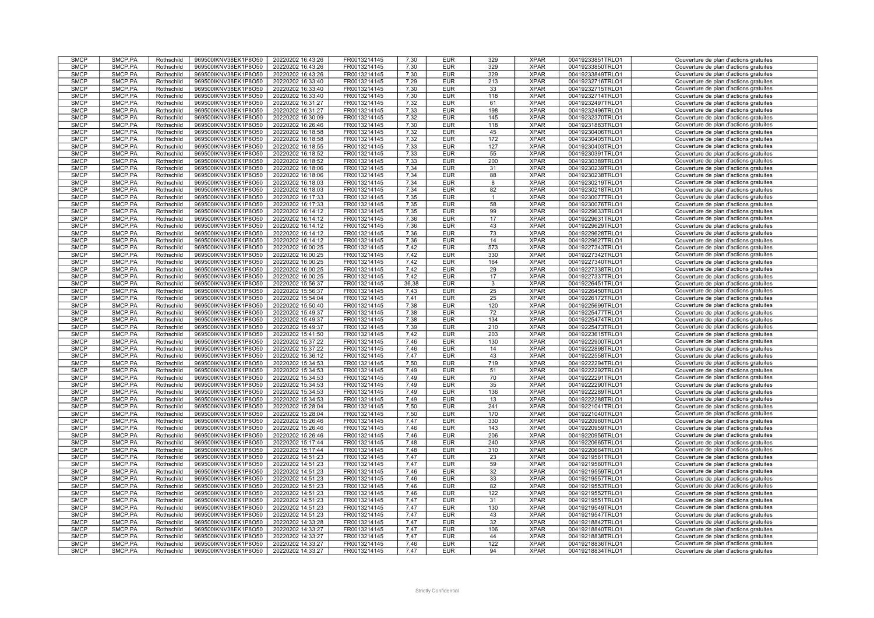| <b>SMCP</b>                | SMCP.PA            | Rothschild               | 969500IKNV38EK1P8O50                         | 20220202 16:43:26                      | FR0013214145                 | 7,30         | <b>EUR</b>               | 329          | <b>XPAR</b>                | 00419233851TRLO1                     | Couverture de plan d'actions gratuites                                           |
|----------------------------|--------------------|--------------------------|----------------------------------------------|----------------------------------------|------------------------------|--------------|--------------------------|--------------|----------------------------|--------------------------------------|----------------------------------------------------------------------------------|
|                            |                    |                          |                                              |                                        |                              |              |                          |              |                            |                                      |                                                                                  |
| <b>SMCP</b>                | SMCP.PA            | Rothschild               | 969500IKNV38EK1P8O50                         | 20220202 16:43:26                      | FR0013214145                 | 7.30         | <b>EUR</b>               | 329          | <b>XPAR</b>                | 00419233850TRLO1                     | Couverture de plan d'actions gratuites                                           |
| <b>SMCP</b>                | SMCP.PA            | Rothschild               | 969500IKNV38EK1P8O50                         | 20220202 16:43:26                      | FR0013214145                 | 7,30         | <b>EUR</b>               | 329          | <b>XPAR</b>                | 00419233849TRLO1                     | Couverture de plan d'actions gratuites                                           |
| <b>SMCP</b>                | SMCP.PA            | Rothschild               | 969500IKNV38EK1P8O50                         | 20220202 16:33:40                      | FR0013214145                 | 7,29         | <b>EUR</b>               | 213          | <b>XPAR</b>                | 00419232716TRLO1                     | Couverture de plan d'actions gratuites                                           |
|                            |                    |                          |                                              |                                        |                              |              |                          |              |                            |                                      |                                                                                  |
| <b>SMCP</b>                | SMCP.PA            | Rothschild               | 969500IKNV38EK1P8O50                         | 20220202 16:33:40                      | FR0013214145                 | 7.30         | <b>EUR</b>               | 33           | <b>XPAR</b>                | 00419232715TRLO1                     | Couverture de plan d'actions gratuites                                           |
| <b>SMCP</b>                | SMCP.PA            | Rothschild               | 969500IKNV38EK1P8O50                         | 20220202 16:33:40                      | FR0013214145                 | 7.30         | <b>EUR</b>               | 118          | <b>XPAR</b>                | 00419232714TRLO1                     | Couverture de plan d'actions gratuites                                           |
| <b>SMCP</b>                | SMCP.PA            | Rothschild               | 969500IKNV38EK1P8O50                         | 20220202 16:31:27                      | FR0013214145                 | 7,32         | <b>EUR</b>               | 61           | <b>XPAR</b>                | 00419232497TRLO1                     | Couverture de plan d'actions gratuites                                           |
| <b>SMCP</b>                | SMCP.PA            | Rothschild               | 969500IKNV38EK1P8O50                         | 20220202 16:31:27                      | FR0013214145                 | 7,33         | <b>EUR</b>               | 198          | <b>XPAR</b>                | 00419232496TRLO1                     | Couverture de plan d'actions gratuites                                           |
|                            |                    |                          |                                              |                                        |                              |              |                          |              |                            |                                      |                                                                                  |
| <b>SMCP</b>                | SMCP.PA            | Rothschild               | 969500IKNV38EK1P8O50                         | 20220202 16:30:09                      | FR0013214145                 | 7,32         | <b>EUR</b>               | 145          | <b>XPAR</b>                | 00419232370TRLO1                     | Couverture de plan d'actions gratuites                                           |
| <b>SMCP</b>                | SMCP.PA            | Rothschild               | 969500IKNV38EK1P8O50                         | 20220202 16:26:46                      | FR0013214145                 | 7,30         | <b>EUR</b>               | 118          | <b>XPAR</b>                | 00419231883TRLO1                     | Couverture de plan d'actions gratuites                                           |
| <b>SMCP</b>                | SMCP.PA            | Rothschild               | 969500IKNV38EK1P8O50                         | 20220202 16:18:58                      | FR0013214145                 | 7,32         | <b>EUR</b>               | 45           | <b>XPAR</b>                | 00419230406TRLO1                     | Couverture de plan d'actions gratuites                                           |
| <b>SMCP</b>                | SMCP.PA            | Rothschild               | 969500IKNV38EK1P8O50                         | 20220202 16:18:58                      | FR0013214145                 | 7,32         | <b>EUR</b>               | 172          | <b>XPAR</b>                | 00419230405TRLO1                     | Couverture de plan d'actions gratuites                                           |
|                            |                    |                          |                                              |                                        |                              |              |                          |              |                            |                                      |                                                                                  |
| <b>SMCP</b>                | SMCP.PA            | Rothschild               | 969500IKNV38EK1P8O50                         | 20220202 16:18:55                      | FR0013214145                 | 7,33         | <b>EUR</b>               | 127          | <b>XPAR</b>                | 00419230403TRLO1                     | Couverture de plan d'actions gratuites                                           |
| <b>SMCP</b>                | SMCP.PA            | Rothschild               | 969500IKNV38EK1P8O50                         | 20220202 16:18:52                      | FR0013214145                 | 7,33         | <b>EUR</b>               | 55           | <b>XPAR</b>                | 00419230391TRLO1                     | Couverture de plan d'actions gratuites                                           |
| <b>SMCP</b>                | SMCP.PA            | Rothschild               | 969500IKNV38EK1P8O50                         | 20220202 16:18:52                      | FR0013214145                 | 7,33         | <b>EUR</b>               | 200          | <b>XPAR</b>                | 00419230389TRLO1                     | Couverture de plan d'actions gratuites                                           |
|                            |                    |                          |                                              |                                        |                              |              |                          |              |                            |                                      |                                                                                  |
| <b>SMCP</b>                | SMCP.PA            | Rothschild               | 969500IKNV38EK1P8O50                         | 20220202 16:18:06                      | FR0013214145                 | 7,34         | <b>EUR</b>               | 31           | <b>XPAR</b>                | 00419230239TRLO1                     | Couverture de plan d'actions gratuites                                           |
| <b>SMCP</b>                | SMCP.PA            | Rothschild               | 969500IKNV38EK1P8O50                         | 20220202 16:18:06                      | FR0013214145                 | 7,34         | <b>EUR</b>               | 88           | <b>XPAR</b>                | 00419230238TRLO1                     | Couverture de plan d'actions gratuites                                           |
| <b>SMCP</b>                | SMCP.PA            | Rothschild               | 969500IKNV38EK1P8O50                         | 20220202 16:18:03                      | FR0013214145                 | 7.34         | <b>EUR</b>               | 8            | <b>XPAR</b>                | 00419230219TRLO1                     | Couverture de plan d'actions gratuites                                           |
| <b>SMCP</b>                | SMCP.PA            | Rothschild               | 969500IKNV38EK1P8O50                         | 20220202 16:18:03                      | FR0013214145                 | 7.34         | <b>EUR</b>               | 82           | <b>XPAR</b>                | 00419230218TRLO1                     | Couverture de plan d'actions gratuites                                           |
|                            |                    |                          |                                              |                                        |                              |              |                          |              |                            |                                      |                                                                                  |
| <b>SMCP</b>                | SMCP.PA            | Rothschild               | 969500IKNV38EK1P8O50                         | 20220202 16:17:33                      | FR0013214145                 | 7,35         | <b>EUR</b>               | $\mathbf{1}$ | <b>XPAR</b>                | 00419230077TRLO1                     | Couverture de plan d'actions gratuites                                           |
| <b>SMCP</b>                | SMCP.PA            | Rothschild               | 969500IKNV38EK1P8O50                         | 20220202 16:17:33                      | FR0013214145                 | 7.35         | <b>EUR</b>               | 58           | <b>XPAR</b>                | 00419230076TRLO1                     | Couverture de plan d'actions gratuites                                           |
| <b>SMCP</b>                | SMCP.PA            | Rothschild               | 969500IKNV38EK1P8O50                         | 20220202 16:14:12                      | FR0013214145                 | 7,35         | <b>EUR</b>               | 99           | <b>XPAR</b>                | 00419229633TRLO1                     | Couverture de plan d'actions gratuites                                           |
| <b>SMCP</b>                | SMCP.PA            |                          |                                              |                                        | FR0013214145                 | 7,36         | <b>EUR</b>               | 17           | <b>XPAR</b>                |                                      |                                                                                  |
|                            |                    | Rothschild               | 969500IKNV38EK1P8O50                         | 20220202 16:14:12                      |                              |              |                          |              |                            | 00419229631TRLO1                     | Couverture de plan d'actions gratuites                                           |
| <b>SMCP</b>                | SMCP.PA            | Rothschild               | 969500IKNV38EK1P8O50                         | 20220202 16:14:12                      | FR0013214145                 | 7,36         | <b>EUR</b>               | 43           | <b>XPAR</b>                | 00419229629TRLO1                     | Couverture de plan d'actions gratuites                                           |
| <b>SMCP</b>                | SMCP.PA            | Rothschild               | 969500IKNV38EK1P8O50                         | 20220202 16:14:12                      | FR0013214145                 | 7,36         | <b>EUR</b>               | 73           | <b>XPAR</b>                | 00419229628TRLO1                     | Couverture de plan d'actions gratuites                                           |
| <b>SMCP</b>                | SMCP.PA            | Rothschild               | 969500IKNV38EK1P8O50                         | 20220202 16:14:12                      | FR0013214145                 | 7,36         | <b>EUR</b>               | 14           | <b>XPAR</b>                | 00419229627TRLO1                     | Couverture de plan d'actions gratuites                                           |
| <b>SMCP</b>                | SMCP.PA            | Rothschild               | 969500IKNV38EK1P8O50                         | 20220202 16:00:25                      | FR0013214145                 | 7,42         | <b>EUR</b>               | 573          | <b>XPAR</b>                | 00419227343TRLO1                     | Couverture de plan d'actions gratuites                                           |
|                            |                    |                          |                                              |                                        |                              |              |                          |              |                            |                                      |                                                                                  |
| <b>SMCP</b>                | SMCP.PA            | Rothschild               | 969500IKNV38EK1P8O50                         | 20220202 16:00:25                      | FR0013214145                 | 7,42         | <b>EUR</b>               | 330          | <b>XPAR</b>                | 00419227342TRLO1                     | Couverture de plan d'actions gratuites                                           |
| <b>SMCP</b>                | SMCP.PA            | Rothschild               | 969500IKNV38EK1P8O50                         | 20220202 16:00:25                      | FR0013214145                 | 7,42         | <b>EUR</b>               | 164          | <b>XPAR</b>                | 00419227340TRLO1                     | Couverture de plan d'actions gratuites                                           |
| <b>SMCP</b>                | SMCP.PA            | Rothschild               | 969500IKNV38EK1P8O50                         | 20220202 16:00:25                      | FR0013214145                 | 7,42         | <b>EUR</b>               | 29           | <b>XPAR</b>                | 00419227338TRLO1                     | Couverture de plan d'actions gratuites                                           |
|                            |                    |                          |                                              |                                        |                              |              |                          |              |                            |                                      |                                                                                  |
| <b>SMCP</b>                | SMCP.PA            | Rothschild               | 969500IKNV38EK1P8O50                         | 20220202 16:00:25                      | FR0013214145                 | 7.42         | <b>EUR</b>               | 17           | <b>XPAR</b>                | 00419227337TRLO1                     | Couverture de plan d'actions gratuites                                           |
| <b>SMCP</b>                | SMCP.PA            | Rothschild               | 969500IKNV38EK1P8O50                         | 20220202 15:56:37                      | FR0013214145                 | 36,38        | <b>EUR</b>               | 3            | <b>XPAR</b>                | 00419226451TRLO1                     | Couverture de plan d'actions gratuites                                           |
| <b>SMCP</b>                | SMCP.PA            | Rothschild               | 969500IKNV38EK1P8O50                         | 20220202 15:56:37                      | FR0013214145                 | 7,43         | <b>EUR</b>               | 25           | <b>XPAR</b>                | 00419226450TRLO1                     | Couverture de plan d'actions gratuites                                           |
| <b>SMCP</b>                | SMCP.PA            | Rothschild               | 969500IKNV38EK1P8O50                         | 20220202 15:54:04                      | FR0013214145                 | 7.41         | <b>EUR</b>               | 25           | <b>XPAR</b>                | 00419226172TRLO1                     | Couverture de plan d'actions gratuites                                           |
|                            |                    |                          |                                              |                                        |                              |              |                          |              |                            |                                      |                                                                                  |
| <b>SMCP</b>                | SMCP.PA            | Rothschild               | 969500IKNV38EK1P8O50                         | 20220202 15:50:40                      | FR0013214145                 | 7,38         | <b>EUR</b>               | 120          | <b>XPAR</b>                | 00419225699TRLO1                     | Couverture de plan d'actions gratuites                                           |
| <b>SMCP</b>                | SMCP.PA            | Rothschild               | 969500IKNV38EK1P8O50                         | 20220202 15:49:37                      | FR0013214145                 | 7,38         | <b>EUR</b>               | 72           | <b>XPAR</b>                | 00419225477TRLO1                     | Couverture de plan d'actions gratuites                                           |
| <b>SMCP</b>                | SMCP.PA            | Rothschild               | 969500IKNV38EK1P8O50                         | 20220202 15:49:37                      | FR0013214145                 | 7.38         | <b>EUR</b>               | 134          | <b>XPAR</b>                | 00419225474TRLO1                     | Couverture de plan d'actions gratuites                                           |
| <b>SMCP</b>                | SMCP.PA            | Rothschild               | 969500IKNV38EK1P8O50                         | 20220202 15:49:37                      | FR0013214145                 | 7,39         | <b>EUR</b>               | 210          | <b>XPAR</b>                | 00419225473TRLO1                     | Couverture de plan d'actions gratuites                                           |
|                            |                    |                          |                                              |                                        |                              |              |                          |              |                            |                                      |                                                                                  |
| <b>SMCP</b>                | SMCP.PA            | Rothschild               | 969500IKNV38EK1P8O50                         | 20220202 15:41:50                      | FR0013214145                 | 7,42         | <b>EUR</b>               | 203          | <b>XPAR</b>                | 00419223615TRLO1                     | Couverture de plan d'actions gratuites                                           |
| <b>SMCP</b>                | SMCP.PA            | Rothschild               | 969500IKNV38EK1P8O50                         | 20220202 15:37:22                      | FR0013214145                 | 7,46         | <b>EUR</b>               | 130          | <b>XPAR</b>                | 00419222900TRLO1                     | Couverture de plan d'actions gratuites                                           |
| <b>SMCP</b>                | SMCP.PA            | Rothschild               | 969500IKNV38EK1P8O50                         | 20220202 15:37:22                      | FR0013214145                 | 7,46         | <b>EUR</b>               | 14           | <b>XPAR</b>                | 00419222898TRLO1                     | Couverture de plan d'actions gratuites                                           |
| <b>SMCP</b>                |                    |                          |                                              |                                        |                              |              |                          |              |                            |                                      |                                                                                  |
|                            | SMCP.PA            | Rothschild               | 969500IKNV38EK1P8O50                         | 20220202 15:36:12                      | FR0013214145                 | 7.47         | <b>EUR</b>               | 43           | <b>XPAR</b>                | 00419222558TRLO1                     | Couverture de plan d'actions gratuites                                           |
| <b>SMCP</b>                | SMCP.PA            | Rothschild               | 969500IKNV38EK1P8O50                         | 20220202 15:34:53                      | FR0013214145                 | 7,50         | <b>EUR</b>               | 719          | <b>XPAR</b>                | 00419222294TRLO1                     | Couverture de plan d'actions gratuites                                           |
| <b>SMCP</b>                | SMCP.PA            | Rothschild               | 969500IKNV38EK1P8O50                         | 20220202 15:34:53                      | FR0013214145                 | 7.49         | <b>EUR</b>               | 51           | <b>XPAR</b>                | 00419222292TRLO1                     | Couverture de plan d'actions gratuites                                           |
| <b>SMCP</b>                | SMCP.PA            | Rothschild               | 969500IKNV38EK1P8O50                         | 20220202 15:34:53                      | FR0013214145                 | 7.49         | <b>EUR</b>               | 70           | <b>XPAR</b>                | 00419222291TRLO1                     | Couverture de plan d'actions gratuites                                           |
|                            |                    |                          |                                              |                                        |                              |              |                          |              |                            |                                      |                                                                                  |
| <b>SMCP</b>                | SMCP.PA            | Rothschild               | 969500IKNV38EK1P8O50                         | 20220202 15:34:53                      | FR0013214145                 | 7,49         | <b>EUR</b>               | 35           | <b>XPAR</b>                | 00419222290TRLO1                     | Couverture de plan d'actions gratuites                                           |
| <b>SMCP</b>                | SMCP.PA            | Rothschild               | 969500IKNV38EK1P8O50                         | 20220202 15:34:53                      | FR0013214145                 | 7.49         | <b>EUR</b>               | 136          | <b>XPAR</b>                | 00419222289TRLO1                     | Couverture de plan d'actions gratuites                                           |
| <b>SMCP</b>                | SMCP.PA            | Rothschild               | 969500IKNV38EK1P8O50                         | 20220202 15:34:53                      | FR0013214145                 | 7,49         | <b>EUR</b>               | 13           | <b>XPAR</b>                | 00419222288TRLO1                     | Couverture de plan d'actions gratuites                                           |
| <b>SMCP</b>                | SMCP.PA            | Rothschild               | 969500IKNV38EK1P8O50                         | 20220202 15:28:04                      | FR0013214145                 | 7,50         | <b>EUR</b>               | 241          | <b>XPAR</b>                | 00419221041TRLO1                     | Couverture de plan d'actions gratuites                                           |
|                            |                    |                          |                                              |                                        |                              |              |                          |              |                            |                                      |                                                                                  |
| <b>SMCP</b>                | SMCP.PA            | Rothschild               | 969500IKNV38EK1P8O50                         | 20220202 15:28:04                      | FR0013214145                 | 7,50         | <b>EUR</b>               | 170          | <b>XPAR</b>                | 00419221040TRLO1                     | Couverture de plan d'actions gratuites                                           |
| <b>SMCP</b>                | SMCP.PA            | Rothschild               | 969500IKNV38EK1P8O50                         | 20220202 15:26:46                      | FR0013214145                 | 7,47         | <b>EUR</b>               | 330          | <b>XPAR</b>                | 00419220960TRLO1                     | Couverture de plan d'actions gratuites                                           |
| <b>SMCP</b>                | SMCP.PA            | Rothschild               | 969500IKNV38EK1P8O50                         | 20220202 15:26:46                      | FR0013214145                 | 7,46         | <b>EUR</b>               | 143          | <b>XPAR</b>                | 00419220959TRLO1                     | Couverture de plan d'actions gratuites                                           |
| <b>SMCP</b>                | SMCP.PA            | Rothschild               | 969500IKNV38EK1P8O50                         | 20220202 15:26:46                      | FR0013214145                 | 7.46         | <b>EUR</b>               | 206          | <b>XPAR</b>                | 00419220956TRLO1                     | Couverture de plan d'actions gratuites                                           |
|                            |                    |                          |                                              |                                        |                              |              |                          |              |                            |                                      |                                                                                  |
| <b>SMCP</b>                | SMCP.PA            | Rothschild               | 969500IKNV38EK1P8O50                         | 20220202 15:17:44                      | FR0013214145                 | 7,48         | <b>EUR</b>               | 240          | <b>XPAR</b>                | 00419220665TRLO1                     | Couverture de plan d'actions gratuites                                           |
| <b>SMCP</b>                | SMCP.PA            | Rothschild               | 969500IKNV38EK1P8O50                         | 20220202 15:17:44                      | FR0013214145                 | 7,48         | <b>EUR</b>               | 310          | <b>XPAR</b>                | 00419220664TRLO1                     | Couverture de plan d'actions gratuites                                           |
| <b>SMCP</b>                | SMCP.PA            | Rothschild               | 969500IKNV38EK1P8O50                         | 20220202 14:51:23                      | FR0013214145                 | 7.47         | <b>EUR</b>               | 23           | <b>XPAR</b>                | 00419219561TRLO1                     | Couverture de plan d'actions gratuites                                           |
| <b>SMCP</b>                | SMCP.PA            | Rothschild               | 969500IKNV38EK1P8O50                         | 20220202 14:51:23                      | FR0013214145                 | 7.47         | <b>EUR</b>               | 59           | <b>XPAR</b>                | 00419219560TRLO1                     | Couverture de plan d'actions gratuites                                           |
|                            |                    |                          |                                              |                                        |                              |              |                          |              |                            |                                      |                                                                                  |
| <b>SMCP</b>                | SMCP.PA            | Rothschild               | 969500IKNV38EK1P8O50                         | 20220202 14:51:23                      | FR0013214145                 | 7.46         | <b>EUR</b>               | 32           | <b>XPAR</b>                | 00419219559TRLO1                     | Couverture de plan d'actions gratuites                                           |
| <b>SMCP</b>                | SMCP.PA            | Rothschild               | 969500IKNV38EK1P8O50                         | 20220202 14:51:23                      | FR0013214145                 | 7,46         | <b>EUR</b>               | 33           | <b>XPAR</b>                | 00419219557TRLO1                     | Couverture de plan d'actions gratuites                                           |
| <b>SMCP</b>                | SMCP.PA            | Rothschild               | 969500IKNV38EK1P8O50                         | 20220202 14:51:23                      | FR0013214145                 | 7,46         | <b>EUR</b>               | 82           | <b>XPAR</b>                | 00419219553TRLO1                     | Couverture de plan d'actions gratuites                                           |
| <b>SMCP</b>                | SMCP.PA            |                          |                                              | 20220202 14:51:23                      | FR0013214145                 | 7,46         | <b>EUR</b>               | 122          | <b>XPAR</b>                |                                      |                                                                                  |
|                            |                    | Rothschild               | 969500IKNV38EK1P8O50                         |                                        |                              |              |                          |              |                            | 00419219552TRLO1                     | Couverture de plan d'actions gratuites                                           |
| <b>SMCP</b>                | SMCP.PA            | Rothschild               | 969500IKNV38EK1P8O50                         | 20220202 14:51:23                      | FR0013214145                 | 7,47         | <b>EUR</b>               | 31           | <b>XPAR</b>                | 00419219551TRLO1                     | Couverture de plan d'actions gratuites                                           |
| <b>SMCP</b>                | SMCP.PA            | Rothschild               | 969500IKNV38EK1P8O50                         | 20220202 14:51:23                      | FR0013214145                 | 7,47         | <b>EUR</b>               | 130          | <b>XPAR</b>                | 00419219549TRLO1                     | Couverture de plan d'actions gratuites                                           |
| <b>SMCP</b>                | SMCP.PA            | Rothschild               | 969500IKNV38EK1P8O50                         | 20220202 14:51:23                      | FR0013214145                 | 7,47         | <b>EUR</b>               | 43           | <b>XPAR</b>                | 00419219547TRLO1                     | Couverture de plan d'actions gratuites                                           |
|                            |                    |                          |                                              |                                        |                              |              |                          |              |                            |                                      |                                                                                  |
| <b>SMCP</b>                | SMCP.PA            | Rothschild               | 969500IKNV38EK1P8O50                         | 20220202 14:33:28                      | FR0013214145                 | 7,47         | <b>EUR</b>               | 32           | <b>XPAR</b>                | 00419218842TRLO1                     | Couverture de plan d'actions gratuites                                           |
|                            | SMCP.PA            | Rothschild               | 969500IKNV38EK1P8O50                         | 20220202 14:33:27                      | FR0013214145                 | 7,47         | <b>EUR</b>               | 106          | <b>XPAR</b>                | 00419218840TRLO1                     | Couverture de plan d'actions gratuites                                           |
| <b>SMCP</b>                |                    |                          |                                              |                                        |                              | 7,47         | <b>EUR</b>               | 44           | <b>XPAR</b>                | 00419218838TRLO1                     | Couverture de plan d'actions gratuites                                           |
| <b>SMCP</b>                | SMCP.PA            | Rothschild               | 969500IKNV38EK1P8O50                         | 20220202 14:33:27                      | FR0013214145                 |              |                          |              |                            |                                      |                                                                                  |
|                            |                    |                          |                                              |                                        |                              |              |                          |              |                            |                                      |                                                                                  |
| <b>SMCP</b><br><b>SMCP</b> | SMCP.PA<br>SMCP.PA | Rothschild<br>Rothschild | 969500IKNV38EK1P8O50<br>969500IKNV38EK1P8O50 | 20220202 14:33:27<br>20220202 14:33:27 | FR0013214145<br>FR0013214145 | 7,46<br>7,47 | <b>EUR</b><br><b>EUR</b> | 122<br>94    | <b>XPAR</b><br><b>XPAR</b> | 00419218836TRLO1<br>00419218834TRLO1 | Couverture de plan d'actions gratuites<br>Couverture de plan d'actions gratuites |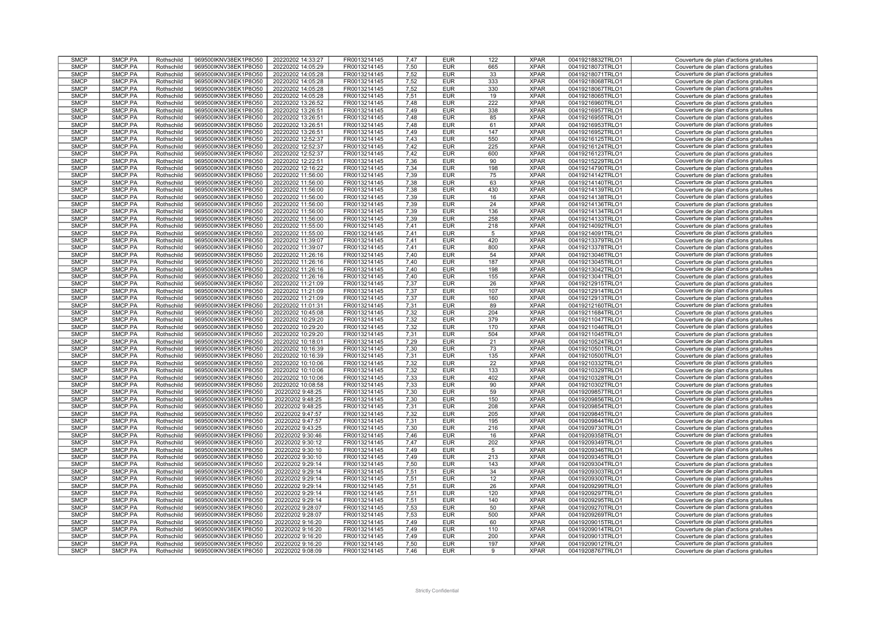| <b>SMCP</b>                | SMCP.PA            | Rothschild               | 969500IKNV38EK1P8O50                         | 20220202 14:33:27                    | FR0013214145                 | 7,47         | <b>EUR</b>               | 122             | <b>XPAR</b>                | 00419218832TRLO1                     | Couverture de plan d'actions gratuites                                           |
|----------------------------|--------------------|--------------------------|----------------------------------------------|--------------------------------------|------------------------------|--------------|--------------------------|-----------------|----------------------------|--------------------------------------|----------------------------------------------------------------------------------|
| <b>SMCP</b>                | SMCP.PA            | Rothschild               | 969500IKNV38EK1P8O50                         | 20220202 14:05:29                    | FR0013214145                 | 7.50         | <b>EUR</b>               | 665             | <b>XPAR</b>                | 00419218073TRLO1                     | Couverture de plan d'actions gratuites                                           |
|                            |                    |                          |                                              |                                      |                              |              |                          |                 |                            |                                      |                                                                                  |
| <b>SMCP</b>                | SMCP.PA            | Rothschild               | 969500IKNV38EK1P8O50                         | 20220202 14:05:28                    | FR0013214145                 | 7,52         | <b>EUR</b>               | 33              | <b>XPAR</b>                | 00419218071TRLO1                     | Couverture de plan d'actions gratuites                                           |
| <b>SMCP</b>                | SMCP.PA            | Rothschild               | 969500IKNV38EK1P8O50                         | 20220202 14:05:28                    | FR0013214145                 | 7,52         | <b>EUR</b>               | 333             | <b>XPAR</b>                | 00419218068TRLO1                     | Couverture de plan d'actions gratuites                                           |
| <b>SMCP</b>                | SMCP.PA            | Rothschild               | 969500IKNV38EK1P8O50                         | 20220202 14:05:28                    | FR0013214145                 | 7,52         | <b>EUR</b>               | 330             | <b>XPAR</b>                | 00419218067TRLO1                     | Couverture de plan d'actions gratuites                                           |
| <b>SMCP</b>                | SMCP.PA            | Rothschild               | 969500IKNV38EK1P8O50                         | 20220202 14:05:28                    | FR0013214145                 | 7,51         | <b>EUR</b>               | 19              | <b>XPAR</b>                | 00419218065TRLO1                     | Couverture de plan d'actions gratuites                                           |
| <b>SMCP</b>                | SMCP.PA            | Rothschild               | 969500IKNV38EK1P8O50                         | 20220202 13:26:52                    | FR0013214145                 | 7,48         | <b>EUR</b>               | 222             | <b>XPAR</b>                | 00419216960TRLO1                     | Couverture de plan d'actions gratuites                                           |
| <b>SMCP</b>                | SMCP.PA            | Rothschild               | 969500IKNV38EK1P8O50                         | 20220202 13:26:51                    | FR0013214145                 | 7,49         | <b>EUR</b>               | 338             | <b>XPAR</b>                | 00419216957TRLO1                     | Couverture de plan d'actions gratuites                                           |
|                            |                    |                          |                                              |                                      |                              |              |                          |                 |                            |                                      |                                                                                  |
| <b>SMCP</b>                | SMCP.PA            | Rothschild               | 969500IKNV38EK1P8O50                         | 20220202 13:26:51                    | FR0013214145                 | 7,48         | <b>EUR</b>               | 85              | <b>XPAR</b>                | 00419216955TRLO1                     | Couverture de plan d'actions gratuites                                           |
| <b>SMCP</b>                | SMCP.PA            | Rothschild               | 969500IKNV38EK1P8O50                         | 20220202 13:26:51                    | FR0013214145                 | 7,48         | <b>EUR</b>               | 61              | <b>XPAR</b>                | 00419216953TRLO1                     | Couverture de plan d'actions gratuites                                           |
| <b>SMCP</b>                | SMCP.PA            | Rothschild               | 969500IKNV38EK1P8O50                         | 20220202 13:26:51                    | FR0013214145                 | 7,49         | <b>EUR</b>               | 147             | <b>XPAR</b>                | 00419216952TRLO1                     | Couverture de plan d'actions gratuites                                           |
| <b>SMCP</b>                | SMCP.PA            | Rothschild               | 969500IKNV38EK1P8O50                         | 20220202 12:52:37                    | FR0013214145                 | 7,43         | <b>EUR</b>               | 550             | <b>XPAR</b>                | 00419216125TRLO1                     | Couverture de plan d'actions gratuites                                           |
| <b>SMCP</b>                | SMCP.PA            | Rothschild               | 969500IKNV38EK1P8O50                         | 20220202 12:52:37                    | FR0013214145                 | 7,42         | <b>EUR</b>               | 225             | <b>XPAR</b>                | 00419216124TRLO1                     | Couverture de plan d'actions gratuites                                           |
| <b>SMCP</b>                | SMCP.PA            | Rothschild               | 969500IKNV38EK1P8O50                         | 20220202 12:52:37                    | FR0013214145                 | 7,42         | <b>EUR</b>               | 600             | <b>XPAR</b>                | 00419216123TRLO1                     | Couverture de plan d'actions gratuites                                           |
| <b>SMCP</b>                | SMCP.PA            | Rothschild               | 969500IKNV38EK1P8O50                         | 20220202 12:22:51                    | FR0013214145                 |              | <b>EUR</b>               | 90              | <b>XPAR</b>                |                                      |                                                                                  |
|                            |                    |                          |                                              |                                      |                              | 7,36         |                          |                 |                            | 00419215229TRLO1                     | Couverture de plan d'actions gratuites                                           |
| <b>SMCP</b>                | SMCP.PA            | Rothschild               | 969500IKNV38EK1P8O50                         | 20220202 12:16:22                    | FR0013214145                 | 7,34         | <b>EUR</b>               | 198             | <b>XPAR</b>                | 00419214790TRLO1                     | Couverture de plan d'actions gratuites                                           |
| <b>SMCP</b>                | SMCP.PA            | Rothschild               | 969500IKNV38EK1P8O50                         | 20220202 11:56:00                    | FR0013214145                 | 7,39         | <b>EUR</b>               | 75              | <b>XPAR</b>                | 00419214142TRLO1                     | Couverture de plan d'actions gratuites                                           |
| <b>SMCP</b>                | SMCP.PA            | Rothschild               | 969500IKNV38EK1P8O50                         | 20220202 11:56:00                    | FR0013214145                 | 7.38         | <b>EUR</b>               | 63              | <b>XPAR</b>                | 00419214140TRLO1                     | Couverture de plan d'actions gratuites                                           |
| <b>SMCP</b>                | SMCP.PA            | Rothschild               | 969500IKNV38EK1P8O50                         | 20220202 11:56:00                    | FR0013214145                 | 7,38         | <b>EUR</b>               | 430             | <b>XPAR</b>                | 00419214139TRLO1                     | Couverture de plan d'actions gratuites                                           |
| <b>SMCP</b>                | SMCP.PA            | Rothschild               | 969500IKNV38EK1P8O50                         | 20220202 11:56:00                    | FR0013214145                 | 7,39         | <b>EUR</b>               | 16              | <b>XPAR</b>                | 00419214138TRLO1                     | Couverture de plan d'actions gratuites                                           |
| <b>SMCP</b>                | SMCP.PA            | Rothschild               | 969500IKNV38EK1P8O50                         | 20220202 11:56:00                    | FR0013214145                 | 7.39         | <b>EUR</b>               | 24              | <b>XPAR</b>                | 00419214136TRLO1                     | Couverture de plan d'actions gratuites                                           |
|                            |                    |                          |                                              |                                      |                              |              |                          |                 |                            |                                      |                                                                                  |
| <b>SMCP</b>                | SMCP.PA            | Rothschild               | 969500IKNV38EK1P8O50                         | 20220202 11:56:00                    | FR0013214145                 | 7,39         | <b>EUR</b>               | 136             | <b>XPAR</b>                | 00419214134TRLO1                     | Couverture de plan d'actions gratuites                                           |
| <b>SMCP</b>                | SMCP.PA            | Rothschild               | 969500IKNV38EK1P8O50                         | 20220202 11:56:00                    | FR0013214145                 | 7,39         | <b>EUR</b>               | 258             | <b>XPAR</b>                | 00419214133TRLO1                     | Couverture de plan d'actions gratuites                                           |
| <b>SMCP</b>                | SMCP.PA            | Rothschild               | 969500IKNV38EK1P8O50                         | 20220202 11:55:00                    | FR0013214145                 | 7,41         | <b>EUR</b>               | 218             | <b>XPAR</b>                | 00419214092TRLO1                     | Couverture de plan d'actions gratuites                                           |
| <b>SMCP</b>                | SMCP.PA            | Rothschild               | 969500IKNV38EK1P8O50                         | 20220202 11:55:00                    | FR0013214145                 | 7,41         | <b>EUR</b>               | $5\phantom{.0}$ | <b>XPAR</b>                | 00419214091TRLO1                     | Couverture de plan d'actions gratuites                                           |
| <b>SMCP</b>                | SMCP.PA            | Rothschild               | 969500IKNV38EK1P8O50                         | 20220202 11:39:07                    | FR0013214145                 | 7,41         | <b>EUR</b>               | 420             | <b>XPAR</b>                | 00419213379TRLO1                     | Couverture de plan d'actions gratuites                                           |
| <b>SMCP</b>                | SMCP.PA            | Rothschild               | 969500IKNV38EK1P8O50                         | 20220202 11:39:07                    | FR0013214145                 | 7,41         | <b>EUR</b>               | 800             | <b>XPAR</b>                | 00419213378TRLO1                     | Couverture de plan d'actions gratuites                                           |
|                            |                    |                          |                                              |                                      |                              |              |                          |                 |                            |                                      |                                                                                  |
| <b>SMCP</b>                | SMCP.PA            | Rothschild               | 969500IKNV38EK1P8O50                         | 20220202 11:26:16                    | FR0013214145                 | 7,40         | <b>EUR</b>               | 54              | <b>XPAR</b>                | 00419213046TRLO1                     | Couverture de plan d'actions gratuites                                           |
| <b>SMCP</b>                | SMCP.PA            | Rothschild               | 969500IKNV38EK1P8O50                         | 20220202 11:26:16                    | FR0013214145                 | 7,40         | <b>EUR</b>               | 187             | <b>XPAR</b>                | 00419213045TRLO1                     | Couverture de plan d'actions gratuites                                           |
| <b>SMCP</b>                | SMCP.PA            | Rothschild               | 969500IKNV38EK1P8O50                         | 20220202 11:26:16                    | FR0013214145                 | 7,40         | <b>EUR</b>               | 198             | <b>XPAR</b>                | 00419213042TRLO1                     | Couverture de plan d'actions gratuites                                           |
| <b>SMCP</b>                | SMCP.PA            | Rothschild               | 969500IKNV38EK1P8O50                         | 20220202 11:26:16                    | FR0013214145                 | 7.40         | <b>EUR</b>               | 155             | <b>XPAR</b>                | 00419213041TRLO1                     | Couverture de plan d'actions gratuites                                           |
| <b>SMCP</b>                | SMCP.PA            | Rothschild               | 969500IKNV38EK1P8O50                         | 20220202 11:21:09                    | FR0013214145                 | 7,37         | <b>EUR</b>               | 26              | <b>XPAR</b>                | 00419212915TRLO1                     | Couverture de plan d'actions gratuites                                           |
| <b>SMCP</b>                | SMCP.PA            | Rothschild               | 969500IKNV38EK1P8O50                         | 20220202 11:21:09                    | FR0013214145                 | 7,37         | <b>EUR</b>               | 107             | <b>XPAR</b>                | 00419212914TRLO1                     | Couverture de plan d'actions gratuites                                           |
| <b>SMCP</b>                | SMCP.PA            | Rothschild               |                                              | 20220202 11:21:09                    | FR0013214145                 | 7,37         | <b>EUR</b>               |                 | <b>XPAR</b>                | 00419212913TRLO1                     | Couverture de plan d'actions gratuites                                           |
|                            |                    |                          | 969500IKNV38EK1P8O50                         |                                      |                              |              |                          | 160             |                            |                                      |                                                                                  |
| <b>SMCP</b>                | SMCP.PA            | Rothschild               | 969500IKNV38EK1P8O50                         | 20220202 11:01:31                    | FR0013214145                 | 7,31         | <b>EUR</b>               | 89              | <b>XPAR</b>                | 00419212160TRLO1                     | Couverture de plan d'actions gratuites                                           |
| <b>SMCP</b>                | SMCP.PA            | Rothschild               | 969500IKNV38EK1P8O50                         | 20220202 10:45:08                    | FR0013214145                 | 7,32         | <b>EUR</b>               | 204             | <b>XPAR</b>                | 00419211684TRLO1                     | Couverture de plan d'actions gratuites                                           |
| <b>SMCP</b>                | SMCP.PA            | Rothschild               | 969500IKNV38EK1P8O50                         | 20220202 10:29:20                    | FR0013214145                 | 7,32         | <b>EUR</b>               | 379             | <b>XPAR</b>                | 00419211047TRLO1                     | Couverture de plan d'actions gratuites                                           |
| <b>SMCP</b>                | SMCP.PA            | Rothschild               | 969500IKNV38EK1P8O50                         | 20220202 10:29:20                    | FR0013214145                 | 7,32         | <b>EUR</b>               | 170             | <b>XPAR</b>                | 00419211046TRLO1                     | Couverture de plan d'actions gratuites                                           |
| <b>SMCP</b>                | SMCP.PA            | Rothschild               | 969500IKNV38EK1P8O50                         | 20220202 10:29:20                    | FR0013214145                 | 7,31         | <b>EUR</b>               | 504             | <b>XPAR</b>                | 00419211045TRLO1                     | Couverture de plan d'actions gratuites                                           |
| <b>SMCP</b>                | SMCP.PA            | Rothschild               | 969500IKNV38EK1P8O50                         | 20220202 10:18:01                    | FR0013214145                 | 7,29         | <b>EUR</b>               | 21              | <b>XPAR</b>                | 00419210524TRLO1                     | Couverture de plan d'actions gratuites                                           |
| <b>SMCP</b>                | SMCP.PA            | Rothschild               | 969500IKNV38EK1P8O50                         | 20220202 10:16:39                    | FR0013214145                 | 7,30         | <b>EUR</b>               | 73              | <b>XPAR</b>                | 00419210501TRLO1                     | Couverture de plan d'actions gratuites                                           |
|                            |                    |                          |                                              |                                      |                              |              |                          |                 |                            |                                      |                                                                                  |
| <b>SMCP</b>                | SMCP.PA            | Rothschild               | 969500IKNV38EK1P8O50                         | 20220202 10:16:39                    | FR0013214145                 | 7.31         | <b>EUR</b>               | 135             | <b>XPAR</b>                | 00419210500TRLO1                     | Couverture de plan d'actions gratuites                                           |
| <b>SMCP</b>                | SMCP.PA            | Rothschild               | 969500IKNV38EK1P8O50                         | 20220202 10:10:06                    | FR0013214145                 | 7,32         | <b>EUR</b>               | 22              | <b>XPAR</b>                | 00419210332TRLO1                     | Couverture de plan d'actions gratuites                                           |
| <b>SMCP</b>                | SMCP.PA            | Rothschild               | 969500IKNV38EK1P8O50                         | 20220202 10:10:06                    | FR0013214145                 | 7,32         | <b>EUR</b>               | 133             | <b>XPAR</b>                | 00419210329TRLO1                     | Couverture de plan d'actions gratuites                                           |
| <b>SMCP</b>                | SMCP.PA            | Rothschild               | 969500IKNV38EK1P8O50                         | 20220202 10:10:06                    | FR0013214145                 | 7,33         | <b>EUR</b>               | 402             | <b>XPAR</b>                | 00419210328TRLO1                     | Couverture de plan d'actions gratuites                                           |
| <b>SMCP</b>                | SMCP.PA            | Rothschild               | 969500IKNV38EK1P8O50                         | 20220202 10:08:58                    | FR0013214145                 | 7,33         | <b>EUR</b>               | 90              | <b>XPAR</b>                | 00419210302TRLO1                     | Couverture de plan d'actions gratuites                                           |
| <b>SMCP</b>                | SMCP.PA            | Rothschild               | 969500IKNV38EK1P8O50                         | 20220202 9:48:25                     | FR0013214145                 | 7,30         | <b>EUR</b>               | 59              | <b>XPAR</b>                | 00419209857TRLO1                     | Couverture de plan d'actions gratuites                                           |
| <b>SMCP</b>                | SMCP.PA            | Rothschild               | 969500IKNV38EK1P8O50                         | 20220202 9:48:25                     | FR0013214145                 | 7,30         | <b>EUR</b>               | 150             | <b>XPAR</b>                | 00419209856TRLO1                     | Couverture de plan d'actions gratuites                                           |
|                            |                    |                          |                                              |                                      |                              |              |                          |                 |                            |                                      |                                                                                  |
| <b>SMCP</b>                | SMCP.PA            | Rothschild               | 969500IKNV38EK1P8O50                         | 20220202 9:48:25                     | FR0013214145                 | 7,31         | <b>EUR</b>               | 208             | <b>XPAR</b>                | 00419209854TRLO1                     | Couverture de plan d'actions gratuites                                           |
| <b>SMCP</b>                | SMCP.PA            | Rothschild               | 969500IKNV38EK1P8O50                         | 20220202 9:47:57                     | FR0013214145                 | 7,32         | <b>EUR</b>               | 205             | <b>XPAR</b>                | 00419209845TRLO1                     | Couverture de plan d'actions gratuites                                           |
| <b>SMCP</b>                | SMCP.PA            | Rothschild               | 969500IKNV38EK1P8O50                         | 20220202 9:47:57                     | FR0013214145                 | 7,31         | <b>EUR</b>               | 195             | <b>XPAR</b>                | 00419209844TRLO1                     | Couverture de plan d'actions gratuites                                           |
| <b>SMCP</b>                | SMCP.PA            | Rothschild               | 969500IKNV38EK1P8O50                         | 20220202 9:43:25                     | FR0013214145                 | 7,30         | <b>EUR</b>               | 216             | <b>XPAR</b>                | 00419209730TRLO1                     | Couverture de plan d'actions gratuites                                           |
| <b>SMCP</b>                | SMCP.PA            | Rothschild               | 969500IKNV38EK1P8O50                         | 20220202 9:30:46                     | FR0013214145                 | 7.46         | <b>EUR</b>               | 16              | <b>XPAR</b>                | 00419209358TRLO1                     | Couverture de plan d'actions gratuites                                           |
| <b>SMCP</b>                | SMCP.PA            | Rothschild               | 969500IKNV38EK1P8O50                         | 20220202 9:30:12                     | FR0013214145                 | 7,47         | <b>EUR</b>               | 202             | <b>XPAR</b>                | 00419209349TRLO1                     | Couverture de plan d'actions gratuites                                           |
| <b>SMCP</b>                | SMCP.PA            | Rothschild               | 969500IKNV38EK1P8O50                         | 20220202 9:30:10                     | FR0013214145                 | 7.49         | <b>EUR</b>               | 5               | <b>XPAR</b>                | 00419209346TRLO1                     | Couverture de plan d'actions gratuites                                           |
|                            |                    |                          |                                              |                                      |                              |              |                          |                 |                            |                                      |                                                                                  |
| <b>SMCP</b>                | SMCP.PA            | Rothschild               | 969500IKNV38EK1P8O50                         | 20220202 9:30:10                     | FR0013214145                 | 7.49         | <b>EUR</b>               | 213             | <b>XPAR</b>                | 00419209345TRLO1                     | Couverture de plan d'actions gratuites                                           |
| <b>SMCP</b>                | SMCP.PA            | Rothschild               | 969500IKNV38EK1P8O50                         | 20220202 9:29:14                     | FR0013214145                 | 7,50         | <b>EUR</b>               | 143             | <b>XPAR</b>                | 00419209304TRLO1                     | Couverture de plan d'actions gratuites                                           |
| <b>SMCP</b>                | SMCP.PA            | Rothschild               | 969500IKNV38EK1P8O50                         | 20220202 9:29:14                     | FR0013214145                 | 7.51         | <b>EUR</b>               | 34              | <b>XPAR</b>                | 00419209303TRLO1                     | Couverture de plan d'actions gratuites                                           |
| <b>SMCP</b>                | SMCP.PA            | Rothschild               | 969500IKNV38EK1P8O50                         | 20220202 9:29:14                     | FR0013214145                 | 7,51         | <b>EUR</b>               | 12              | <b>XPAR</b>                | 00419209300TRLO1                     | Couverture de plan d'actions gratuites                                           |
| <b>SMCP</b>                | SMCP.PA            | Rothschild               | 969500IKNV38EK1P8O50                         | 20220202 9:29:14                     | FR0013214145                 | 7,51         | <b>EUR</b>               | 26              | <b>XPAR</b>                | 00419209299TRLO1                     | Couverture de plan d'actions gratuites                                           |
| <b>SMCP</b>                | SMCP.PA            | Rothschild               | 969500IKNV38EK1P8O50                         | 20220202 9:29:14                     | FR0013214145                 | 7,51         | <b>EUR</b>               | 120             | <b>XPAR</b>                | 00419209297TRLO1                     | Couverture de plan d'actions gratuites                                           |
|                            |                    |                          |                                              |                                      |                              |              |                          |                 |                            |                                      |                                                                                  |
| <b>SMCP</b>                | SMCP.PA            | Rothschild               | 969500IKNV38EK1P8O50                         | 20220202 9:29:14                     | FR0013214145                 | 7,51         | <b>EUR</b>               | 140             | <b>XPAR</b>                | 00419209295TRLO1                     | Couverture de plan d'actions gratuites                                           |
| <b>SMCP</b>                | SMCP.PA            | Rothschild               | 969500IKNV38EK1P8O50                         | 20220202 9:28:07                     | FR0013214145                 | 7,53         | <b>EUR</b>               | 50              | <b>XPAR</b>                | 00419209270TRLO1                     | Couverture de plan d'actions gratuites                                           |
| <b>SMCP</b>                | SMCP.PA            | Rothschild               | 969500IKNV38EK1P8O50                         | 20220202 9:28:07                     | FR0013214145                 | 7,53         | <b>EUR</b>               | 500             | <b>XPAR</b>                | 00419209269TRLO1                     | Couverture de plan d'actions gratuites                                           |
| <b>SMCP</b>                | SMCP.PA            | Rothschild               | 969500IKNV38EK1P8O50                         | 20220202 9:16:20                     | FR0013214145                 | 7,49         | <b>EUR</b>               | 60              | <b>XPAR</b>                | 00419209015TRLO1                     | Couverture de plan d'actions gratuites                                           |
| <b>SMCP</b>                | SMCP.PA            | Rothschild               | 969500IKNV38EK1P8O50                         | 20220202 9:16:20                     | FR0013214145                 | 7,49         | <b>EUR</b>               | 110             | <b>XPAR</b>                | 00419209014TRLO1                     | Couverture de plan d'actions gratuites                                           |
|                            |                    |                          |                                              |                                      |                              | 7,49         | <b>EUR</b>               | 200             | <b>XPAR</b>                | 00419209013TRLO1                     | Couverture de plan d'actions gratuites                                           |
|                            |                    |                          |                                              |                                      |                              |              |                          |                 |                            |                                      |                                                                                  |
| <b>SMCP</b>                | SMCP.PA            | Rothschild               | 969500IKNV38EK1P8O50                         | 20220202 9:16:20                     | FR0013214145                 |              |                          |                 |                            |                                      |                                                                                  |
| <b>SMCP</b><br><b>SMCP</b> | SMCP.PA<br>SMCP.PA | Rothschild<br>Rothschild | 969500IKNV38EK1P8O50<br>969500IKNV38EK1P8O50 | 20220202 9:16:20<br>20220202 9:08:09 | FR0013214145<br>FR0013214145 | 7.50<br>7,46 | <b>EUR</b><br><b>EUR</b> | 197<br>9        | <b>XPAR</b><br><b>XPAR</b> | 00419209012TRLO1<br>00419208767TRLO1 | Couverture de plan d'actions gratuites<br>Couverture de plan d'actions gratuites |